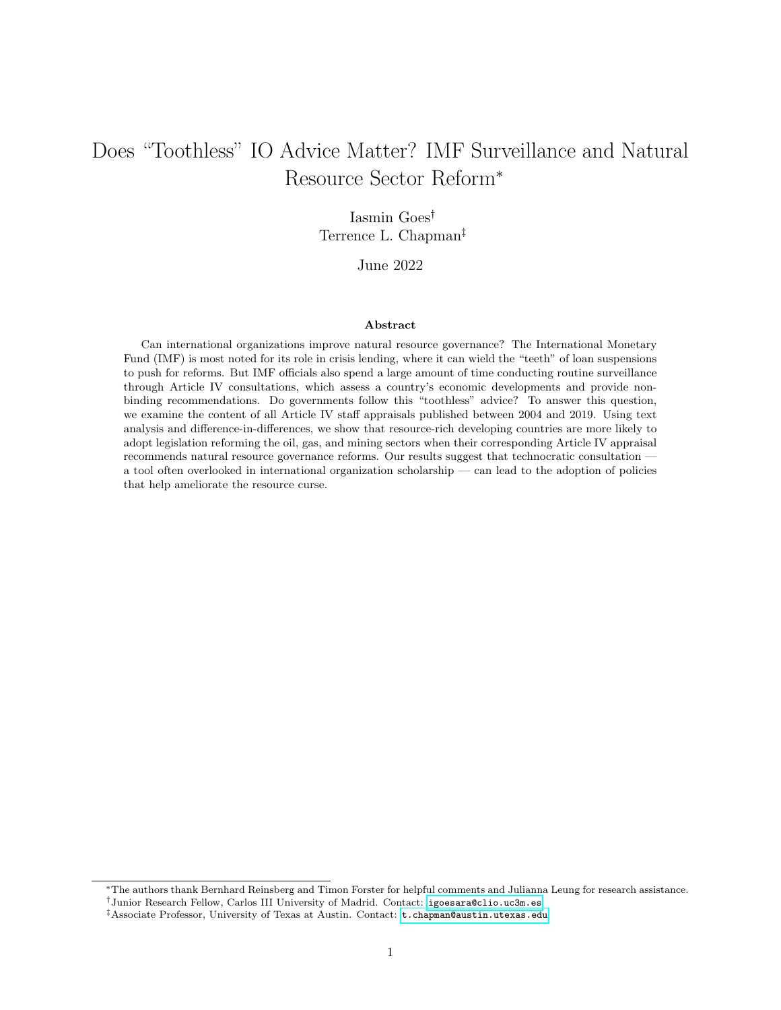# Does "Toothless" IO Advice Matter? IMF Surveillance and Natural Resource Sector Reform<sup>∗</sup>

### Iasmin Goes† Terrence L. Chapman‡

#### June 2022

#### Abstract

Can international organizations improve natural resource governance? The International Monetary Fund (IMF) is most noted for its role in crisis lending, where it can wield the "teeth" of loan suspensions to push for reforms. But IMF officials also spend a large amount of time conducting routine surveillance through Article IV consultations, which assess a country's economic developments and provide nonbinding recommendations. Do governments follow this "toothless" advice? To answer this question, we examine the content of all Article IV staff appraisals published between 2004 and 2019. Using text analysis and difference-in-differences, we show that resource-rich developing countries are more likely to adopt legislation reforming the oil, gas, and mining sectors when their corresponding Article IV appraisal recommends natural resource governance reforms. Our results suggest that technocratic consultation a tool often overlooked in international organization scholarship — can lead to the adoption of policies that help ameliorate the resource curse.

<sup>∗</sup>The authors thank Bernhard Reinsberg and Timon Forster for helpful comments and Julianna Leung for research assistance.

<sup>†</sup>Junior Research Fellow, Carlos III University of Madrid. Contact: [igoesara@clio.uc3m.es](mailto:igoesara@clio.uc3m.es)

<sup>‡</sup>Associate Professor, University of Texas at Austin. Contact: [t.chapman@austin.utexas.edu](mailto:t.chapman@austin.utexas.edu)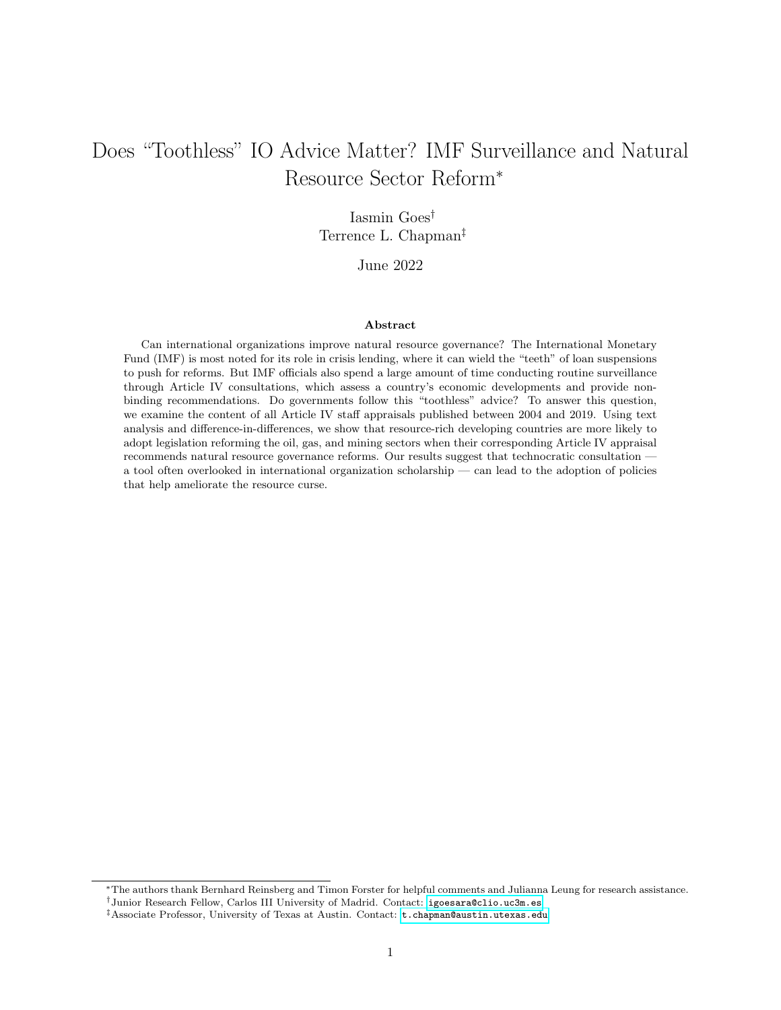## Introduction

Can international organizations (IOs) help alleviate the resource curse? The potential downsides of natural resource dependence are well known. An abundance of oil, natural gas, and minerals can lead to high economic volatility, weak fiscal capacity, low levels of government accountability, and political unrest [\(Ross,](#page-35-0) [2015\)](#page-35-0). Yet natural resource wealth also harbors the potential for economic growth: if properly managed, theses resources can be used to increase public investment in human capital and infrastructure [\(Venables,](#page-36-0) [2016\)](#page-36-0). Multilateral economic organizations, such as the World Bank and International Monetary Fund (IMF), routinely provide consultation and non-binding guidance to developing countries seeking to accomplish this. Does this advice improve natural resource governance?

Existing research tends to focus on the IMF's role in crisis lending, including its practice of conditioning loan disbursement on policy reforms (e.g. [Vreeland, 2003;](#page-36-1) [Dreher, 2009;](#page-32-0) [Chapman et al., 2017\)](#page-31-0). But a large portion of its time is devoted to routine surveillance, as the staff conducts regular "health checks" [\(IMF, 2020\)](#page-33-0) of economic and financial practices in its 190 member countries. Despite the amount of time and effort devoted to such health checks (which are formally called Article IV consultations), we know relatively little about what — if anything — they achieve.<sup>[1](#page-1-0)</sup> Perhaps this is because unlike crisis lending, where the IMF has the "teeth" to push policy reforms in the form of loan suspensions or withholding future tranches, Article IV consultations are purely advisory: countries are not punished if they fail to follow IMF advice. At the same time, many have argued that IOs can influence government policy through advice and standard setting, including technical assistance from the World Trade Organization [\(Shaffer, 2005\)](#page-35-1), "positive complementarity" from the the International Criminal Court [\(Dancy and Montal, 2017\)](#page-32-1), or socialization to human rights norms [\(Greenhill, 2015\)](#page-33-1). Yet the surveillance function of the IMF remains understudied. If one way IOs matter is through disseminating ideas and best practices, Article IV consultations are an obvious place to look.

Given the "toothlessness" of Article IV consultations, there are many reasons why politically constrained governments might fail to implement well-meaning advice in the face of special interest pressure or public demands for expensive programs and benefits. Even a 2005 report commissioned by the IMF suggests that Article IV surveillance has mixed results, at best [\(Ostry and Zettelmeyer, 2005\)](#page-34-0). Still, governments may see virtue in shoring up their financial house as a preventive measure, rather than waiting for a costly crisis. This may be especially true in the natural resource sector, where the perils of reliance on primary commodity exports are well documented [\(Ross, 1999\)](#page-35-2). We argue that expert advice from IMF economists is one source of ideas for developing sound resource governance.

<span id="page-1-0"></span><sup>1</sup>For an important, and comprehensive, exception see [Edwards](#page-32-2) [\(2018\)](#page-32-2).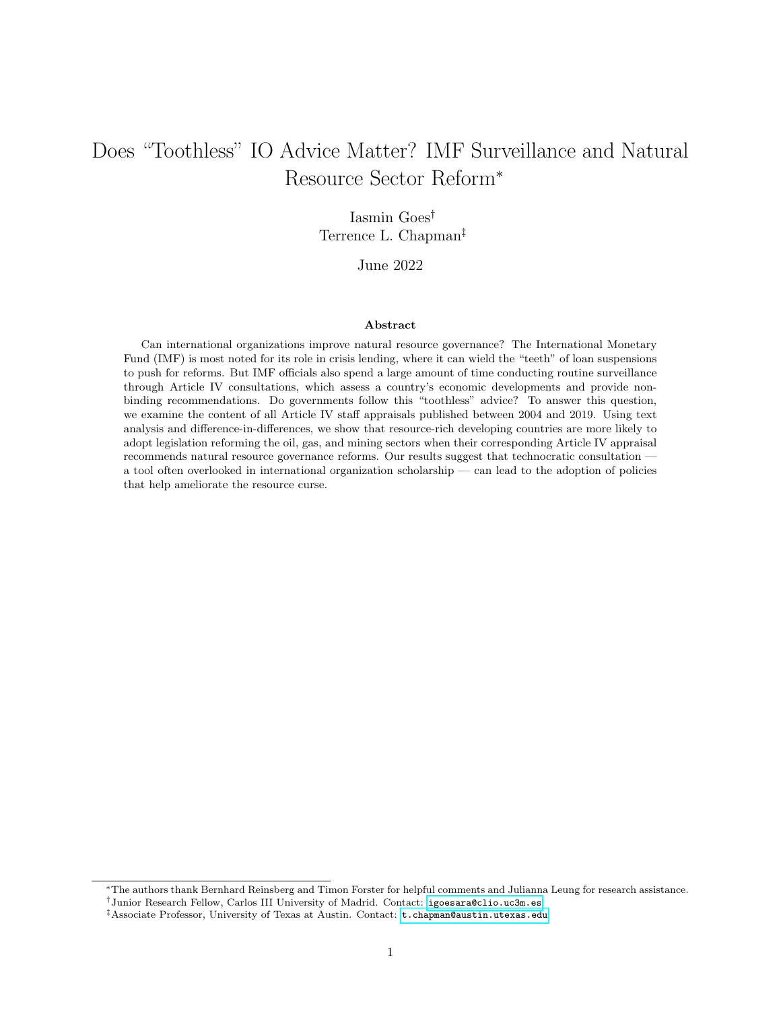Though states often receive conflicting advice from different IOs [\(Breen et al., 2020\)](#page-31-1), this is unlikely to be the case when it comes to natural resource management, as different IOs largely promote similar practices in this sector. For example, the IMF, World Bank, European Union, G8, G20, and United Nations have all endorsed the Extractive Industries Transparency Initiative, or EITI [\(Sovacool et al., 2016\)](#page-36-2). Such initiatives are important because oil, gas, and minerals are a crucial source of revenue for many developing countries. Given the large informal sector and the prevalence of small-scale firms, these countries typically have a narrow tax base and collect less revenue [\(Besley and Persson, 2014\)](#page-30-0). This, coupled with their limited access to capital markets in times of need [\(Wibbels, 2006\)](#page-36-3), means they often turn to natural resources to fund their expenditures. On the one hand, governments are well aware of the danger of the resource curse and seek out expertise from IOs, especially after new natural resource windfalls. On the other hand, the lure of using resource rents for political purposes and the high cost of institutional development suggest that the natural resource sector might be especially resistant to large scale reform.

IO bureaucracies attain autonomy and legitimacy by developing specialized expertise [\(Barnett and](#page-30-1) [Finnemore, 2004a;](#page-30-1) [Johnson, 2014\)](#page-33-2). The IMF is no exception. Its staff consists of highly trained economists and development experts who closely scrutinize the structural conditions of countries' economies. During the Article IV process, government officials meet with a team from the IMF to discuss a range of economic policies (a process we describe below). Since 2004, the IMF has consistently published Article IV reports, partly in an effort to pressure countries to adopt their recommendations. We argue that the content of these reports is a good reflection of discussions between host governments and an IMF delegation. If governments take IMF advice to heart, they should be more likely to implement reforms in areas highlighted in public Article IV reports. In particular, when Article IV reports place special emphasis on the natural resource sector, we predict that countries will be more likely to see the adoption of legislation aimed at reforming this sector.

To test this argument, we examine the content of all 700 Article IV consultations conducted in 80 resource-rich developing countries and published between 2004 and 2019. First, we use text analysis and manual coding to assess how much these published documents cover the natural resource sector and whether they directly recommend reform. Second, we use a differences-in-differences approach to investigate whether countries are more likely to adopt new natural resource legislation in the aftermath of these consultations, conditional on variation in content. Throughout the analysis, we provide qualitative evidence of the Fund's considerations in drafting Article IV reports, and discuss several cases in which IMF recommendations did, or did not, lead to reform.

Our analysis speaks not only to a growing body of literature focusing on the linguistic content of IO reports and statements [\(Busch and Pelc, 2019;](#page-31-2) [Terman and Voeten, 2018\)](#page-36-4), but also to larger debates about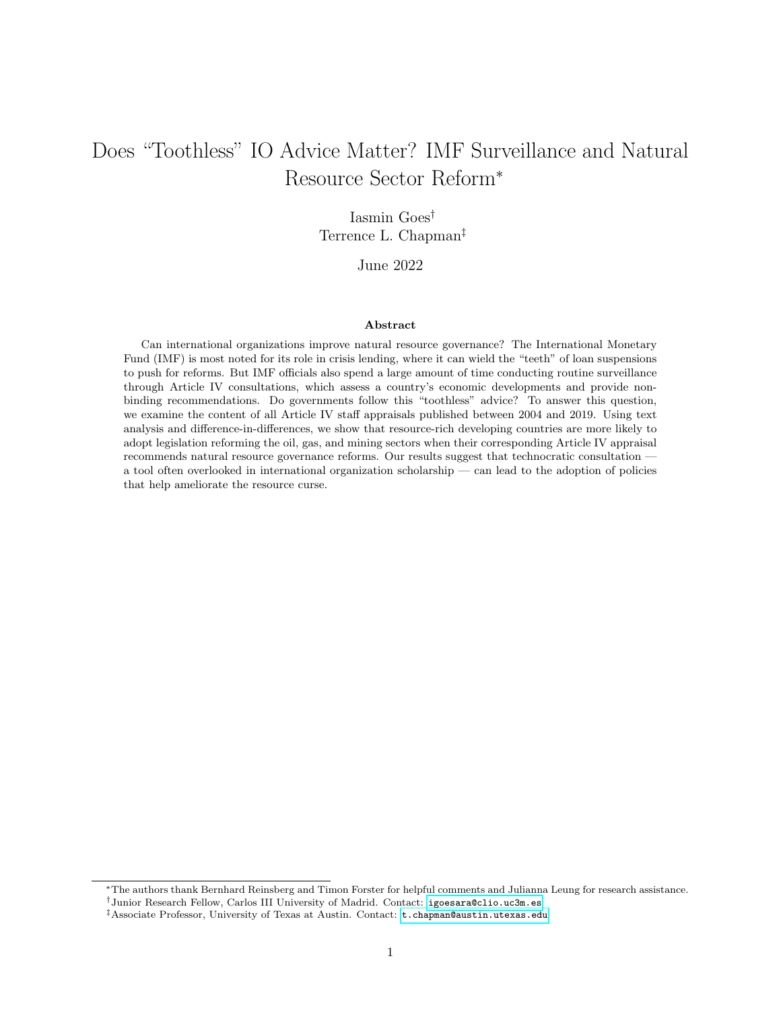the ability of IOs to influence domestic politics. Scholars have examined the role of IOs in democratization [\(Pevehouse, 2002\)](#page-35-3), trade policy [\(Allee and Scalera, 2012\)](#page-29-0), climate policy [\(McLean and Stone, 2012\)](#page-34-1), human rights practices and legal reform [\(Simmons, 2009\)](#page-35-4), among other areas. Some of this work focuses on the role of IOs in disseminating knowledge, promoting ideas, and influencing common understandings of best practices [\(Barnett and Finnemore, 2004b;](#page-30-2) [Park, 2006;](#page-34-2) [Simmons et al., 2006;](#page-36-5) [Park and Vetterlein, 2010;](#page-34-3) [Haas,](#page-33-3) [2018\)](#page-33-3). Our contribution is, first, to examine whether IOs can influence domestic politics when they have no explicit financial leverage, and second, to assess whether such technical assistance matters in a particularly challenging issue area: natural resource governance.

### 1 Article IV Consultations

When the IMF was first created in 1944, its member countries consented to 33 Articles of Agreement outlining the Fund's purposes, membership, and operational structure. Article IV, in particular, stipulated that each member country should "collaborate with the Fund to promote exchange stability, to maintain orderly exchange arrangements with other members, and to avoid competitive exchange alterations" [\(IMF,](#page-33-4) [1969,](#page-33-4) 189). After the collapse of the Bretton Woods monetary system of fixed exchange rates in 1971, Article IV was rewritten to accommodate the new role of the IMF: to "exercise firm surveillance" over a wide array of macroeconomic fundamentals, like fiscal policy, capital mobility, labor regulation, and trade, with member countries providing "the information necessary for such surveillance" [\(IMF, 2016,](#page-33-5) 6). This regular surveillance, called an Article IV consultation, is supposed to take place every 12 to 24 months. It is the IMF's attempt at "preventive medicine" — addressing the source of crises before they hit.

Figure 1: Outline of the Consultation Process

<span id="page-3-0"></span>

As outlined by Figure [1,](#page-3-0) Article IV consultations typically begin with a country desk within the IMF producing a Staff Report that assesses the state of a country's economy. This report is internally reviewed prior to a visit by an IMF delegation. This visit normally lasts one or two weeks and the delegation meets with the finance minister, the central bank governor, and other senior government officials. After the visit, the delegation reports its conclusions to the country desk, which in turn produces a document connecting these findings to the state of the country's economy, recommending reforms, and proposing a time frame for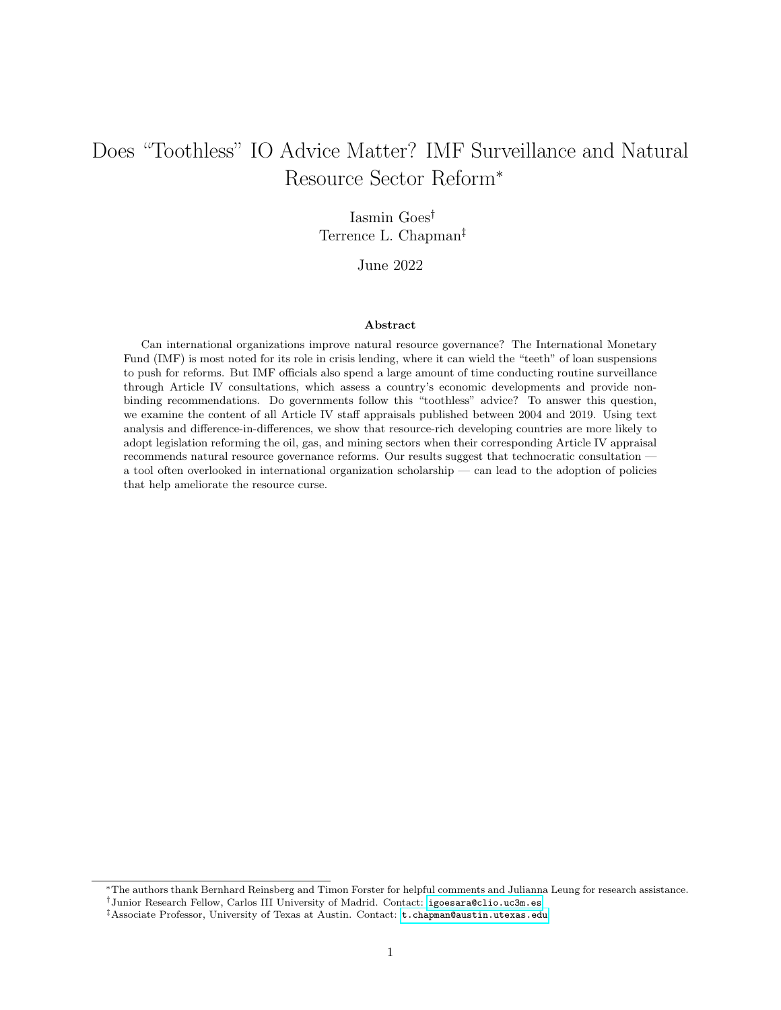the next consultation (in the so-called Staff Appraisal). The Executive Board, which represents all member countries, discusses the appraisal. The Executive Board does not vote on the report and, in fact, sometimes expresses competing opinions on the recommendations (Schäfer, 2006). The final document, consisting of the Staff Report, Staff Appraisal, and Executive Board Assessment, is sent to the Executive Director representing the country under appraisal, which in turn might issue a response statement. In this response statement, authorities are free to disagree with the assessment of the Executive Board, but they tend to agree 75 percent of the time [\(Fayad et al., 2020\)](#page-32-3).

The consultation process has undergone several changes over the history of the Fund. As mentioned above, the process evolved from a form of exchange rate surveillance to a broader assessment of a country's economic fundamentals. Global financial events, like the debt crises of the 1980s, have also prompted rethinking of the surveillance process. Some reforms have been internal and bureaucratic. For instance, the Fund improved its analytical and diagnostic approaches to focus on particular vulnerabilities in the financial sector [\(Ostry and Zettelmeyer, 2005\)](#page-34-0). Other reforms aimed to alter the incentives of countries to adopt the Fund's recommendations. Various proposals were put forth that would tie crisis borrowing to compliance with past implementation of Article IV recommendations, but these proposals were never adopted: Article IV consultations continue to be only suggestive in nature, and countries are not required to comply with the appraisal of the IMF.[2](#page-4-0)

In an attempt to increase transparency, the Executive Board initiated a pilot program for voluntary release of Article IV consultations in March 1999. Since 2004, all consultations are automatically made public, unless the country under surveillance objects. And few countries seem to object: while 47 percent of all reports conducted between July 1999 and June 2001 were published, this number jumped to 82 percent for the period between November 2007 and December 2008 [\(Edwards et al., 2011,](#page-32-4) 11), and 95 percent for the 2014–2015 period [\(Mihalyi and Mate, 2018\)](#page-34-4). The idea of transparency in Article IV consultations was not entirely novel. As [Rodrik](#page-35-6) [\(1995\)](#page-35-6) argues, part of the IMF's role has always been to provide a "seal of approval" for international financial markets. One of the goals of publishing Article IV consultations is to increase transparency for these and other actors [\(Edwards, 2018\)](#page-32-2).

We do know, at least anecdotally, that the IMF takes Article IV consultations with resource-rich countries very seriously, adjusting recommendations accordingly. For example, prior to the 2015 discovery of oil deposits in Guyana, the IMF limited its recommendations to medium-term fiscal reform. The IMF recognized Guyana as a less developed country and recommended the development of low-carbon, sustainable sectors

<span id="page-4-0"></span><sup>&</sup>lt;sup>2</sup>In addition to participating in Article IV consultations, countries can also request a Staff Monitored Program (SMP), a voluntary and informal initiative to showcase the government's ability to make progress on economic reforms prior to asking for a loan. SMP progress is monitored under Article IV consultations, and thus may be considered in future loan decisions, but neither compliance with SMPs nor acceptance of Article IV recommendations is a prerequisite for entering a loan program.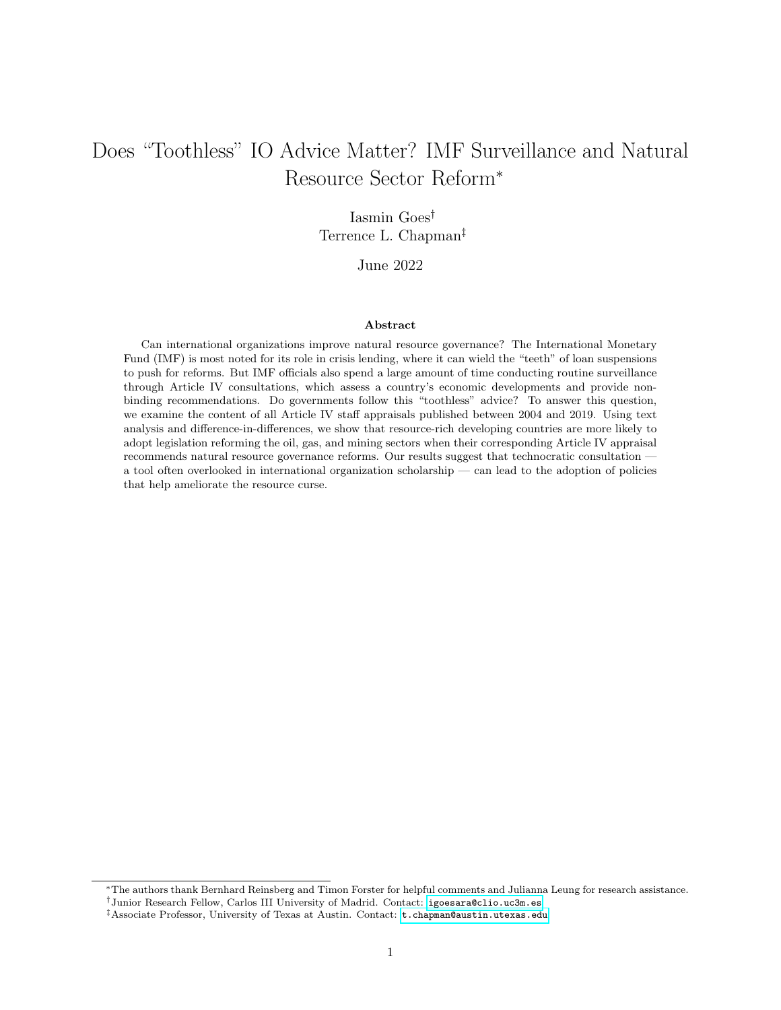<span id="page-5-0"></span>Figure 2: Terms Mentioned in IMF Article IV Consultations with Guyana, 2009–2019



Fiscal/Tax - Oil/Petroleum

This figure shows the absolute frequency of the terms  $f_{is}$ cal/tax and  $oil/petroleum$  (or variations thereof) in all seven available Article IV Consultations with Guyana. Following the discovery of offshore oil in May 2015 (as indicated by the dashed vertical line), IMF recommendations to Guyana shifted from medium-term fiscal reform to specific resource sector reforms, up until January 2019, when the Guyanese government passed the Natural Resource Fund Act (as indicated by the solid vertical line).

and practices. Staff also advised Guyana to focus on debt relief and maintaining tariffs to protect lower income groups.

But after ExxonMobil discovered high-quality, oil-bearing sandstone reservoirs off the Guyanese coast in May 2015, the IMF began to recommend more specific resource sector reforms, as Figure [2](#page-5-0) shows. The 2017 Article IV consultation, published in June of that year, advised authorities to establish a fiscal framework for managing oil wealth, preferably before 2020, when oil production was scheduled to begin: "As a new oil producer starting from scratch, Guyana is in a good position to put in place a framework that limits procyclical spending and attenuates the impact of oil price volatility on the budget and the economy."[3](#page-5-1) The report was accompanied by an annex titled "Best Practices in Managing Oil Wealth," which noted that a clear resource management framework would "contribute to building confidence in the general public and financial markets."

Guyanese officials seemed eager to incorporate the Fund's advice, even though they were not obliged to do so; after all, the country was not under a loan agreement mandating reforms in exchange for financial support.<sup>[4](#page-5-2)</sup> Still, authorities developed and adjusted legislation to protect their revenue and retain external

<span id="page-5-1"></span><sup>&</sup>lt;sup>3</sup>These and other quotes are drawn from the main dataset used in our study, as described in more detail in subsequent sections.

<span id="page-5-2"></span><sup>4</sup>Guyana's last agreement with the IMF ended in 2006.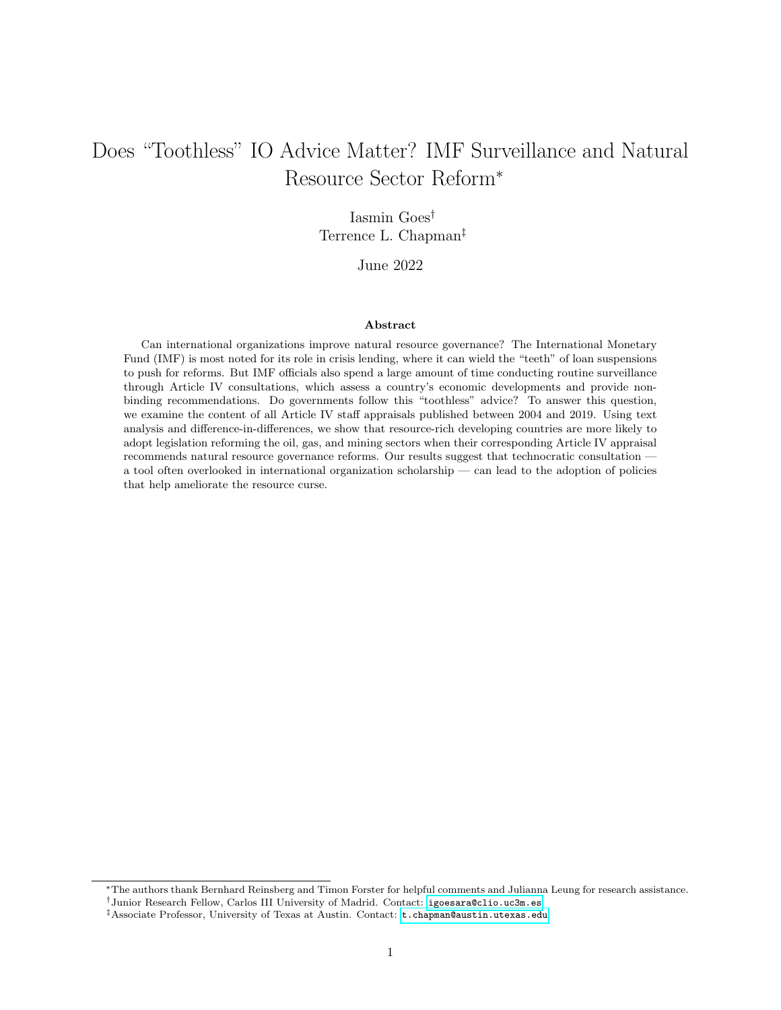financing. According to the 2017 consultation, upon the IMF's suggestion to strengthen the fiscal framework,"the authorities reiterated their plans to anchor future oil wealth management in a comprehensive legal framework. They sought the Fund's advice on the recently drafted Natural Resource Fund legislation. The authorities informed that they are also working on other key elements of the fiscal regime, including drafting the Petroleum Law and establishing a Petroleum Commission." Guyana became a candidate member of the Extractive Industries Transparency Initiative (EITI) in October 2017 and passed the Act No. 12 – Natural Resource Fund Act in January 2019, incorporating the resource management framework proposed by the IMF. The subsequent Article IV consultation, published in September 2019, covered the natural resource topic in far less detail.

The case of Guyana suggests that Article IV consultations might promote natural resource governance, but we lack systematic evidence about this effect across countries.<sup>[5](#page-6-0)</sup> And there is reason for skepticism. Compliance with loan conditionality is quite mixed [\(Babb and Carruthers, 2008\)](#page-30-3), as countries are often unwilling or unable to implement many reforms. This is, in part, because countries that are strategically important to key principals — especially the United States — tend to receive favorable treatment from the IMF [\(Oatley and Yackee, 2004;](#page-34-5) [Stone, 2004,](#page-36-6) [2008\)](#page-36-7). In these cases, the IMF is less able to credibly threaten to enforce compliance by suspending loans, which means that these borrowers are less likely to comply with conditionality in the first place [\(Dreher and Jensen, 2007;](#page-32-5) [Stone, 2008;](#page-36-7) [Copelovitch, 2010\)](#page-32-6). But other countries fail to comply with reforms due to domestic politics — for example, compliance often breaks down ahead of elections [\(Dreher, 2003\)](#page-32-7). And sometimes countries simply lack the technical or bureaucratic capacity to follow through reforms. As a result, only 33% of all IMF programs between 1980 and 2015 were fully completed; the remaining 67% were interrupted due to non-compliance with loan conditions [\(Reinsberg](#page-35-7) [et al., 2021\)](#page-35-7). If countries struggle to adopt IMF-mandated reforms when money is on the line, why would they adopt these recommendations when they lack "teeth?"

## 2 Who Reforms?

As a rule, technocratic reforms in the natural resource sector are unpopular. Since citizens have exaggerated expectations of what natural resource revenue can accomplish, they often misinterpret such reforms as an attempt by political elites to seize rents for private benefits at the expense of public goods provision [\(Collier,](#page-32-8) [2017\)](#page-32-8). In limiting governments' discretion over natural resource revenue, these reforms also deprive politicians of important funds for political survival [\(Wiens, 2014\)](#page-37-0). Institutional development is costly for developing countries, which often have weak institutions, fragmented polities, and low administrative capacity [\(Besley](#page-30-0)

<span id="page-6-0"></span> $5$ [With the exception of Edwards \(2018\), to our knowledge there remain no cross-national studies of the effectiveness of](#page-30-0) [Article IV surveillance.](#page-30-0)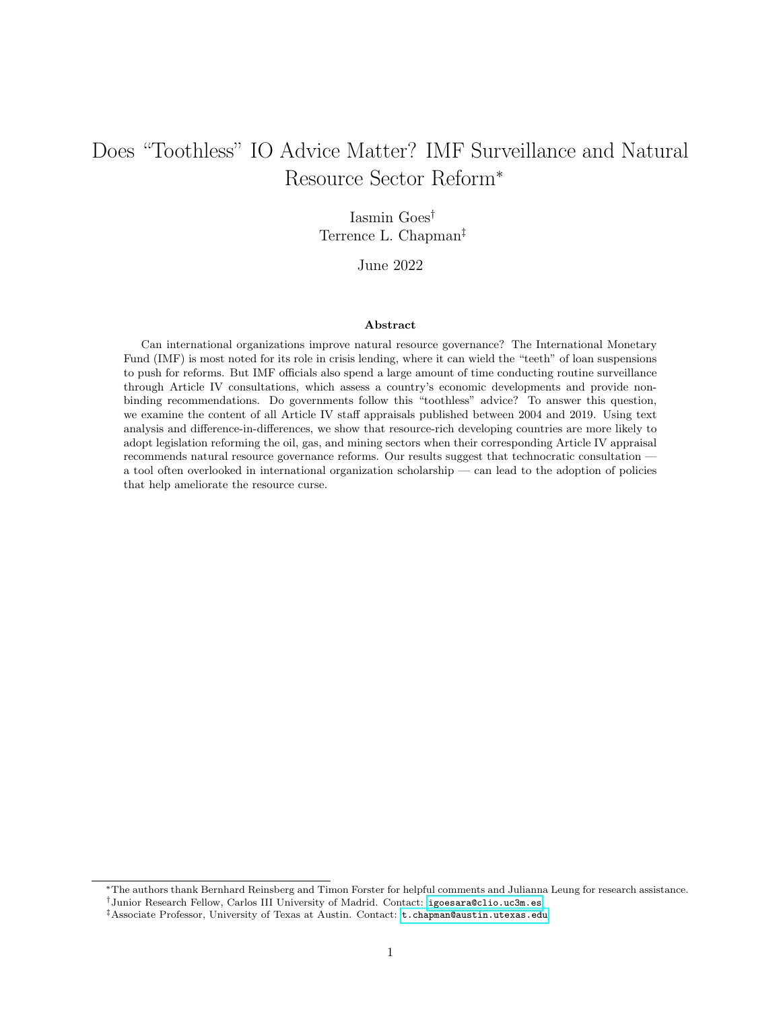[and Persson, 2014\)](#page-30-0). Thus, from the perspective of the incumbent, there are few political incentives to reform the natural resource sector.

At the same time, the idea that natural resources can pose problems for countries is also now well understood amongst economic planners, creating incentives to seek out technical advice from international financial institutions. For instance, upon discovering new sources of rare earth metals, Mongolia's economic advisors sought advice from the World Bank to learn from the experience of other resource rich countries.<sup>[6](#page-7-0)</sup> Guinea similarly requested technical assistance from several sources, including the the IMF, the African Development Bank, and the US-based nonprofit Natural Resource Governance Institute, when it instituted wide scale reforms in its mining sector.<sup>[7](#page-7-1)</sup> These cases are not isolated; the recognition of both the promise and perils of natural resource wealth has increasingly prompted countries to seek out advice on how to best structure their extractive sectors.

Incumbents thus face mixed incentives. On the one hand, natural resource reforms are often unpopular in the short-term, as they tend to require belt-tightening and new restrictions on public spending. This spending could be a useful tool for incumbents seeking to retain office. On the other hand, incumbents need to provide some semblance of economic stability, lest their electoral prospects suffer. Prudent management of natural resource revenues can help achieve that stability, and developing country government officials have incentives to look to sources with the most experience with approaches to natural resource government.

Our ultimate outcome of interest is why and when developing countries adopt advice from the IMF. As a start, we argue that governments are more likely to reform the natural resource sector in response to expert advice. A larger goal of Article IV consultation is to provide such advice and technical assistance. Governments might be more open to reform when an expert source — such as the IMF — advises them to. [Lombardi and Woods](#page-34-6) [\(2008\)](#page-34-6) review theoretical expectations about IMF surveillance, noting that the IMF is positioned to provide perhaps the most comprehensive and highest quality data to its member governments. In direct consultation with governments, the IMF can leverage its expertise to present public officials with policy reforms backed by research across countries, based on years of meticulously-collected data. This may be of particular interest to developing nations that lack the human capital, statistical capacity, and bureaucratic structures to conduct such research on their own.

Framing reforms as recommended by IO experts may also help politicians "sell" reform to their constituents when they would otherwise face stiff opposition to new policies. According to [Vreeland](#page-36-1) [\(2003\)](#page-36-1), entering an IMF agreement allows politicians to credibly tell opponents and the wider population that their

<span id="page-7-1"></span><span id="page-7-0"></span> $6$ Michael Forthsythe. "Mongolian Harvard Elites Aim for Wealth without Dutch Disease." Bloomberg. 15 February 2010.

<sup>7</sup>Thomas Lassourd and Patrick Heller. "Guinea's Mining Reforms: A Time to Act for a 'Government of Action.' " Natural Resource Governance Institute. 14 February 2014. Also: IMF. "IMF Survey: Policy Reforms, Mining Boom Power Guinea's Recover." IMF News. 6 April 2012.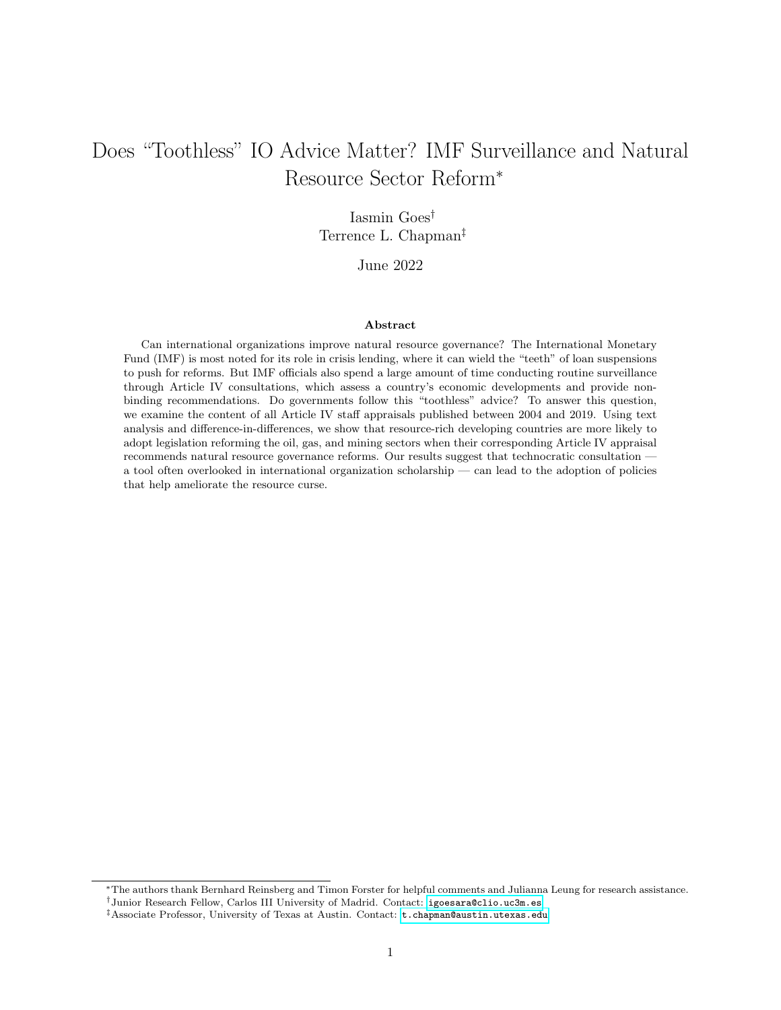hands are tied: they must implement reforms or forfeit much-needed injections of capital. Although Article IV advice comes with no such penalty if not implemented, the IMF's "seal of approval" may help convince reluctant citizens and officials. IOs like the IMF derive legitimacy from "rational legal authority" and policy expertise [\(Barnett and Finnemore, 2004a\)](#page-30-1). When citizens see IO advice as legitimate and based in the most up-to-date best practices, they are less likely to oppose change, even if it results in some short-term pain. Organizations like the IMF actively invest in their legitimacy through their hiring, transparency, and consultative practices.

To be sure, the IMF has faced its share of blows to its legitimacy (cf. [Seabrooke, 2007\)](#page-35-8), ranging from criticisms of the Washington Consensus to perceived failures during the Asian financial crisis and beyond. But one response adopted by the IMF is to foster more domestic ownership from governments [\(Best, 2007\)](#page-31-3), where ownership is defined as "a situation in which the policy content of the program is similar to what the country would have chosen in the absence of IMF involvement" [\(Khan and Sharma, 2003,](#page-33-6) 235). Article IV consultations explicitly do this through collaborative meetings that involve back and forth with country representatives. This involvement in the consultative process may produce a sense of procedural legitimacy, in addition to the legitimacy afforded the IMF because of the expertise of its bureaucrats.

More generally, Article IV consultations are an understudied example of the power and influence of IO bureaucracies. Many recent studies draw on principal-agent theory to assess when important principals are likely to influence the Fund's lending decisions (e.g. [Stone, 2002,](#page-36-8) [2011\)](#page-36-9). While powerful principals no doubt matter due to the Fund's quota-based voting system, the Fund staff exerts more influence in less salient cases or when important principals are split on a lending decision [\(Copelovitch, 2010\)](#page-32-6). Like actors in any bureaucracy, IO bureaucrats develop organizational procedures and practices in order to increase their legitimacy and power [\(Barnett and Finnemore, 2004a\)](#page-30-1). And bureaucrats have played important roles in IO design and reform [\(Johnson, 2014\)](#page-33-2). Since Article IV consultations involve lower stakes than loan programs, they are an obvious channel through which IMF staff may influence policy and leave their mark in developing countries, without the need to take geopolitical dynamics into consideration. The anecdotal evidence and the resources invested by the Fund in country surveillance suggest that such surveillance matters for real policy. If the IMF is perceived — on average — as an authority on macroeconomic and fiscal policy, we should observe more movement toward reform after Article IV consultations. Even if reform-minded governments seek out technical advice, the process of receiving such advice can tip countries over the edge to adopting real reform.

Still, consultations focus on a variety of topics. We argue that the content of an Article IV report matters: when consultations emphasize reform of the natural resource sector or make specific recommendations for reform, countries are more likely to adopt reforms. Since these reports are efforts to persuade government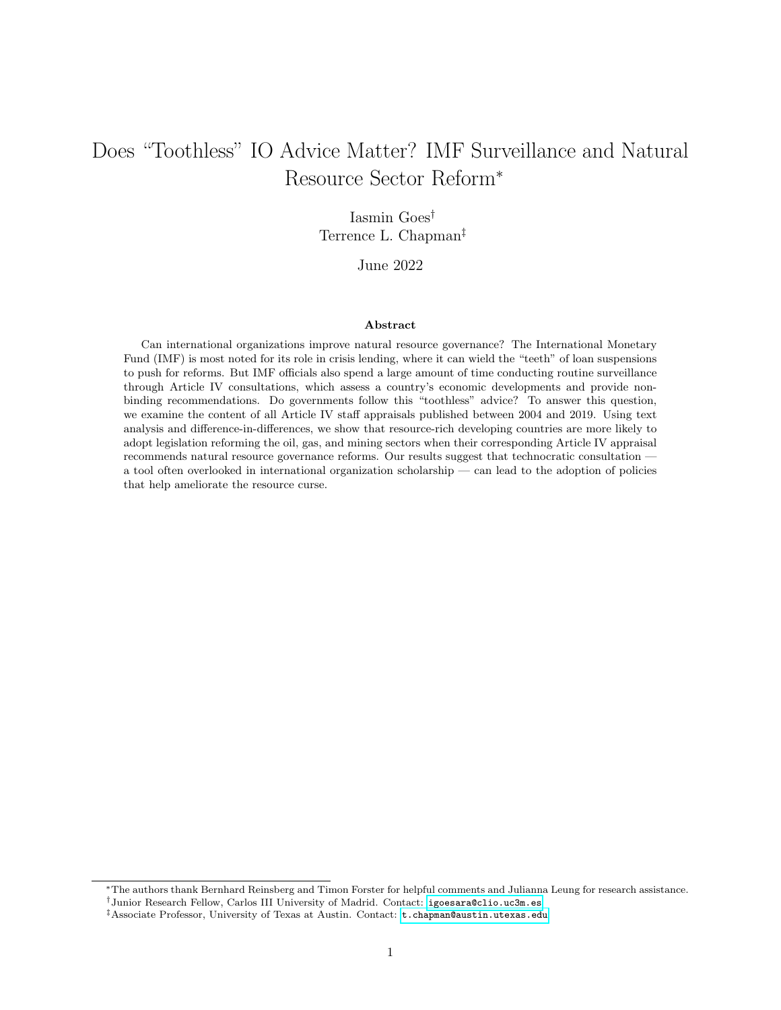officials to devote attention to meaningful policy reform, there is reason to focus on how much a report dwells on particular issue areas. Moreover, in the absence of direct transcripts of meetings during Article IV consultations, the published reports are the next best evidence of what topics were discussed. When a consultation occurs with a country like Guyana, one that seeks advice about natural resource sector management and that — in the absence of reform — is a good candidate for developing the resource curse, much of the discussion focuses on natural resource reforms. The published Staff Appraisal will reflect the tenor of that discussion.

If these reports are meant to influence authorities' behavior through peer pressure or through providing transparency to market actors, substantive content should matter. If a report discusses a particular topic at more length than others, policymakers may be more likely to take note and consider steps to address such topic. Article IV reports are expert assessments of a country's economy. They rarely dwell on non-issues, or elements of economic performance that do not need attention, instead highlighting areas of under performance or that need structural reform. Highlighting and emphasizing a specific issue often is an indicator of the urgency the IMF delegation places on the issue. Moreover, as noted above, special emphasis on topics may also be driven by government officials who want to reform, but need technical advice. Article IV consultations can therefore catalyze nascent or stalled reform efforts. For these reasons, we expect governments to be more likely to adopt legislation addressing the natural resource sector if Article IV reports discuss this sector more frequently.

Hypothesis 1: Governments are more likely to adopt natural resource reforms when an Article IV consultation directly recommends the creation of a natural resource fund or a similar fiscal rule, and as the Article IV report places greater emphasis on the natural resource sector.

#### 2.1 Possible Mechanisms

Admittedly, officials' views of the usefulness of IMF advice is bound to vary. Neoliberal beliefs might facilitate not only the request for technical advice, as we predicted in the previous section, but also the receptiveness to it. For example, [Heinzel et al.](#page-33-7) [\(2020\)](#page-33-7) find that similarity in economic policy beliefs determines perceptions of impartiality of the IMF and World Bank, and hence receptiveness to their recommendations. Building on these findings, it is possible that technocratic policymakers, who share the training and the economic beliefs of IMF staffers, are more responsive to their peers' advice: when Article IV consultations discuss the natural resource sector more frequently, these individuals should be more likely to respond to such discussions with natural resource reforms.

It is also possible that publication of Article IV reports puts market actors on alert, thereby creating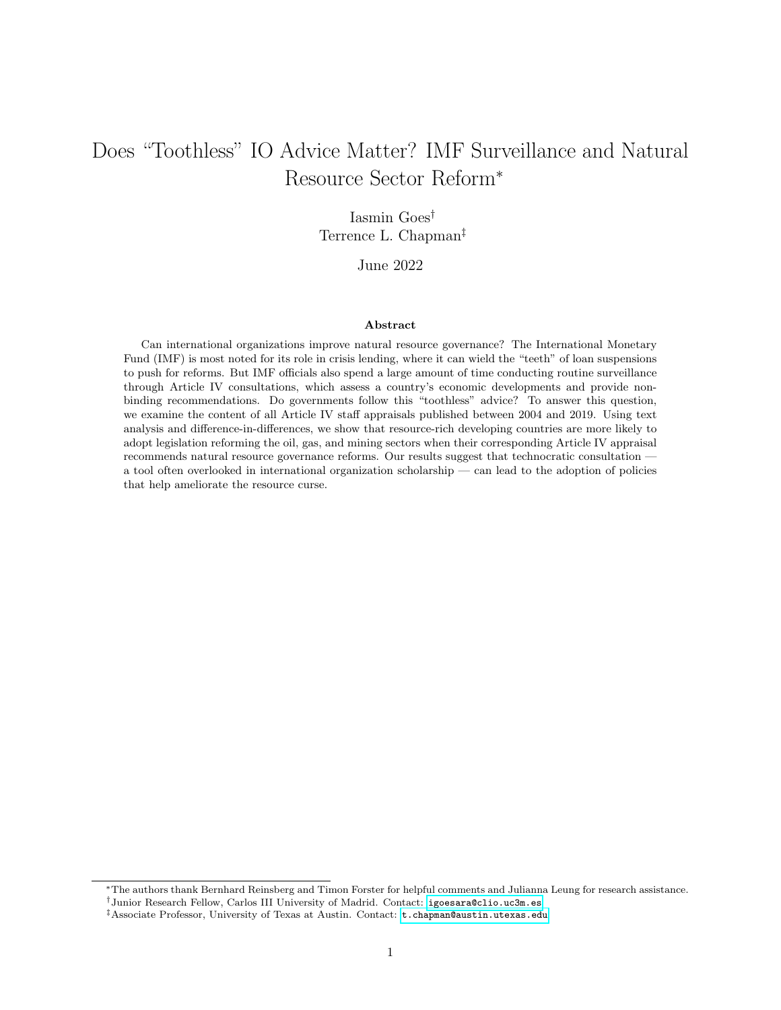pressure for countries that rely heavily on inward capital flows to adopt recommended reforms. This increased pressure may come from diffuse market actors, who see the IMF's "stamp of approval" as an important determinant of the quality of an investment environment. Multinational corporations, for instance, may be reluctant to invest in a country that has discovered new oil fields if they expect government graft or inefficiency in managing windfalls. While new discoveries improve a country's balance of payments and macroeconomic health in the medium to long run [\(Arezki et al., 2017\)](#page-30-4), international actors, wary of the resource curse, may view these discoveries with skepticism at first. If international actors gain access to information about a country's economic woes, they are likely to pay closer attention to issues that are raised more frequently in Article IV reports. Therefore, policymakers should face a greater incentive to address heavily emphasized issues in order to assuage market actors, preventing a decline in future inflows. One way to forestall such decline is to announce reforms that address the IMF's criticisms.

Still, a survey of IMF staff investigating the perceived audience of Article IV consultations concluded that "market participants find little new market-related information in the report" — in part because these reports are "too complicated and difficult to interpret" [\(Lombardi and Woods, 2008,](#page-34-6) 721). Relatedly, in a survey of 1,784 government officials, [Masaki and Parks](#page-34-7) [\(2020,](#page-34-7) 393) found that "credibility signaling to investors and donors appears to be, at best, a secondary consideration" when governments implement policies in response to external performance assessments.[8](#page-10-0) Moreover, extant research suggests that market actors tend to use a few macroeconomic indicators as cognitive "shortcuts" [\(Mosley, 2000\)](#page-34-8), and Article IV reports may not contain much information that is not already available through other sources, such as the ratings of sovereign risk agencies. If anything, these reports are confirmatory: they strengthen market actors' pre-existing beliefs about the economic circumstances of a country. In one of the few empirical investigations into IMF surveillance, [Edwards](#page-32-2) [\(2018\)](#page-32-2) finds little evidence that surveillance affects developing country financial markets. Thus, there is reason for skepticism that Article IV reports substantially move the priors of multinational corporations or international creditors.

The last alternative explanation suggests that recidivist borrowers may be especially eager to adopt recommended reforms because they wish to stay in the "good graces" of the Fund. Although Article IV consultations lack the "teeth" of conditions attached to loan tranches, the IMF may take into consideration compliance with these recommendations when negotiating future loan programs. Since there is a high rate of recidivism in IMF borrowing [\(Bird, 1996,](#page-31-4) [2001;](#page-31-5) [Bird et al., 2004\)](#page-31-6), countries that borrowed regularly in the past and expect to do so in the future may be more likely to comply with Article IV consultations in order to remain in the IMF's "good graces." Even if implementation of Article IV advice is not formally linked to

<span id="page-10-0"></span><sup>&</sup>lt;sup>8</sup>The main consideration is whether these performance assessments provide "practical solutions to help address critical issues facing the country" [\(Masaki and Parks, 2020,](#page-34-7) 393).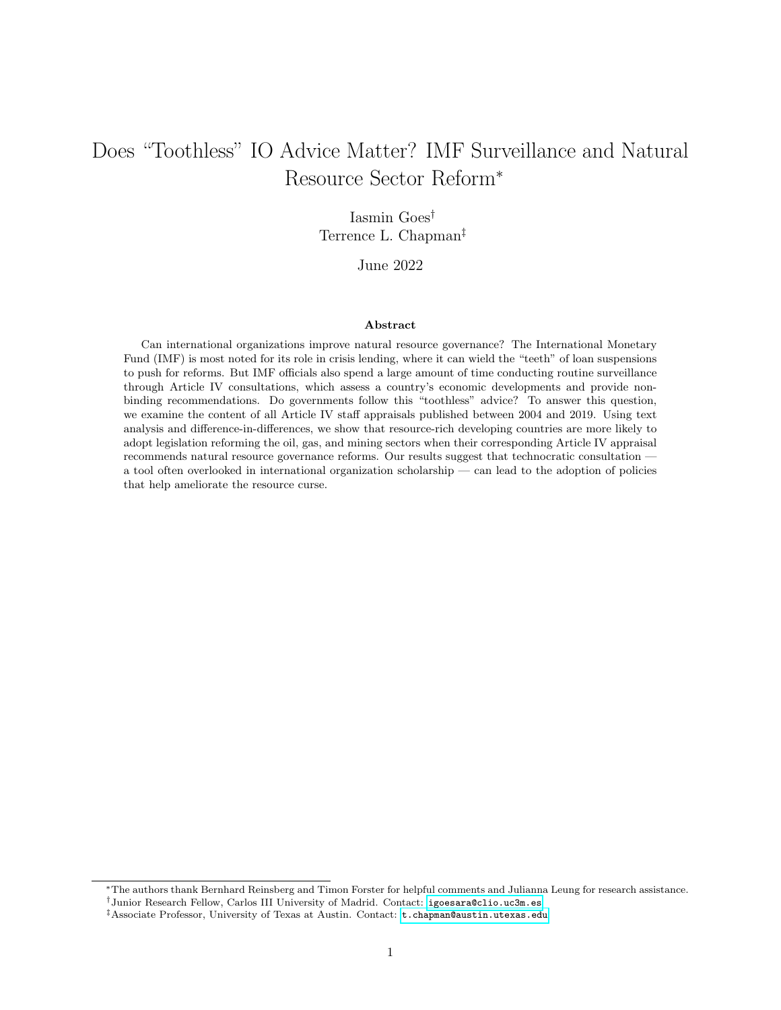access to crisis borrowing, negotiations over IMF bailout packages involve bargaining between governments and the Fund [\(Stone, 2002\)](#page-36-8). The IMF may be more willing to lend, and with less stringent terms, if a country has previously shown to be both able and willing to address macroeconomic and fiscal policy issues prior to a crisis. This may be especially true for governments that have adopted policies directly recommended by the IMF itself.

Indeed, Article IV consultations frequently reference progress made since previous consultations. For instance, in its 2014 report on Mexico, the Fund wrote: "with the political environment highly unsettled, there was no progress on most of the critical issues discussed in the 2004 Article IV consultation. The elimination of the oil stabilization fund and changes to the fiscal responsibility law and pension system have weakened the macroeconomic policy framework." Despite identifying political instability as an obstacle to reform, there is a notable reference to the lack of progress made by the Mexican government in implementing sound fiscal policy as well as the backward slide of eliminating the oil stabilization fund. But given that progress on Article IV recommendations is not formally tied to access to future loan tranches, the IMF is unlikely to deny funding to an economy in crisis solely because it did not implement suggestions from a non-binding consultation. Recidivist borrowers may be the ones least able to act upon the advice of Article IV consultations, since they tend to suffer from deeper structural and political challenges — like weaker governance, lower investment rates, and higher debt — that make it difficult to adopt sweeping reforms [\(Bird et al., 2004\)](#page-31-6).

### 3 Data

#### 3.1 Article IV Consultations

We examine all Article IV consultations conducted and published between 1 January 2004 and 31 December 2019. This dataset was compiled by [Mihalyi and Mate](#page-34-4) [\(2018\)](#page-34-4) for 2004–2018; we extend it until 201[9](#page-11-0).<sup>9</sup> There is substantial variation in data availability across countries and regions, as confirmed by Figure [3,](#page-12-0) in particular during the early years (2004–2005), when only four out of five countries tended to agree with the full publication of reports. At the time, democracies were more likely to agree with publication, while Latin American governments were less likely to do so [\(Edwards et al., 2011\)](#page-32-4). By 2014–16, this figure had improved considerably, as 95% of all reports were made public [\(Mihalyi and Mate, 2018\)](#page-34-4). Given our interest in natural resource governance, we focus on all consultations for 80 resource-rich developing nations. Figure

<span id="page-11-0"></span><sup>9</sup>Our dataset also includes some consultations for the 2004–2018 period that had not been published at the time of [Mihalyi](#page-34-4) [and Mate'](#page-34-4)s data collection. Though some information is available for 2020, most Article IV consultations that year were suspended due to the COVID-19 pandemic, which is why our analysis ends in December 2019.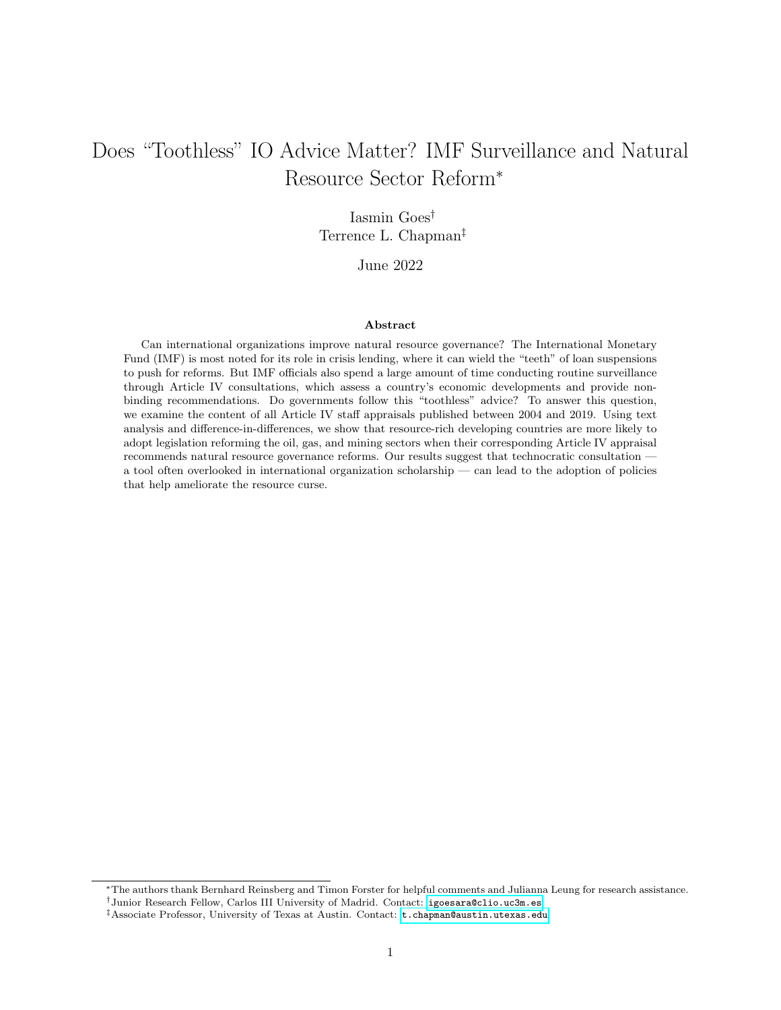[4](#page-12-1) summarizes the types of observations included in our sample.[10](#page-12-2)

<span id="page-12-0"></span>

Figure 3: Number of Publicly Available Reports, by Country, 2004–2019

This figure shows the number of Article IV consultations that were conducted and made publicly available for each country between 2004 and 2019. No reports are available for Eritrea, Oman, Turkmenistan, or Venezuela.

We identify 834 country-years for which consultations were scheduled and 439 country-years for which consultations were not. Some countries are monitored in more detail and more frequently than others, depending on their regional importance, size of outstanding loans, and perceived macroeconomic risk,<sup>[11](#page-12-3)</sup> but for most countries, Article IV consultations take place every 12 to 24 months.

Figure 4: Types of Observations

<span id="page-12-1"></span>

Though a consultation was scheduled for 834 country-years, these scheduled consultations did not always happen, due to political unrest or because authorities and staff could not agree on a date to meet. Since

<span id="page-12-2"></span> $10$ We examine 80 countries over 16 years, but only eight years are available for South Sudan, which became independent in 2011; hence,  $N = 1,273$ .

<span id="page-12-3"></span><sup>11</sup>For instance, during the period under study, a report was produced for China, Japan, and the US every single year.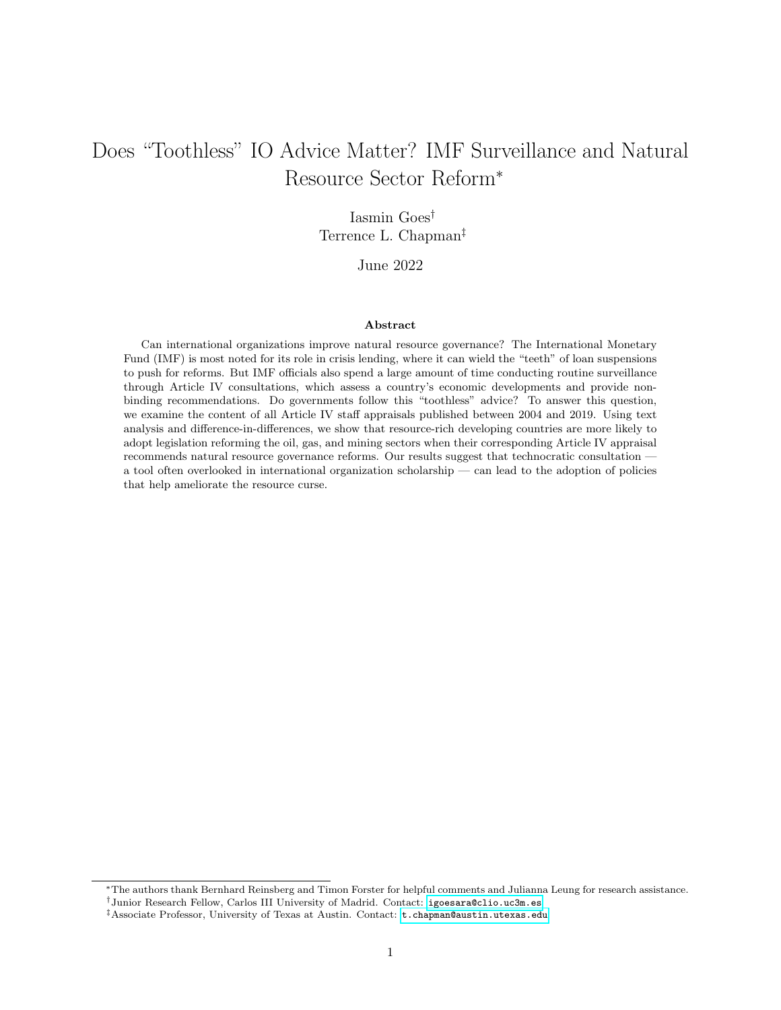2012, the IMF publishes a yearly list of such consultation delays (e.g. [IMF, 2017\)](#page-33-8). While this list likely underestimates the number of delayed reports before 2012, it allows us to make general inferences about 74 consultations that should have happened and did not (see appendix for full list). For example, Venezuela's last consultation was completed in September 2004; the subsequent consultation was scheduled for September 2005, but President Hugo Chávez did not grant access to IMF staff and severed ties with the Fund (at least symbolically) in 2007.<sup>[12](#page-13-0)</sup> Thus, Venezuela is "behind" on 15 consultations that would otherwise have happened after 2004. Argentina, Libya, Syria, and others similarly missed scheduled consultations.

A scheduled consultation was successfully conducted in 760 cases, but sometimes the country under appraisal opposed the publication of the resulting report. For instance, Turkmenistan took part in regular consultations: even though the IMF did not publish the full reports, it released short summaries, in the form of Public Information Notices or Press Releases. This is the case for a total of 56 country-year pairs, like Argentina in 2006 and Angola in 2008.

Lastly, there are 700 country-years for which consultations were scheduled, conducted, and published. These are the observations that interest us most. At least one report was published for each of the 80 countries, with the exception of Eritrea, Turkmenistan, and Venezuela. The number of available reports by country ranges from two (Nauru) to 16 (Russia), with an average of 9.09.

As shown in Figure [1,](#page-3-0) every published Article IV consultation consists of at least three parts: a press release that condenses the views of the IMF Executive Board; a Staff Report that provides key information about the country in question; and an Informational Annex that summarizes the country's history with the IMF, in addition to identifying potential statistical issues with the data provided by the local authorities. We focus on the Staff Report, specifically the subsection Staff Appraisal. This section is arguably formal and technocratic, whereas the assessment of the Executive Board is more susceptible to informal governance.<sup>[13](#page-13-1)</sup> On average, these appraisals are 956 words long, ranging from 385 (Senegal 2010) to 2,789 (China 2010).

#### 3.2 The Emergence of Natural Resource Funds

In its appraisal, the IMF staff frequently recommends the adoption of one policy tool: a natural resource fund. According to the IMF, these funds can "support the implementation of sound fiscal policies" and "enhance the transparency and credibility of fiscal policy" [\(Baunsgaard et al., 2012,](#page-30-5) 20). Correspondingly, we examine whether variation in the content of Staff Appraisals increases the odds that a country will pass any legal document (that is, a law, statute, act, code, or executive decree) related to a natural resource

<span id="page-13-1"></span><span id="page-13-0"></span><sup>12</sup>Saul Hudson. "Venezuela to quit IMF, World Bank." Reuters. 1 May 2007.

<sup>13</sup>For example, 5 of the 24 members of the Executive Board are appointed by the IMF's largest shareholders (France, Germany, Japan, the United Kingdom, and the US). [Stone](#page-36-9) [\(2011,](#page-36-9) 56) shows that "the Executive Board ratifies whatever the IMF management proposes" — and, given that the management is controlled by the largest shareholders, the assessment of the Executive Board is likely influenced by their political preferences.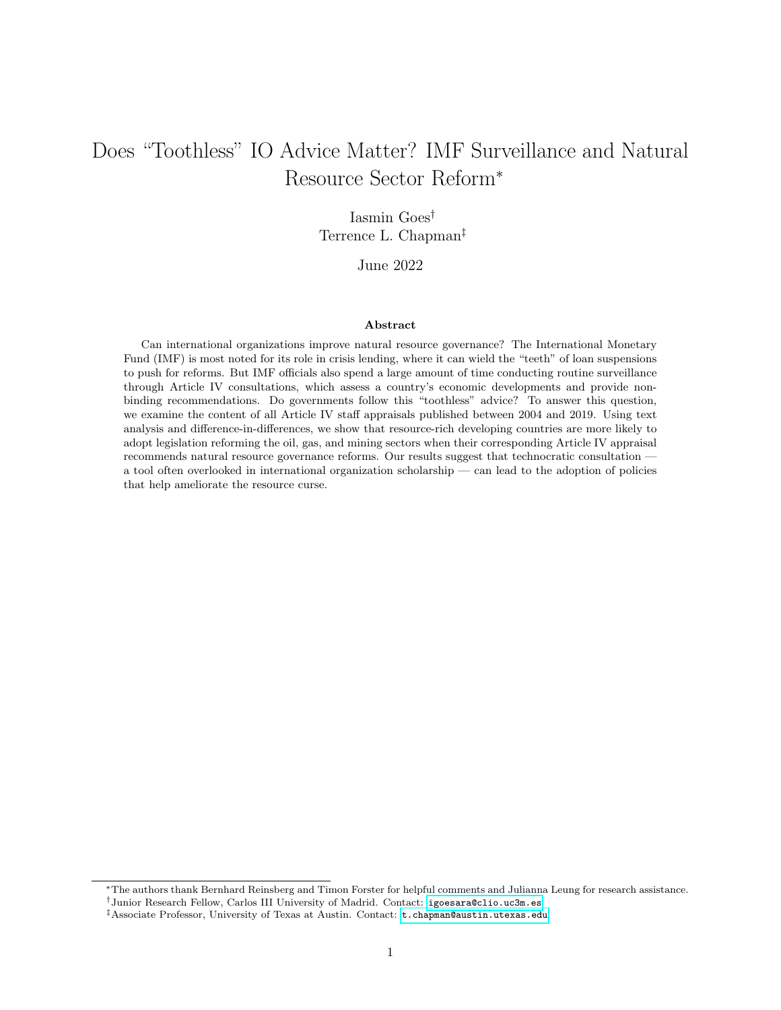fund in the subsequent year. [Goes](#page-32-9) [\(2022\)](#page-32-9) collected these legal documents from Official Gazettes, based on information provided by the [Natural Resource Governance Institute](#page-34-9) [\(2017\)](#page-34-9). We opt for this dependent variable, rather than more general fiscal rules, in order to maximize comparability across countries in policies adopted.

During the period under study, 33 of the 80 governments passed a total of 53 such legal documents (which we call "natural resource policy" in brief).<sup>[14](#page-14-0)</sup> Ecuador leads the list, with four organic laws (passed in 2005, 2006, 2008, and 2018) creating or regulating three different oil funds to stabilize the economy and reduce the size of the public debt. Figure [5](#page-14-1) showcases the distribution of such documents over time, from 2004 until 2019.

<span id="page-14-1"></span>

Figure 5: Distribution of Legal Documents Over Time, 2004–2019

Though these legal documents vary in length, their content is typically similar: they outline the purpose of the fund, appoint a committee to manage the fund's assets, delimit what assets the fund can invest in, and stipulate annual deposit as well as withdrawal limits (that is, what percentage of resource revenue must be deposited into the fund and how much of this revenue can enter the public budget every fiscal year). Guyana's aforementioned Act No. 12 – Natural Resource Fund Act begins by outlining the purpose of the Natural Resource Fund: "to manage the natural resource wealth of Guyana for the present and future benefit of the people." Then, it assigns overall management duties to the Minister of Finance, but also creates the Public Accountability and Oversight Committee to monitor and evaluate "whether the Fund has

This figure shows the number of legal documents passed on every year from 2004 until 2019. At least one legal document was passed every year, with the exception of 2009.

<span id="page-14-0"></span><sup>14</sup>This includes Venezuela (2005) and Turkmenistan (2014 and 2018), though we are unable to observe the effect of IMF surveillance on these two countries; as previously mentioned, Venezuela refused to participate in Article IV consultations and Turkmenistan opposed publication of its reports.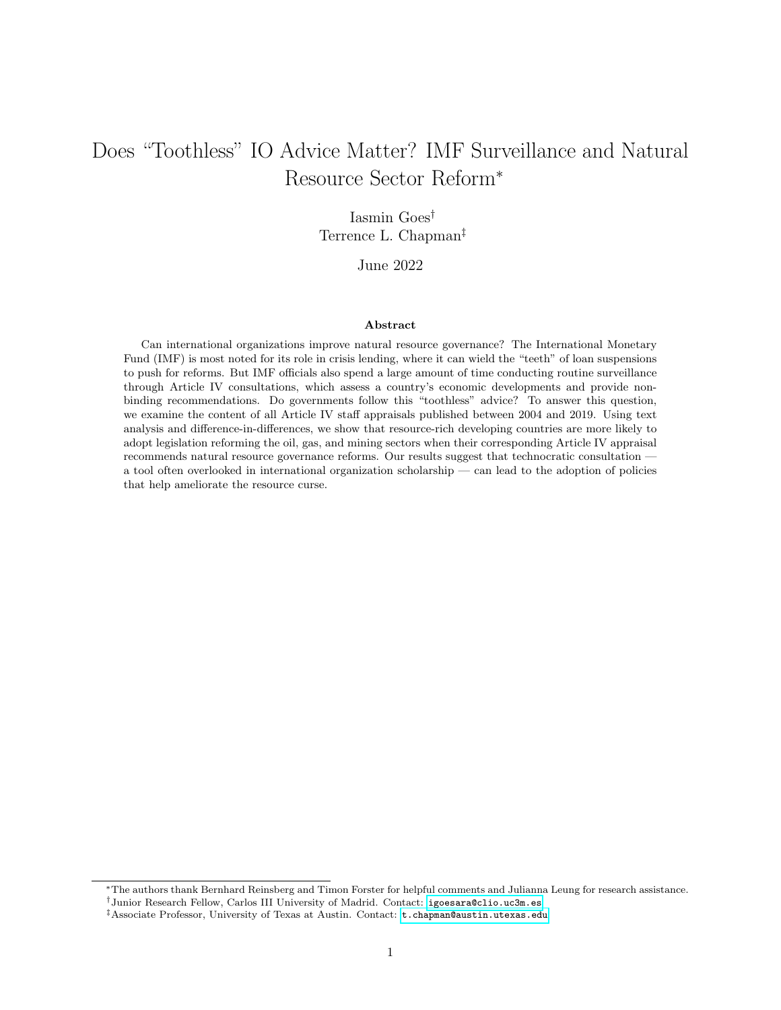been managed in accordance with the principles of transparency, good governance and international best practices." The Fund must be invested in safe assets, including treasury bills issued by countries with a sovereign credit rating of A or above and equities included in the MSCI World Index. According to the Act No. 12, all oil royalties, profits from production sharing agreements, and taxes levied on the profits of oil-producing companies must be deposited into the Fund. Finally, the Act determines that all withdrawals must be approved by parliament and cannot exceed the Economically and Fiscally Sustainable Amount, calculated according to annual inflation, exchange, debt, and growth rates. All these measures align with the best practices identified by the IMF (e.g. [IMF, 2008\)](#page-33-9).

For every country-year, our outcome of interest is a dichotomous indicator of Policy Passage. Of course, this variable says little about policy outcomes — we do not know if Guyana's Natural Resource Fund is actually managed according to international best practices or if all withdrawals are truly approved by parliament. But passing a legal document like Guyana's Act No. 12 is a good indicator that countries follow IMF advice. Even if governments are not always institutionally equipped to implement this advice, their willingness to promote de jure reforms is a necessary condition to promote de facto reforms [\(Amick](#page-29-1) [et al., 2020\)](#page-29-1). In fact, IOs often encourage de jure institutional reforms — which are easier to measure and accomplish — as the first practical step toward enacting concrete changes [\(Buntaine et al., 2017\)](#page-31-7). Thus, our outcome of interest is a policy input (rules, institutions, and procedures), rather than a policy outcome, which is often beyond government control and difficult to operationalize across countries [\(Masaki and Parks,](#page-34-7) [2020\)](#page-34-7).

#### 3.3 Quantifying IMF Advice

Article IV consultations might increase the odds of Policy Passage in three main ways; we generate three independent variables, or treatments, to account for these three scenarios. First, countries might be more likely to pass natural resource policy simply by virtue of participating in a consultation and publishing the corresponding report. Given that participation with publication is the norm, we do not expect this treatment to have a significant effect on the outcome of interest, but we test for it nonetheless. Therefore, our first independent variable, Published Consultation, takes the value of one if a country-year pair is associated with a published Article IV consultation, and zero otherwise. This is the case for 700 country-year pairs, as Figure [6](#page-16-0) shows.

Second, countries might be more likely to pass such policy if they participate in a consultation that mentions natural resources at least once. Thus, our second independent variable, Consultation Promotes Natural Resource Governance, takes the value of one if a country-year pair is associated with an Article IV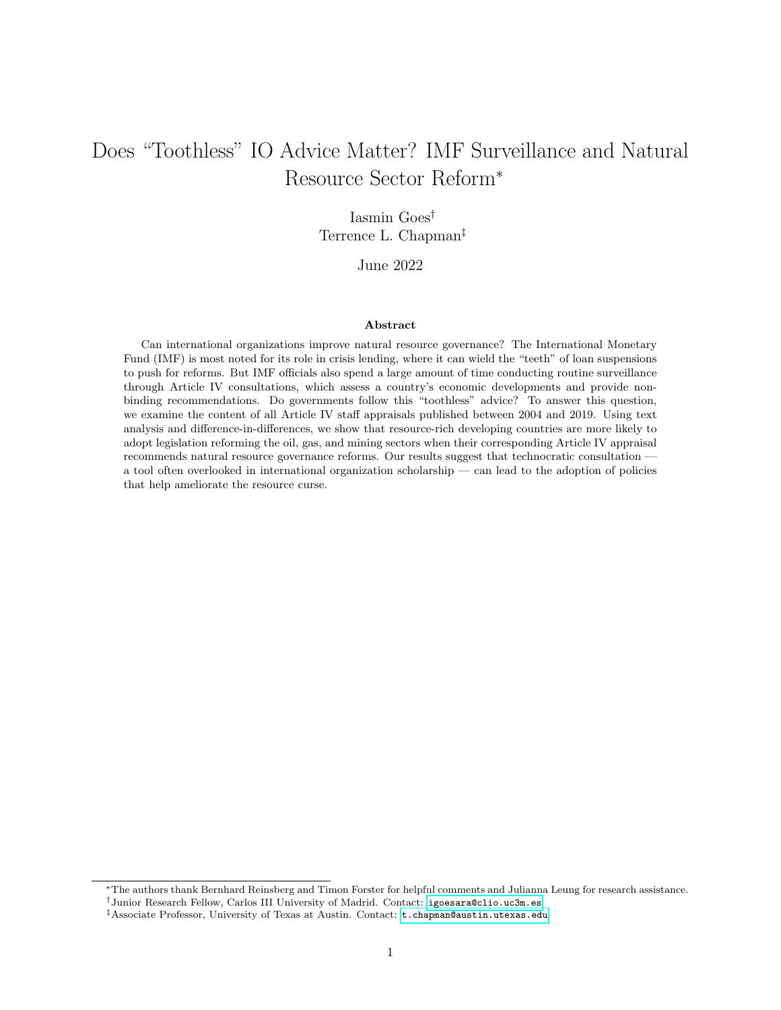<span id="page-16-0"></span>

Figure 6: Treatment 1 — Published Article IV Consultation

This figure indicates how the variable Published Consultation is coded for each country (y-axis) and year (x-axis). A countryyear pair is part of the treatment group if it is associated with a published Article IV consultation, and is part of the control group otherwise. Note that seven years are missing for South Sudan, a country that only became independent in 2011.

consultation that promotes natural resource governance, and zero otherwise — a strategy that is similar to what several researchers already adopt when studying the effects of IMF conditionality (e.g. [Kentikelenis](#page-33-10) [et al., 2016;](#page-33-10) [Rickard and Caraway, 2019\)](#page-35-9). In our manual coding, we consider that a consultation promotes natural resource governance if it includes general language advising countries to "establish a comprehensive framework for managing oil wealth" (Guyana, 2017), but also if it includes specific advice that "it is important that a petroleum fund be established swiftly in time for increased inflows of oil/gas revenues" (Timor-Leste, 2004). A mere mention of natural resources is not enough and nor is a mention of resource prices or subsidies; a country is only coded as receiving the treatment if the IMF actively encourages it to promote policy changes in the resource sector. Figure [7](#page-17-0) shows that 253 country-year pairs receive this treatment.

Third, countries might be more likely to pass such policy if they participate in a consultation that mentions natural resources frequently. Although there are no direct transcripts of meetings during Article IV consultations, the content of the Staff Appraisal likely reflects how extensively each topic was discussed during the actual meetings. This, in turn, might signal how necessary the IMF considers natural resource reform to be for the country in question. We generate a dictionary of resource-related terms (like natural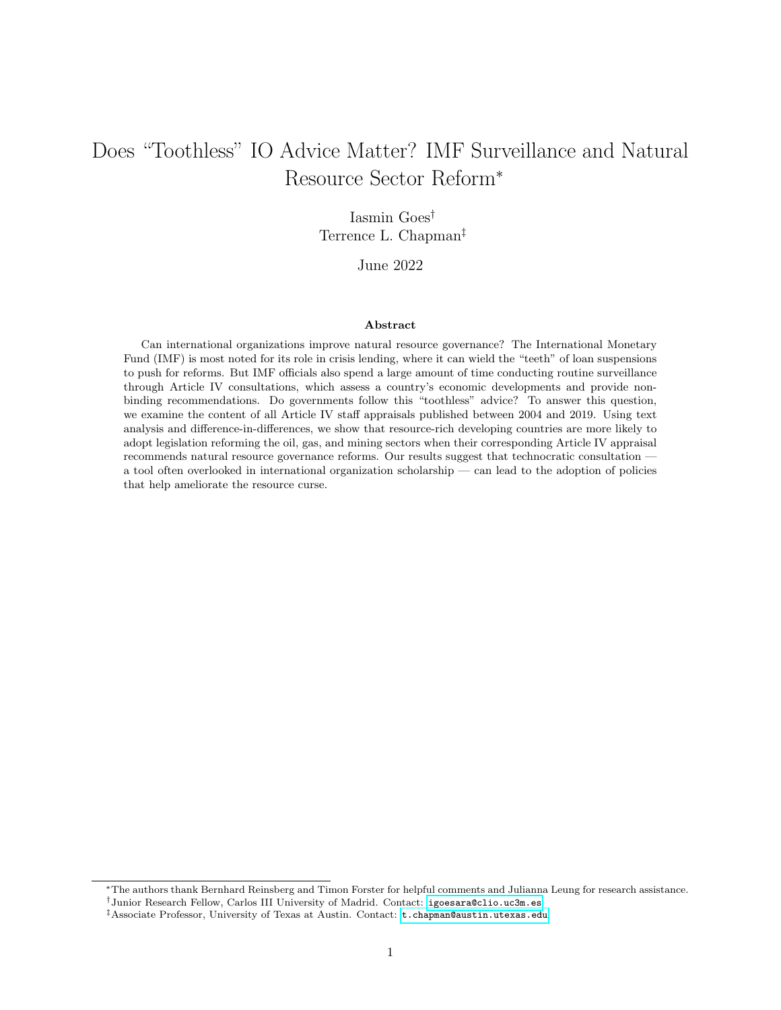<span id="page-17-0"></span>

Figure 7: Treatment 2 — Article IV Consultation Promotes Natural Resource Governance

This figure indicates how the variable Consultation Promotes Natural Resource Governance is coded for each country (y-axis) and year (x-axis). A country-year pair is part of the treatment group if it is associated with a published Article IV consultation that promotes natural resource governance, and is part of the control group otherwise. Note that seven years are missing for South Sudan, a country that only became independent in 2011.

resource, oil, hydrocarbon, or  $EITI$  — see appendix for full list) and count how frequently such words are mentioned. This frequency count, which ranges from zero (Afghanistan 2004) to 21 (Timor-Leste 2004), is used to generate our third and last independent variable, Natural Resource Term Frequency. As Figure [8](#page-18-0) shows, there are more Afghanistans than Timor-Lestes in the sample: 192 consultations do not mention a single natural resource term, and 111 consultations mention just one. Since Staff Appraisals can vary considerably in length, our robustness checks (reported in the appendix) replace Natural Resource Term Frequency with the term frequency–inverse document frequency (TF–IDF) statistic, a common weighting scheme that gives more weight to less frequent words.

## 4 Research Design and Results

#### 4.1 Identification Strategy: Difference-in-Differences

Nearly all extant studies examine the role of IMF advice in the context of loan conditionality, which means that they must grapple with the issue of endogeneity [\(Stubbs et al., 2020\)](#page-36-10). Given that countries self-select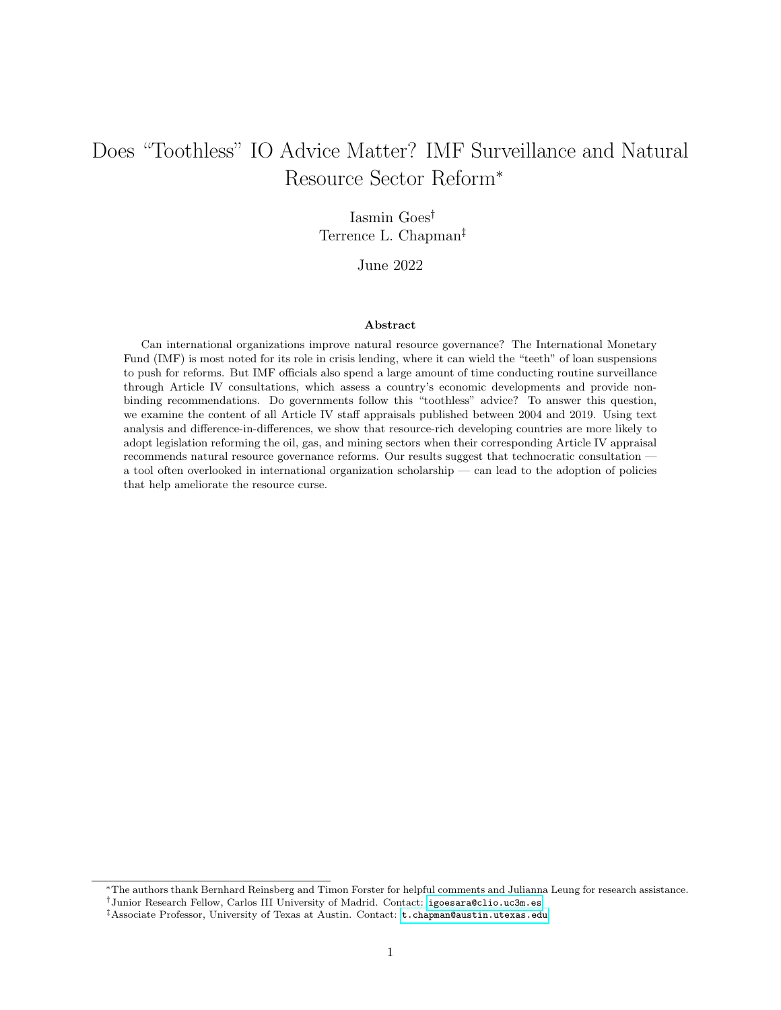<span id="page-18-0"></span>

Figure 8: Treatment 3 — Frequency Count of Natural Resource Terms

This figure indicates the absolute (left) and weighted (right) distribution of natural resource terms across the 700 Article IV consultations examined here. The distribution on the left corresponds to the variable Natural Resource Term Frequency, used in our main analysis, whereas the distribution on the right corresponds to the variable Natural Resource TF–IDF, used in robustness checks.

into loan agreements, borrowers tend to be intrinsically different from non-borrowers. This is less of a concern in a study of Article IV consultations. It is true that Venezuela has consistently refused to participate, and other governments, like Turkmenistan or Eritrea, have sometimes opposed the publication of reports. But participation is the norm, as Figure [4](#page-12-1) shows: consultations are scheduled ahead of time, and most countries agree to surveillance on a regular basis. Therefore, unlike entrance into a loan agreement (which commits them on paper to specific reforms), governments do not seem to strategically select into (or out of) Article IV consultations, except in rare circumstances.

Still, we are interested in mitigating the effects of any potential selection bias, which is why we estimate difference-in-differences models (DiD) to quantify the effect of IMF advice on natural resource policy passage, as measured by the binary variables Published Consultation and Consultation Promotes Natural Resource Governance. This approach is helpful to establish whether Article IV consultations make any difference, above and beyond what countries would ordinarily do in the absence of such advice.

The canonical DiD setup assumes that there are two time periods,  $t = 1, 2$ , and two groups. Between  $t = 1$  and  $t = 2$ , one of the groups receives the treatment of interest, whereas the other group remains untreated, leading to the outcomes  $Y_{it}(1)$  and  $Y_{it}(0)$ , respectively, for unit i at time t. According to the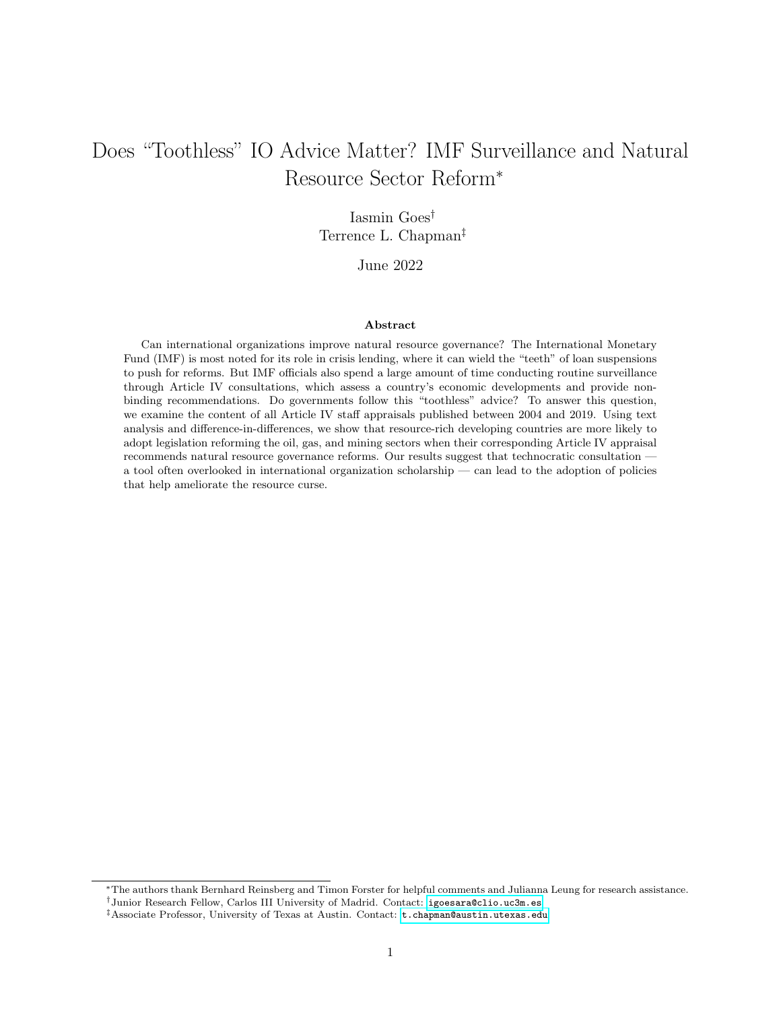parallel trends assumption, all factors affect all units between  $t = 1$  and  $t = 2$  in the same way, such that the trends in the outcome of interest would be the same for both groups in the absence of treatment; the treatment alone explains all the deviation. If the parallel trends assumption holds, we can estimate the average treatment effect by differencing between groups,  $\delta = Y_{it}(1) - Y_{it}(0)$ . When there are more than two units and two time periods, the standard approach is to estimate the two-way fixed effect (TWFE) specification

$$
y_{it} = \alpha_i + \lambda_t + \delta D_{it} + \epsilon_{it},\tag{1}
$$

where  $y_{it}$  is the outcome of interest,  $\alpha_i$  and  $\lambda_t$  are unit and period fixed effects, respectively, and  $D_{it}$  is a treatment dummy corresponding to  $\alpha_i \times \lambda_t$  [\(Goodman-Bacon, 2021,](#page-32-10) 255).

Our setting differs from the canonical setup in three ways. First, the parallel trends assumption is unlikely to hold unless we condition it on time-varying covariates. After all, not all countries are equally likely to receive advice pertaining to natural resource funds; countries with more natural resources (that is, with a larger GDP share of resource rents) are conceivably more likely to receive such advice than countries with a comparatively small natural resource sector. We thus estimate models with five covariates. In addition to the GDP share of resource rents and logged GDP per capita (both reported by the World Bank), we control for the discovery of a giant, supergiant, or megagiant oil and gas field (with over 500 million recoverable barrels of oil or over 3 trillion cubic feet of gas, using data from [Horn 2014\)](#page-33-11).[15](#page-19-0) Between 2004 and 2019, seven of the 80 countries included in our analysis discovered oil or gas for the first time (Ghana, Mozambique, Sierra Leone, Ethiopia, Tanzania, Senegal, and Guyana), and many already established producers discovered additional fields; these discoveries likely increased the odds of passing natural resource policy as well as the odds of receiving IMF advice pertaining to this sector. We further control for current participation in an IMF program [\(Kentikelenis et al., 2016\)](#page-33-10) and for the professional training of the Finance Minister. The latter is important because individuals with graduate training from US economics departments might be more attuned to the resource curse, placing a higher value both on resource sector reform and on technocratic recommendations pertaining to this sector. Following [Chwieroth](#page-31-8) [\(2013\)](#page-31-8) and [Nelson](#page-34-10) [\(2017\)](#page-34-10), we use the CIA Chiefs of State and Cabinet Members of Foreign Governments directory to identify all finance ministers and then collect individuals' educational backgrounds using newspapers and government websites. The resulting variable, Technocratic Finance Minister, takes the value of one if the finance minister in question attended graduate school in an economics department in the US, and zero otherwise. In the appendix, we provide evidence that the parallel trends assumption holds when controlling for these five factors.

Our setting further differs from the canonical DiD in that our treatment is not simultaneous, but stag-

<span id="page-19-0"></span><sup>&</sup>lt;sup>15</sup>[Horn'](#page-33-11)s coverage ends in 2014. We thank James Cust and Alexis Rivera Ballesteros from the World Bank for sharing data extending this coverage until 2019.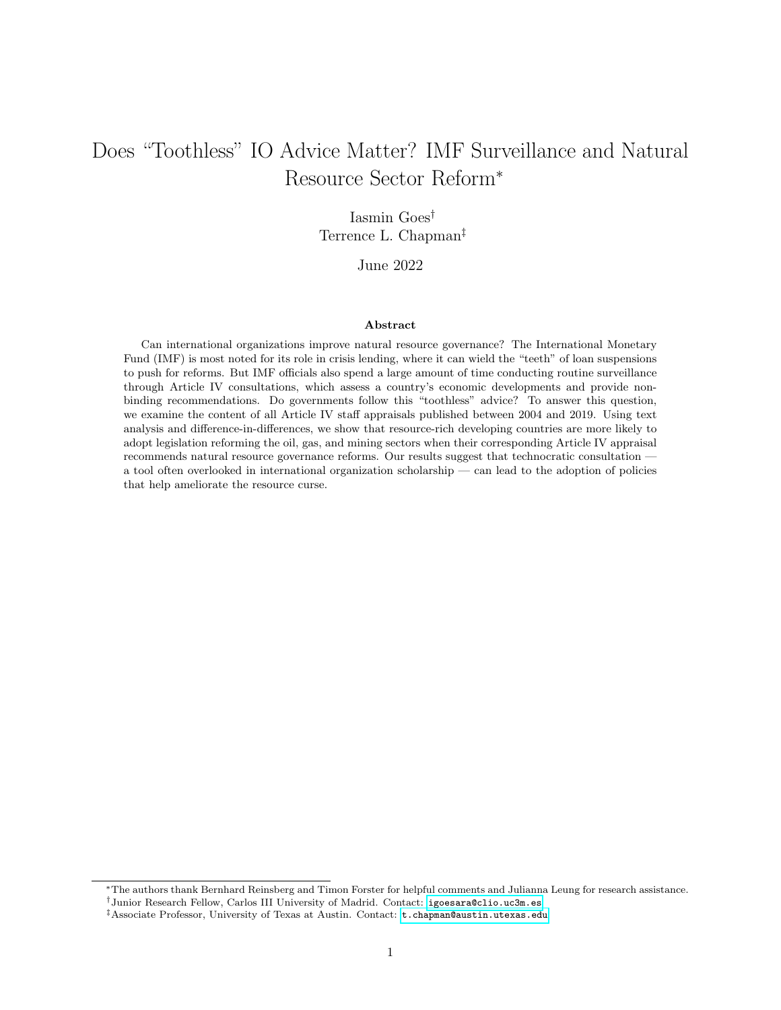gered. Countries are not all treated at once; they can receive natural resource advice at any point in time between 2004 to 2019. Indeed, the treatment is reversible, not absorbing, which means that it switches on and off: countries might receive natural resource advice from the IMF in one year, but not in the subsequent year. Lastly, our setting includes heterogeneous and dynamic treatment effects: treatment effects differ across cohorts (that is, "late adopters" and "early adopters" respond to the treatment differently), but also over time. For example, the effect of IMF advice in 2013, when oil prices peaked at 222 USD per barrel, is likely different from its effect in 2004, when a barrel of oil cost 82.10 USD.

Recent research has shown that the standard TWFE specification is biased in the presence of staggered treatment timing with dynamic and heterogeneous treatment effects [\(Baker et al., 2022;](#page-30-6) [Roth et al., 2022\)](#page-35-10). To overcome these limitations, we use the counterfactual estimators developed by [Liu et al.](#page-34-11) [\(2020\)](#page-34-11) that allow researchers to find the average treatment effect by imputing counterfactuals for observations in the treatment group. Although treated observations are missing from the control outcome matrix (in the sense that we cannot observe their potential outcomes), this estimation framework assumes that such missing observations can be imputed using untreated observations with similar values. Specifically, we use the matrix completion method [\(Athey et al., 2021\)](#page-30-7), which provides more reliable causal estimates. The downside of this approach is that it automatically discards treated units (in our case, countries) that have too few pre-treatment periods, since there is not enough information available from the control group to impute counterfactuals for the treatment group. This is a particular concern for Treatment 1 (published Article IV consultation), since countries like China were "treated" for 13 out of the 16 years between 2004 and 2019, therefore dropping out of the analysis; it is less of a concern for our main treatment of interest, Treatment 2 (Article IV consultation promotes natural resource governance), which is less frequent. Despite these limitations, we present the results of the counterfactual estimators in the main text and report alternative models in the appendix.

Since our outcome variable is dichotomous, the coefficients correspond to those of a linear probability model: they indicate the probability of observing *Policy Passage*. We favor the linear probability model due to its ease of interpretation [\(Angrist and Pischke, 2009\)](#page-30-8); the alternative would be to use non-linear difference-in-difference estimators (e.g. [Athey and Imbens, 2006\)](#page-30-9), but they are far less common and much harder to implement or interpret. Linear probability models tend to have two downsides: they generate fitted values outside of the [0, 1] boundaries and their error terms tend to be heteroskedastic. The first issue is less of a concern — we are not interested in the fitted values themselves as much as in the average difference between fitted values of the treatment and control groups. As to heteroskedasticity, we address it by clustering standard errors by country, as most DiD implementations do [\(Cunningham, 2021\)](#page-32-11).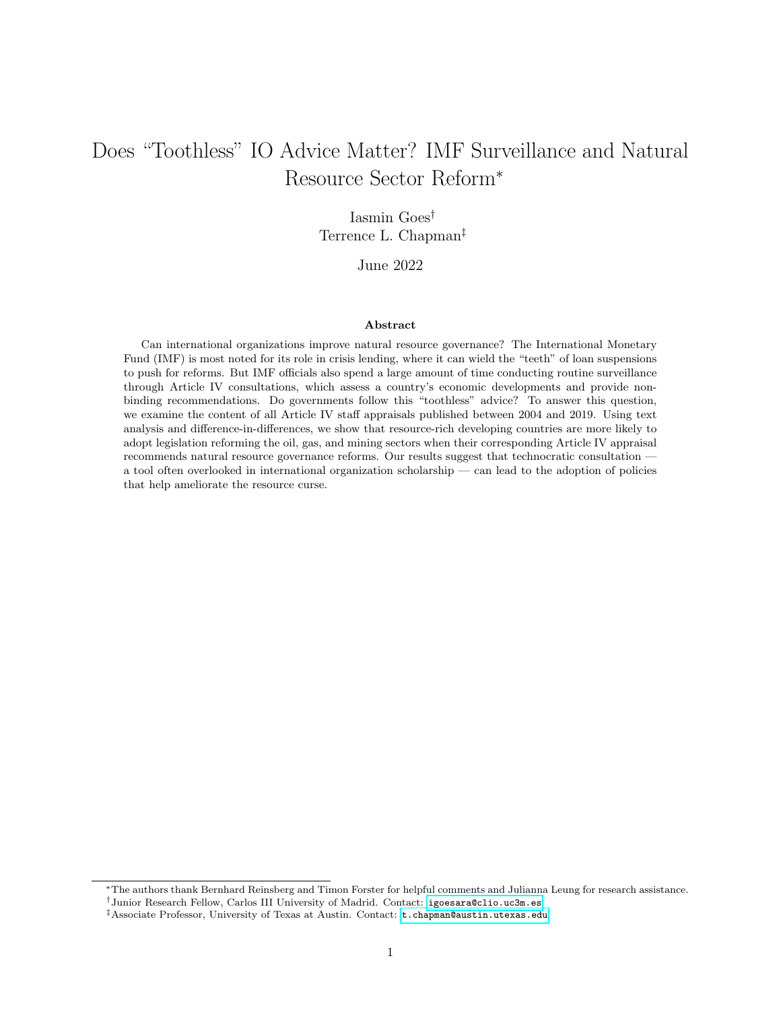### <span id="page-21-0"></span>4.2 First Results





Treatment 1 − Published Article IV Consultation

This figure shows the estimates of the average treatment effect on the treated (ATT) for Published Consultation (top) and Consultation Promotes Natural Resource Governance (bottom) on Policy Passage, calculated using the matrix completion method, with 90 and 95 percent confidence intervals, conditioning on the five time-varying covariates discussed previously. Standard errors are clustered at the county level.

Figure [9](#page-21-0) shows the period-wise average treatment effect on the treated (ATT), with 90 and 95 percent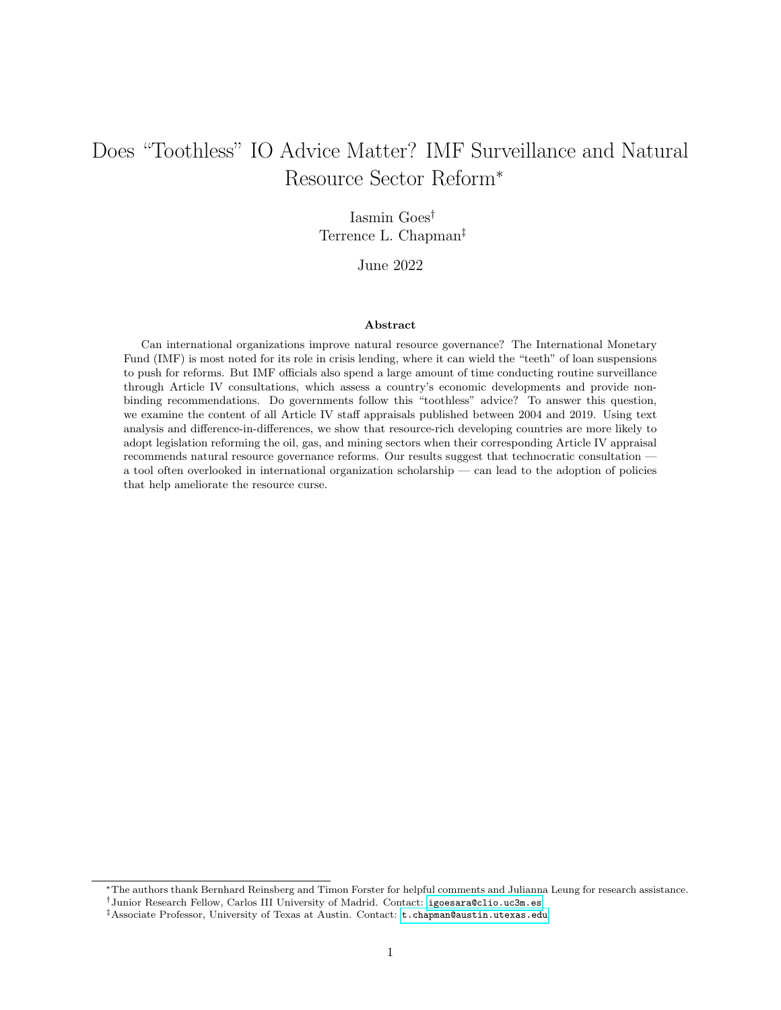confidence intervals, allowing us to visualize the effect of receiving the treatment relative to the control group. As a reminder, we control for resource rents (as a percentage of GDP), GDP per capita (logged), oil and gas field discovery, participation in an IMF program, and the educational background of top-level economic officials, as measured by the variable Technocratic Finance Minister. These variables allow us to control for a government's ex ante "eagerness" to reform the natural resource sector, ensuring that any effect observed after the treatment is only a function of IMF advice.

As discussed above, some units receive the treatment every period; in other words, some countries publish a consultation every year. There no alternative world in which these observations are not treated, so they are automatically discarded by the model (and thus not included in Figure [9\)](#page-21-0). For the remaining units, according to Figure [9,](#page-21-0) Treatment 1 — participating in and publishing an Article IV consultation — at  $t = 0$ has no significant effect on passing natural resource policy in subsequent periods. This is not surprising: consultations are routine events that cover a myriad of topics, so even if countries are intent on promoting domestic reform in response to IMF advice, there is no reason to expect reform in one particular sector unless the IMF staff draws attention to it. This is what Treatment 2 measures: it indicates whether the Staff Appraisal in question offered any targeted advice related to the natural resource sector. We find that targeted advice has a positive effect on the outcome of interest, even if this effect is not immediate. When the IMF encourages a country to promote policy changes in the natural resource sector at time  $t = 0$ , the probability that said country will pass natural resource policy — relative to the control group — increases gradually and is highest at time  $t = 3$ , that is, three years after the original consultation. Conversely, when discussions between public authorities and IMF staff do not cover this topic, authorities are less likely to prioritize natural resource sector reform, at least in the short run. These results suggest that countries pay attention to the tenor of IMF advice, which is what we turn to in the next section.

#### 4.3 Additional Tests: The Language of IMF Surveillance

We provided evidence that participating in an Article IV Consultation and publishing the corresponding report is not in itself a significant driver of natural resource reform. We did, however, find evidence that the content of Article IV Consultations matters: countries are more likely to pass natural resource policy in the wake of a consultation that mentions the natural resource sector (directly or indirectly) at least once. Beyond that, we are interested in the extent to which the frequency of mentions matters, as captured by the explanatory variable Natural Resource Term Frequency. Are countries more likely to reform the more often the IMF talks about natural resources? To answer this question, we focus on the 700 country-year pairs with a consultation.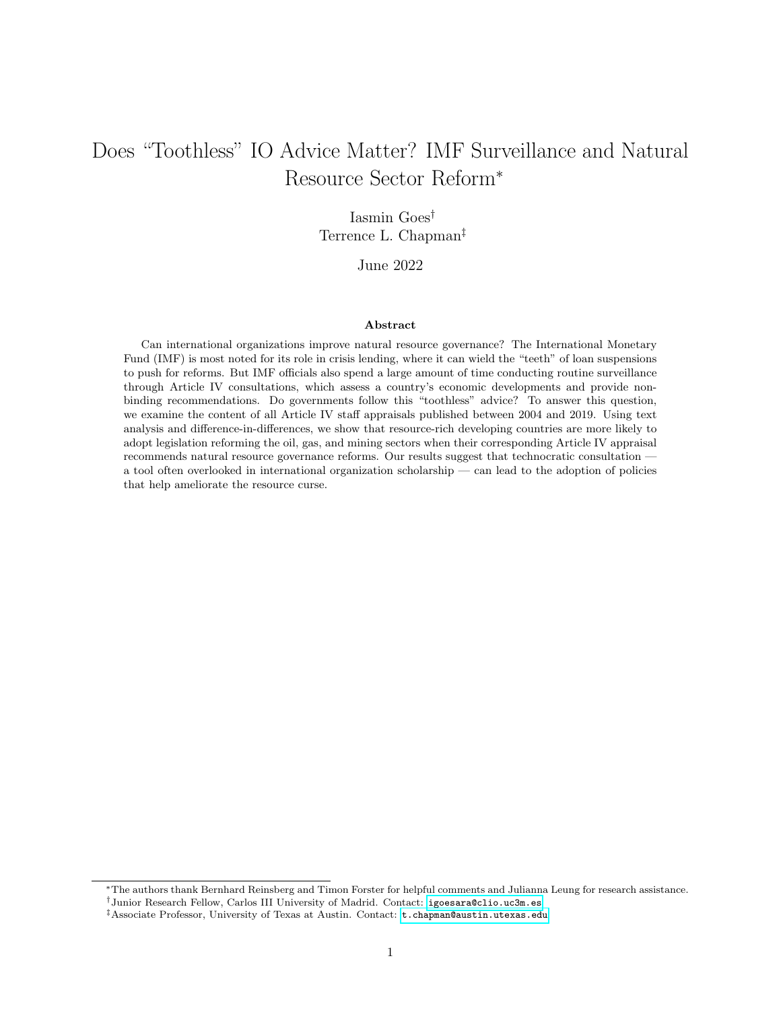Our models incorporate several economic and political variables that might explain variation in Policy Passage. This includes five variables used in the previous DiD model: resource rents (as a share of GDP), GDP per capita, oil and gas field discoveries, participation in IMF programs, and technocratic Finance Ministers. In addition, we include a dichotomous indicator of whether or not the country in question has passed natural resource policy in the past and control for regime type, measured by [Marshall and Gurr'](#page-34-12)s  $(2020)$  Polity 2 index (ranging from  $-10$  to  $+10$ , from hereditary monarchy to consolidated democracy), as well as the number of protests recorded by the Mass Mobilization Project every year, which serves as a proxy for political instability [\(Clark and Regan, 2020\)](#page-31-9). As [Stone](#page-36-6) [\(2004\)](#page-36-6) and others argue, implementation of structural economic reforms is less likely during periods of political unrest. The inclusion of these control variables reduces our sample size from 700 to 535 observations.

We estimate a linear probability model with country as well as year fixed effects; standard errors are clustered by country, and all independent variables (including Natural Resource Term Frequency) are lagged by one year. As a robustness check, we also estimate a logistic regression. Policy passage is a rare event that did not occur every year, as indicated by Figure [5.](#page-14-1) Since our models include fixed effects, a traditional logistic regression would drop these years, which are "homogeneous units:" they are perfect predictors of the dependent variable because they did not experience the event under study [\(Beck, 2020\)](#page-30-10). To prevent the loss of these "homogeneous units," we follow [Cook et al.](#page-32-12) [\(2020\)](#page-32-12) and estimate these logistic regressions with penalized maximum likelihood.

Table [1](#page-24-0) shows that governments tend to follow IMF advice pertaining to the natural resource sector, even when this advice lacks "teeth." According to Model 1, every additional use of a natural resource term is significantly associated with a 1.1 percent increase in the odds of passing natural resource policy. Put differently, when the IMF staff talks about natural resources, countries listen; the more the IMF staff talks about natural resources, the more likely countries are to respond by creating or regulating a natural resource fund. This finding is not contingent on modeling choice: Model 2 (a logistic regression) returns similar results, though the effect size is far more generous ( $e^{0.116} = 1.123$ , that is, a 12 percent increase). Both models further concur that countries with a higher GDP share of resource rents are significantly less likely to pass natural resource policy. The remaining variables have no significant effect on the outcome of interest, except for IMF program participation, which is associated with a significant 89 percent increase in the odds of policy passage according to the logistic regression (but not according to the linear probability model).

In sum, our results confirm the expectation that the norm is to participate in an Article IV consultation and publish the corresponding report (Treatment 1), so this in itself is not enough of a motivation to reform the natural resource sector. But when the published report includes at least one reference to the natural resource sector (Treatment 2), states are significantly more likely to reform this sector, an effect that increases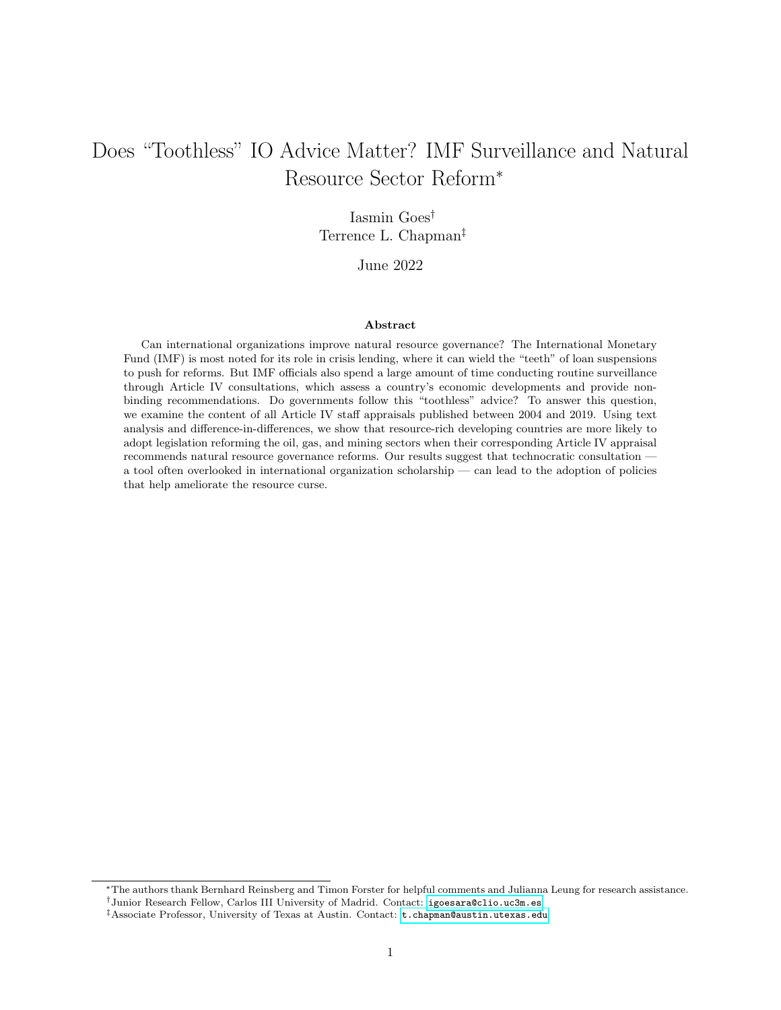|                                     | Dependent variable:   |                       |
|-------------------------------------|-----------------------|-----------------------|
|                                     | Policy Passage        |                       |
|                                     | <b>OLS</b><br>Logit   |                       |
|                                     | (1)                   | (2)                   |
| Natural Resource Term Frequency     | $0.014***$<br>(0.005) | $0.116***$<br>(0.041) |
| Previous Policy                     | 0.030<br>(0.074)      | 0.406<br>(0.603)      |
| Resource Rents (% GDP)              | $-0.004*$<br>(0.002)  | $-0.063**$<br>(0.025) |
| GDP per Capita (Log)                | 0.111<br>(0.079)      | 1.471<br>(1.160)      |
| Field Discovery                     | 0.053<br>(0.051)      | 0.558<br>(0.391)      |
| <b>IMF</b> Program                  | 0.040<br>(0.027)      | $0.638**$<br>(0.311)  |
| Technocratic Finance Minister       | $-0.012$<br>(0.027)   | $-0.406$<br>(0.321)   |
| Oil Price                           | $-0.001$<br>(0.001)   | $-0.028$<br>(0.020)   |
| GDP Growth $(\%)$                   | 0.0002<br>(0.002)     | $-0.0003$<br>(0.028)  |
| Polity 2                            | 0.003<br>(0.005)      | 0.022<br>(0.068)      |
| Protest                             | 0.003<br>(0.003)      | 0.010<br>(0.019)      |
| Constant                            | $-0.583$<br>(0.454)   | $-7.544$<br>(6.943)   |
| Observations<br>$\mathbf{R}^2$      | 535<br>0.225          | 535                   |
| Log Likelihood<br>Akaike Inf. Crit. |                       | $-87.783$<br>359.567  |

<span id="page-24-0"></span>Table 1: The Effect of Natural Resource Terms on Policy Passage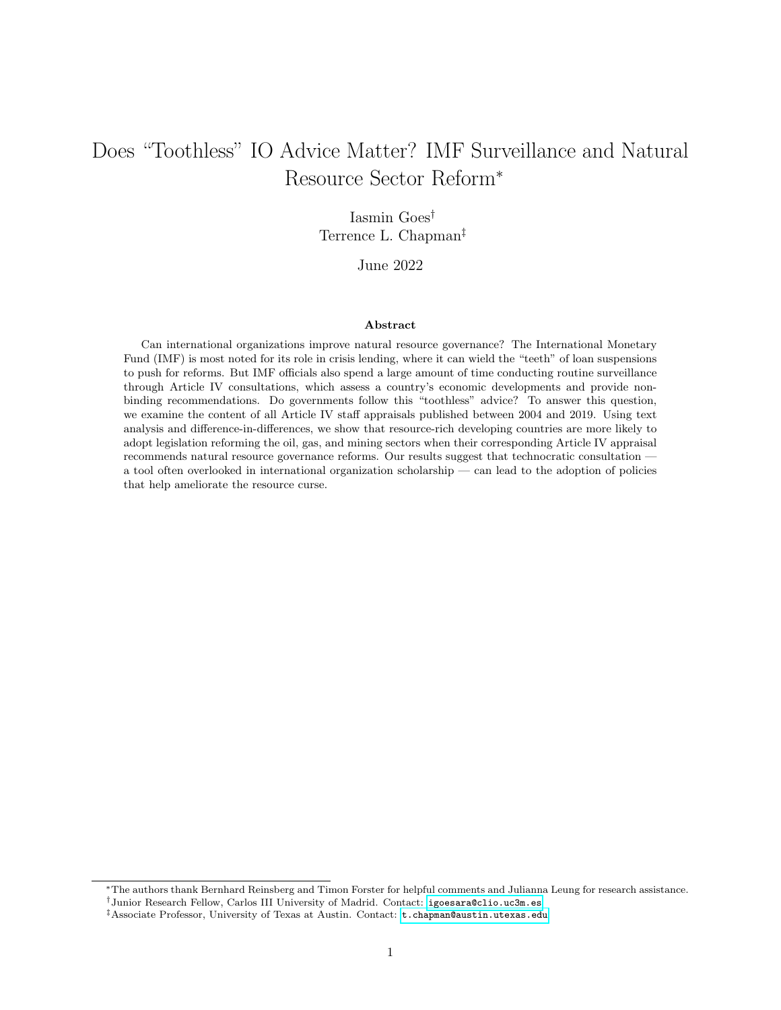the more resource-related words are featured in the report (Treatment 3).

#### 4.4 Robustness Checks: Endogenous Advice?

Our previous difference-in-difference models addressed endogeneity in Article IV participation, but endogeneity in the content of Staff Appraisals could also be a problem. Loan agreements, for instance, are the product of a negotiation between government officials and the IMF, so borrowing governments might negotiate specific conditions that are politically convenient or that they know in advance they will be able to meet [\(Vreeland, 2003;](#page-36-1) [Rickard and Caraway, 2014\)](#page-35-11). A similar issue might exist with Article IV consultations: policymakers that already want to create natural resource funds might be more likely to bring up the oil, gas, and mining sector during conversations with the IMF staff. Ultimately, each government has at least some power to set the agenda and the tone of its Staff Appraisal: it can grant the IMF delegation access to some senior officials, but not others, and it might request advice on specific issues at the expense of others. Though the clear structure of these consultations allows us to isolate the evaluation of IMF technocrats (Staff Appraisals) from the preferences of government officials (Response Statements), it is true that a country's underlying willingness to reform might increase both the odds of passing natural resource policy and the inclination to engage with Article IV advice, which would hinder our ability to make statements about the effect of IMF advice on natural resource policy.

In the context of IMF loans, [Beazer and Woo](#page-30-11) [\(2016\)](#page-30-11), [Chapman et al.](#page-31-0) [\(2017\)](#page-31-0), and several others use instrumental variables estimation to address similar endogeneity issues. The challenge lies in finding a variable that meets the exclusion restriction, that is, it predicts variation in the content of IMF conditionality without an independent effect on the outcome of interest. An instrument recently proposed by [Lang](#page-33-12) [\(2020\)](#page-33-12) and further developed by [Stubbs et al.](#page-36-10) [\(2020\)](#page-36-10) follows a difference-in-differences logic: it consists of an interaction between a country-specific component and a year-specific component. To instrument for the content of conditionality, [Lang](#page-33-12) [\(2020\)](#page-33-12) proposes interacting a country-specific average number of conditions with the year-specific IMF liquidity ratio (that is, the amount of liquid resources divided by liquid liabilities, which reflects the lending constraints faced by the IMF each year). Though the validity of the exclusion restriction cannot be established empirically, only theoretically [\(Sovey and Green, 2011\)](#page-36-11), [Lang](#page-33-12) [\(2020\)](#page-33-12) convincingly argues that the interaction between both components is exogenous, even if each individual component is not.

Since the advice given in Article IV Consultations is not tied to lending, the liquidity ratio is unlikely to play a role in our context. But given the paucity of research on IMF surveillance, there is no widely accepted instrument for the content of Staff Appraisals, which is why we follow [Lang](#page-33-12) [\(2020\)](#page-33-12) in proposing an instrument for *Natural Resource Term Frequency* that similarly consists of a country-specific and a year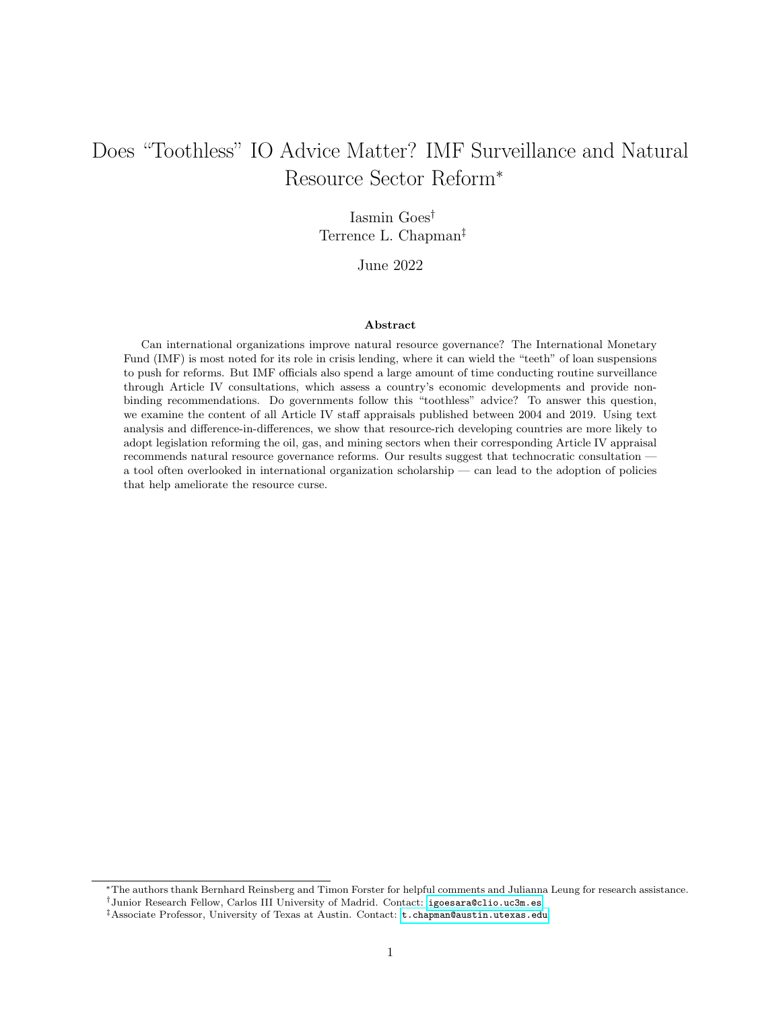specific component. We interact the average of *Natural Resource Term Frequency* for each country with the average of Natural Resource Term Frequency for each year. This interaction term plausibly meets the exclusion restriction, in that it is likely to have a strong effect on *Natural Resource Term Frequency* without independently affecting Policy Passage. We then perform a two-stage least squares (2SLS) estimation using this instrument, presenting the full results in the appendix and summarizing them here. The model's Fstatistic indicates the strength of the instrument, that is, how strongly said instrument predicts variation in the endogenous independent variable Natural Resource Term Frequency after controlling for the covariates described above. The conventionally accepted threshold for a strong instrument is 10 [\(Sovey and Green,](#page-36-11) [2011\)](#page-36-11), so our F-statistic of 21.809 passes the test. However, the Wu-Hausman test fails to reject the null hypothesis that 2SLS and OLS are equally consistent — and, since 2SLS and OLS are equally consistent, OLS is better because it is more efficient.

We also use sensitivity analysis to assess the robustness of these results, seeking to quantify how susceptible the effect of Natural Resource Term Frequency on Policy Passage is to omitted variable bias. Put differently, how strong would unobserved confounders need to be for our main results to be disproved? The results, presented in the appendix, indicate that even an omitted variable that is three times as strong as Resource Rents or Technocratic Finance Minister would not overturn our key finding — namely, that Natural Resource Term Frequency increases the probability of passing natural resource policy. Taken together, these robustness checks reassure us that the potential issue of endogeneity is not driving the results presented in Table [1.](#page-24-0)

Lastly, we use event history analysis to understand how the content of Article IV consultations influences the initial passage of natural resource policy across countries. This modeling strategy captures a series of binary outcomes, indicating whether or not an event occurred at a given point in time. It includes all country-years from 2004 until event occurrence; once a country experiences the event in question (that is, once it passes the first legal document creating a natural resource fund), it drops out of the dataset, as it is no longer considered to be at risk of passing new policy. Countries that did not experience the event until December 2019 are included and considered right-censored; their contribution to the dataset is a vector of zeroes [\(Box-Steffensmeier and Jones, 2004\)](#page-31-10). This is not our preferred modeling strategy because governments are constantly at risk of passing new policy; they can, and do, create several different natural resource funds over time (Ecuador, for instance, passed four resource-related organic laws during the period under study). In addition, our analysis begins in 2004 for reasons of data availability (after all, Article IV consultations were not published in a systematic manner until then), but  $16$  countries<sup>16</sup> suffer from "unobserved histories"

<span id="page-26-0"></span><sup>&</sup>lt;sup>16</sup>The 16 countries and corresponding years of first law passage are: Algeria (2000), Azerbaijan (1999), Botswana (1997), Chad (1999), Chile, (1981), Ecuador (2000), Gabon (1998), Iran (2000), Kazakhstan (2000), Malaysia (1988), Mexico (2000), Namibia (1996), Papua New Guinea (2000), Peru (1999), Russia (2003), and Venezuela (1999).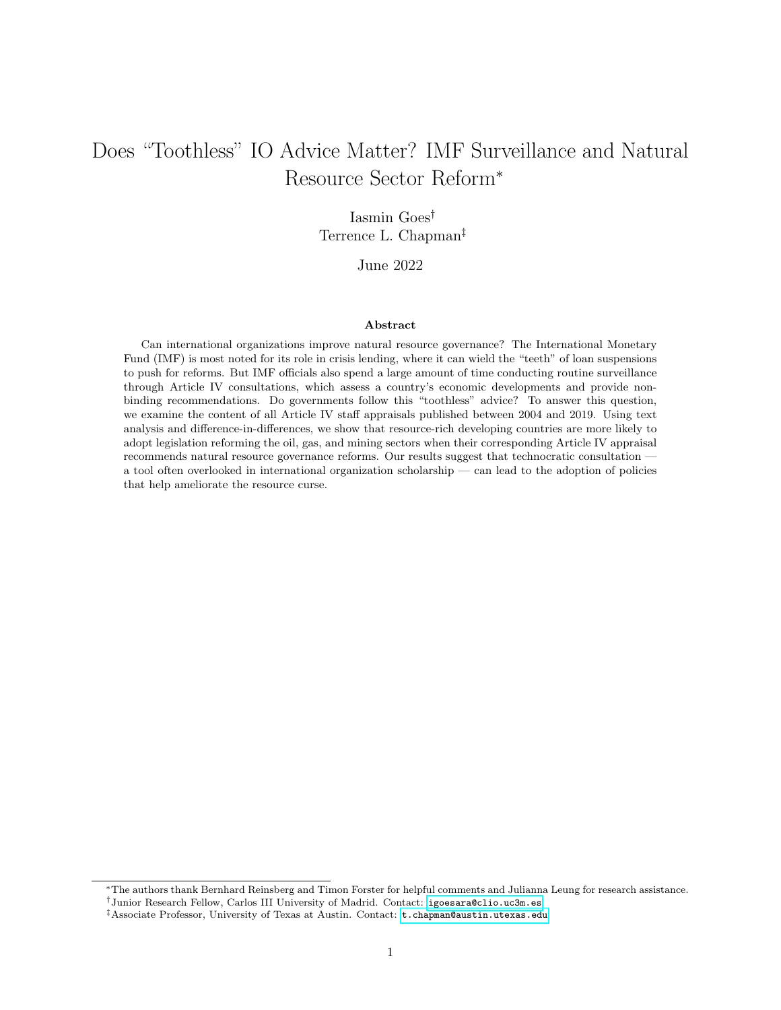[\(Box-Steffensmeier and Jones, 1997,](#page-31-11) 1422): they experienced the event before the 2004. Since we cannot observe the effect of Article IV consultations on initial policy passage for these countries, we omit them from this analysis. Even though this modeling strategy is imperfect, it allows us to examine the effects of Article IV consultations from yet another angle; the results, reported in the appendix, support our expectation that IMF advice can meaningfully influence natural resource policy passage.

#### 4.5 An Illustration: Natural Resource Policy in Ghana

Before 2007, Ghana was predominantly an exporter of gold and — to a lesser extent — diamonds and manganese. The Staff Appraisal for the 2005 Article IV consultation identified the country's main economic weakness: "Economic prospects are still largely driven by the export of a few commodities. This narrow economic base, together with high world oil prices, contributes to the vulnerability of the economy." This assessment did not change in the subsequent consultation. Following a series of meetings with Ghanaian authorities in January, February, and March 2007, the IMF staff released its assessment in June 2007 and said nothing about natural resources. However, that same month, Kosmos Energy discovered the giant oil field Jubilee about 60 km offshore. When the IMF returned to Accra in the following year, between 23 March and 8 April 2008, its advice shifted towards the natural resource sector: "Oil prospects can materially improve Ghana's medium-term outlook for growth and poverty reduction if it avoids the 'oil curse' of rentseeking and boom-bust cycles ... the Ghanaian authorities are to be commended for already having begun a nationwide consultation on the use of oil resources."

The IMF insisted on the importance of natural resource reform in subsequent consultations — for example, in 2009: "Reforms are likely to be resisted by pressure groups, particularly as oil production approaches. However, without reform, Ghana risks dissipating its oil revenues with little long-term benefit for growth and poverty reduction." Following a staff visit to Accra in February and March 2011, the Staff Appraisal in the 2011 consultation (published in June of the same year) again reiterated the importance of natural resources: "Clear and transparent management of oil revenues is a priority ... It will be important that incomes, expenditures, and savings associated with oil wealth be transparently and comprehensively recorded for dissemination, analysis, and audit purposes."

Ghana's Act 815 – Petroleum Revenue Management Act was passed by Parliament and assented to by the President on 11 April 2011, aiming to "regulate the collection, allocation, and management by government of petroleum revenue derived from upstream and midstream petroleum operations." After this law was passed, the IMF staff shifted the focus of its advice, and the 2013 consultation only addressed natural resources in one sentence: "Ghana's strong democratic credentials and favorable prospects for oil and gas production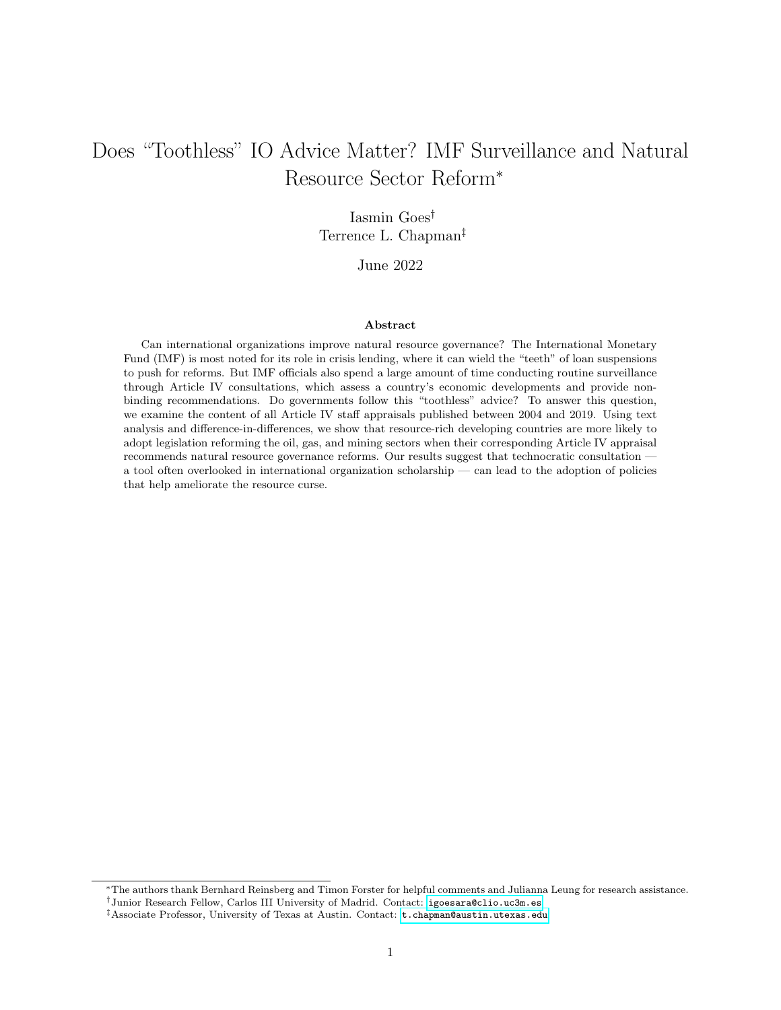Figure 10: Terms Mentioned in IMF Article IV Consultations with Ghana, 2005–2019



Fiscal/Tax - Oil/Petroleum

This figure shows the absolute frequency of the terms  $f_{local}/tax$  and  $oil/petrolcum$  (or variations thereof) in all nine available Article IV Consultations with Ghana. Following the discovery of offshore oil in June 2007 (as indicated by the dashed vertical line), IMF recommendations to Ghana shifted from medium-term fiscal reform to specific resource sector reforms, up until April 2011, when the Ghanaian government passed the Petroleum Revenue Management Act (as indicated by the solid vertical line).

continue to attract significant FDI." In the following consultations, the IMF continued to praise Ghana's commitment to fiscal discipline, but the focus of its advice shifted away from the natural resource sector and towards broader improvements in financial management and banking supervision, issues that the staff considered more pressing.

## Conclusion

Since implementation of recommendations made during Article IV surveillance is not tied to loans, one might expect these consultations to amount to "much ado about nothing." Yet more recent literature has noted the ways in which IO bureaucrats can shape outcomes, independent of powerful state principals. Article IV consultations are a good example of this phenomenon, but they are understudied, despite occupying considerable time and resources of the Fund. Our study, along with [Edwards](#page-32-2) [\(2018\)](#page-32-2), is one of the first ones to examine not only the content of public Article IV reports, but also the extent to which such reports influence legal reform.

We argue that Article IV surveillance is an opportunity for IO bureaucrats — in this case, IMF staff — to shape policies in the developing world through disseminating best practices and providing technical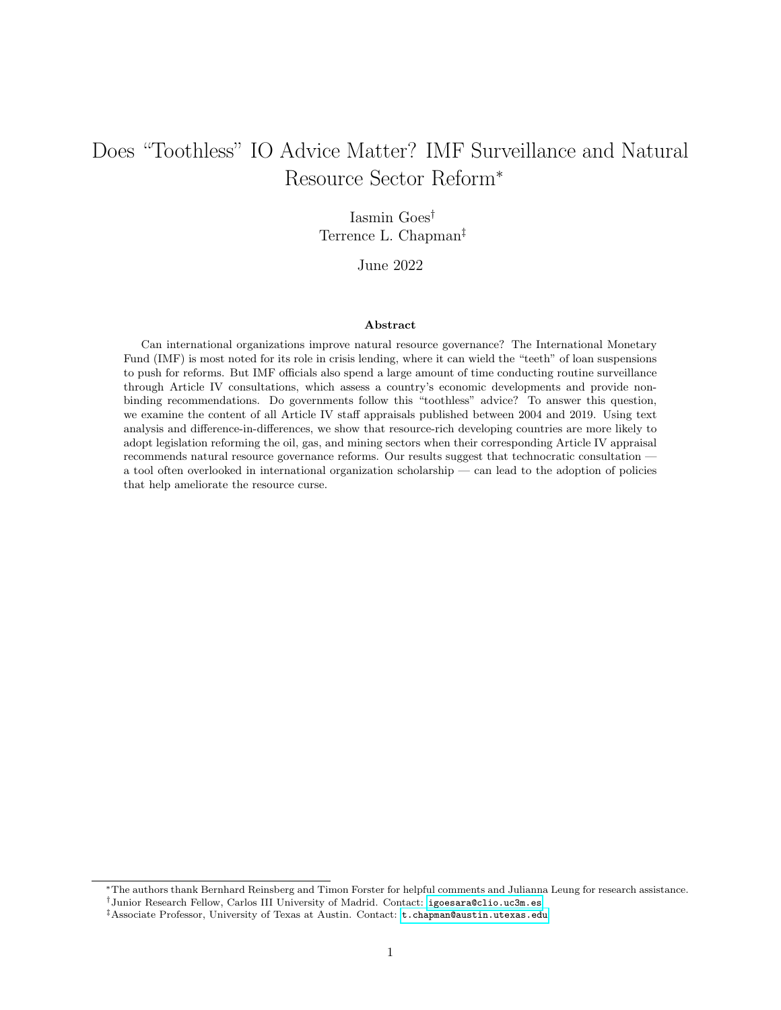assistance. Although these consultations lack "teeth," IMF staff can offer expert advice and help persuade authorities to adopt policies aimed at improving fiscal and monetary governance. As such, the emphasis reports place on different topics should matter. When reports are crafted to call attention to the natural resource sector and suggest specific reforms, governments are more likely to take heed and act. Of course, these reforms are often difficult and politically costly. We do not claim that Article IV reports are the largest or most important determinant of the creation of natural resource funds and related resource management rules. Still, our analysis indicates that such reforms are more likely when Article IV consultations make the case for them, even after controlling for other common determinants of reform.

Our results further suggest that reform may be more likely when natural resource wealth is particularly salient (as indicated by oil prices and resource rents) or when technocratic ministers are involved in Article IV consultations. But the impact of Article IV topic proportions cannot be attributed entirely to these other factors, nor is it primarily a function of a country's ability to attract private capital or multilateral loans. Instead, Article IV advice seems to have an independent effect on adoption of new rules for managing resource revenue.

Incumbents are often loathe to forfeit control of resource rents, despite knowing the likely consequences of the resource curse. Their time horizons are too often incompatible with reform. But we show that technical or purely advisory consultations from IOs can make a difference, especially under the right circumstances. The IMF has come under criticism, on the one hand, for the high rate of recidivism among borrowers and low compliance with conditionality, and on the other hand, for imposing harsh austerity measures on struggling economies. But apart from these debates about conditionality and the efficacy of crisis lending, our analysis suggests that the IMF can nudge countries toward improved fiscal management in non-crisis moments. This slow but steady progress might not be as high profile as large-scale lending programs, but can nonetheless help build the fiscal foundations to help resource-rich nations avoid crises in the first place.

## References

- <span id="page-29-0"></span>Todd L. Allee and Jamie E. Scalera. The Divergent Effects of Joining International Organizations: Trade Gains and the Rigors of WTO Accession. *International Organization*,  $66(2):243-276$ , 2012. doi: 10.1017/ S0020818312000082.
- <span id="page-29-1"></span>Joe Amick, Terrence Chapman, and Zachary Elkins. On Constitutionalizing a Balanced Budget. Journal of Politics, 82(3):1078–1096, 2020. doi: 10.1086/707618.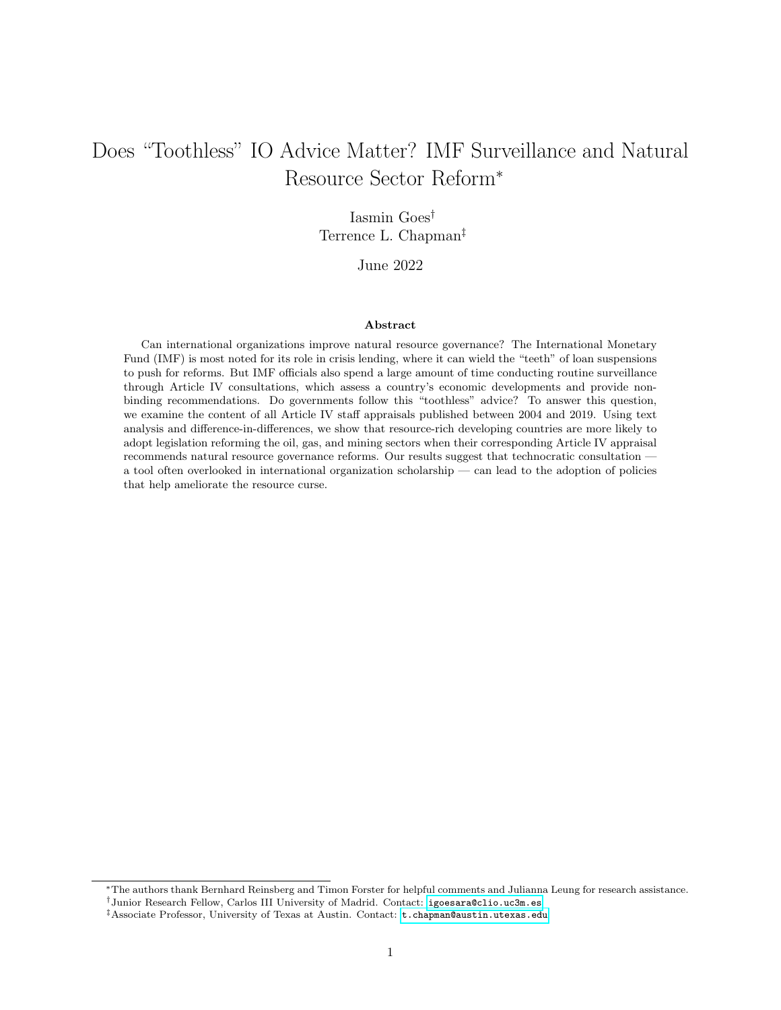- <span id="page-30-8"></span>Joshua D. Angrist and Jörn-Steffen Pischke. Mostly Harmless Econometrics. Princeton University Press, Princeton and Oxford, 2009.
- <span id="page-30-4"></span>Rabah Arezki, Valerie A. Ramey, and Liugang Sheng. News Shocks in Open Economies: Evidence from Giant Oil Discoveries. *Quarterly Journal of Economics*, 132(1):103–155, 2017. doi: 10.1093/qje/qjw030.
- <span id="page-30-9"></span>Susan Athey and Guido W. Imbens. Identification and Inference in Nonlinear Difference-in-Difference Models. Econometrica, 74(2):431–497, 2006.
- <span id="page-30-7"></span>Susan Athey, Mohsen Bayati, Nikolay Doudchenko, Guido Imbens, and Khashayar Khosravi. Matrix Completion Methods for Causal Panel Data Models. Journal of the American Statistical Association, 116(536): 1716–1730, 2021. ISSN 1537274X. doi: 10.1080/01621459.2021.1891924.
- <span id="page-30-3"></span>Sarah L. Babb and Bruce G. Carruthers. Conditionality: Forms, Function, and History. Annual Review of Law and Social Science, 4(1):13–29, 2008. doi: 10.1146/annurev.lawsocsci.4.110707.172254.
- <span id="page-30-6"></span>Andrew Baker, David F. Larcker, and Charles C. Y. Wang. How Much Should We Trust Staggered Difference-In-Differences Estimates? Journal of Financial Economics, (forthcoming), 2022. ISSN 1556-5068. doi: 10.2139/ssrn.3794018.
- <span id="page-30-1"></span>Michael Barnett and Martha Finnemore. Rules for the World: International Organizations in Global Politics. Cornell University Press, Ithaca and London, 2004a.
- <span id="page-30-2"></span>Michael Barnett and Martha Finnemore. The Power of Liberal International Organizations. In Michael Barnett and Raymond Duvall, editors, Power in Global Governance, pages 163–71. Cambridge University Press, Cambridge, 2004b.
- <span id="page-30-5"></span>Thomas Baunsgaard, Mauricio Villafuerte, Marcos Poplawski-Ribeiro, and Christine Richmond. Fiscal Frameworks for Resource Rich Developing Countries. IMF Staff Discussion Notes, 12(4), 2012. doi: 10.5089/9781475510065.006.
- <span id="page-30-11"></span>Quintin H. Beazer and Byungwon Woo. IMF Conditionally, Government Partisanship, and the Progress of Economic Reforms. American Journal of Political Science, 60(2):304–321, 2016. doi: 10.1111/ajps.12200.
- <span id="page-30-10"></span>Nathaniel Beck. Estimating Grouped Data Models with a Binary-Dependent Variable and Fixed Effects via a Logit versus a Linear Probability Model: The Impact of Dropped Units. Political Analysis, 28:139–145, 2020. doi: 10.1017/pan.2019.20.
- <span id="page-30-0"></span>Timothy Besley and Torsten Persson. Why Do Developing Countries Tax So Little? Journal of Economic Perspectives, 28(4):99–120, 2014. doi: 10.1257/jep.28.4.99.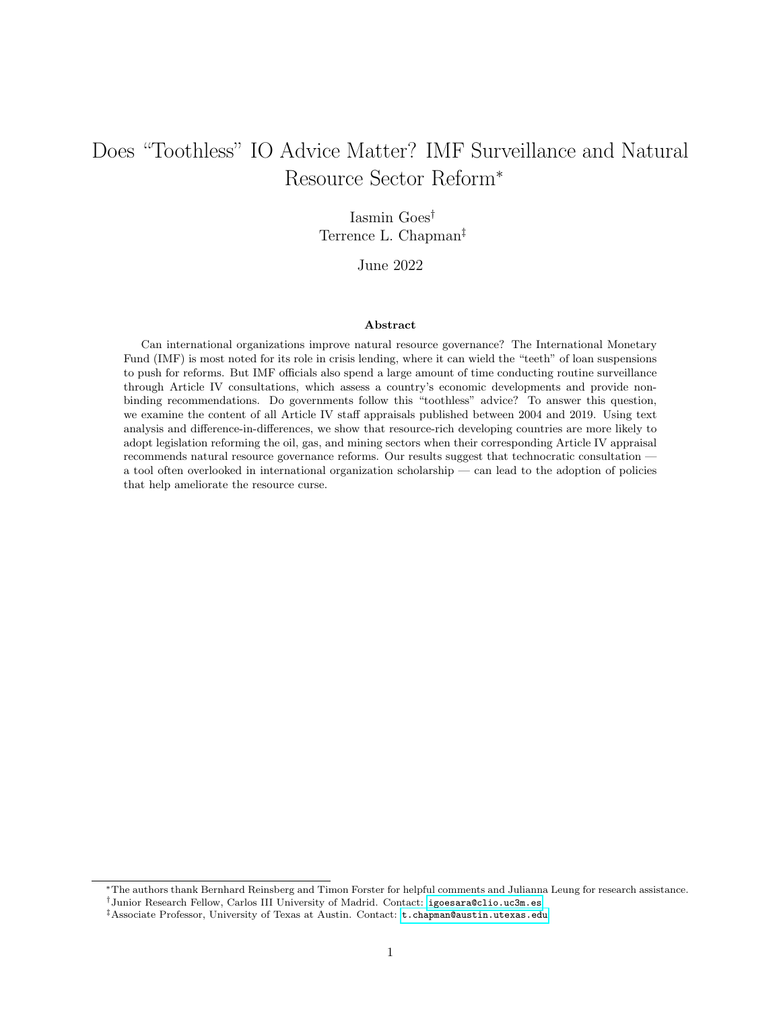- <span id="page-31-3"></span>Jacqueline Best. Legitimacy Dilemmas: The IMF's Pursuit of Country Ownership. Third World Quarterly, 28(3):469–488, 2007. doi: 10.1080/01436590701192231.
- <span id="page-31-4"></span>Graham Bird. Borrowing from the IMF: The Policy Implications of Recent Empirical Research. World Development, 24(11):1753–1760, 1996. doi: 10.1016/0305-750X(96)00153-2.
- <span id="page-31-5"></span>Graham Bird. IMF Programs: Do They Work? Can They be Made to Work Better? World Development, 29(11):1849–1865, 2001. doi: 10.1016/S0305-750X(01)00077-8.
- <span id="page-31-6"></span>Graham Bird, Mumtaz Hussain, and Joseph P. Joyce. Many Happy Returns? Recidivism and the IMF. Journal of International Money and Finance, 23(2):231–251, 2004. doi: 10.1016/j.jimonfin.2003.12.002.
- <span id="page-31-11"></span>Janet M. Box-Steffensmeier and Bradford S. Jones. Time is of the Essence: Event History Models in Political Science. American Journal of Political Science, 41(4):1414–1461, 1997. doi: 10.2307/2960496.
- <span id="page-31-10"></span>Janet M. Box-Steffensmeier and Bradford S. Jones. Event History Modeling: A Guide for Social Scientists. Cambridge University Press, Cambridge, 2004.
- <span id="page-31-1"></span>Michael Breen, Dermot Hodson, and Manuela Moschella. Incoherence in Regime Complexes: A Sentiment Analysis of EU-IMF Surveillance. Journal of Common Market Studies, 58(2):419–437, 2020. doi: 10.1111/ jcms.12924.
- <span id="page-31-7"></span>Mark T. Buntaine, Bradley C. Parks, and Benjamin P. Buch. Aiming at the Wrong Targets: The Domestic Consequences of International Efforts to Build Institutions. International Studies Quarterly, 61(2):471– 488, 2017. doi: 10.1093/isq/sqx013.
- <span id="page-31-2"></span>Marc L. Busch and Krzysztof J. Pelc. Words Matter: How WTO Rulings Handle Controversy. International Studies Quarterly, 63(3):464–476, 2019. doi: 10.1093/isq/sqz025.
- <span id="page-31-0"></span>Terrence Chapman, Songying Fang, Xin Li, and Randall W. Stone. Mixed Signals: IMF Lending and Capital Markets. British Journal of Political Science, 47(2):329–349, 2017. doi: 10.1017/S0007123415000216.
- <span id="page-31-8"></span>Jeffrey M. Chwieroth. 'The Silent Revolution:' How the Staff Exercise Informal Governance over IMF Lending. Review of International Organizations, 8(2):265–290, 2013. doi: 10.1007/s11558-012-9154-9.
- <span id="page-31-12"></span>Carlos Cinelli and Chad Hazlett. Making Sense of Sensitivity: Extending Omitted Variable Bias. Journal of the Royal Statistical Society, Series B, 82(1):39–67, 2020. doi: 10.1111/rssb.12348.
- <span id="page-31-9"></span>David Clark and Patrick Regan. Mass Mobilization Protest Data. 2020. doi: 10.7910/DVN/HTTWYL. URL <https://massmobilization.github.io/>.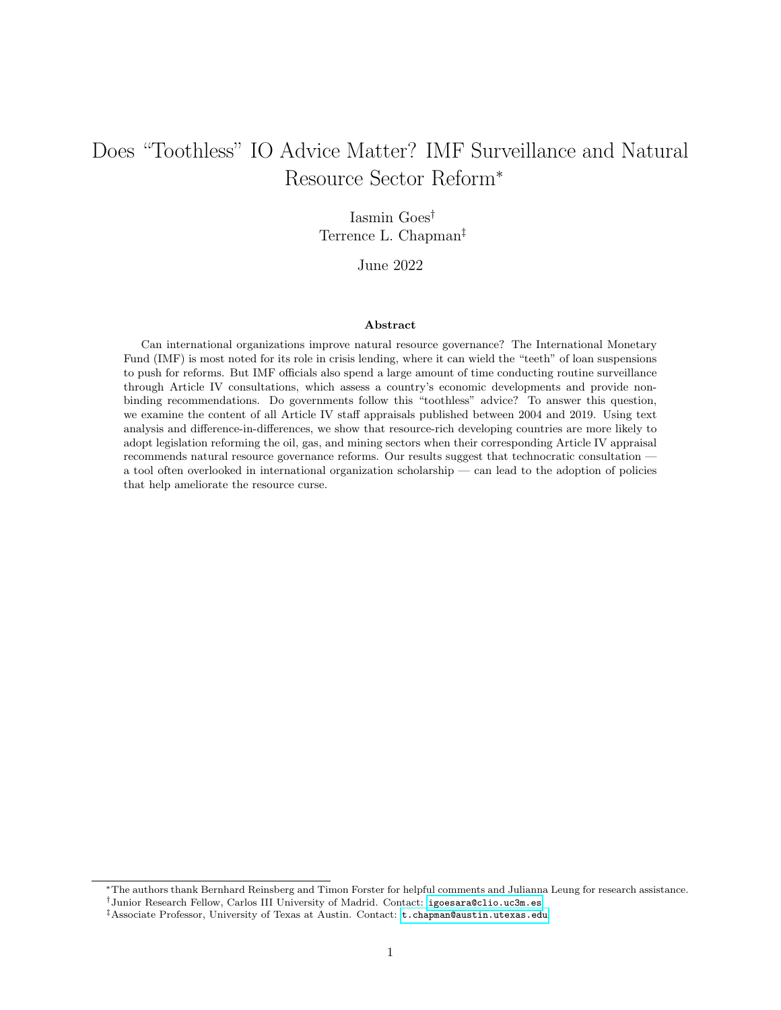- <span id="page-32-8"></span>Paul Collier. The Institutional and Psychological Foundations of Natural Resource Policies. Journal of Development Studies, 53(2):217–228, 2017. doi: 10.1080/00220388.2016.1160067.
- <span id="page-32-12"></span>Scott J. Cook, Jude C. Hays, and Robert J. Franzese. Fixed Effects in Rare Events Data: A Penalized Maximum Likelihood Solution. *Political Science Research and Methods*,  $8(1):92-105$ , 2020. doi: 10.1017/ psrm.2018.40.
- <span id="page-32-6"></span>Mark S. Copelovitch. The International Monetary Fund in the Global Economy: Banks, Bonds, and Bailouts. Cambridge University Press, Cambridge, 2010.
- <span id="page-32-11"></span>Scott Cunningham. Causal Inference: The Mixtape. Yale University Press, New Haven, 2021.
- <span id="page-32-1"></span>Geoff Dancy and Florencia Montal. From Law Versus Politics To Law In Politics: A Pragmatist Assessment Of The ICC's Impact. American University International Law Review, 32(3):4, 2017.
- <span id="page-32-7"></span>Axel Dreher. The Influence of Elections on IMF Programme Interruptions. Journal of Development Studies, 39(6):101–120, 2003. doi: 10.1080/00220380312331293597.
- <span id="page-32-0"></span>Axel Dreher. IMF Conditionality: Theory and Evidence. *Public Choice*, 141(1-2):233–267, 2009. doi: 10.1007/s11127-009-9486-z.
- <span id="page-32-5"></span>Axel Dreher and Nathan M. Jensen. Independent Actor or Agent? An Empirical Analysis of the Impact of US Interests on International Monetary Fund Conditions. Journal of Law and Economics, 50(1):105–124, 2007. doi: 10.1086/508311.
- <span id="page-32-2"></span>Martin S. Edwards. The IMF, the WTO, and the Politics of Economic Surveillance. Routledge, London, 2018.
- <span id="page-32-4"></span>Martin S. Edwards, Kelsey A. Coolidge, and Daria A. Preston. Who Reveals? Transparency and the IMF's Article IV Consultations. SSRN Electronic Journal, 2011. doi: 10.2139/ssrn.1850026.
- <span id="page-32-3"></span>Ghada Fayad, Chengyu Huang, Yoko Shibuya, and Peng Zhao. How Do Member Countries Receive IMF Policy Advice: Results from a State-of-the-Art Sentiment Index. IMF Working Paper, 20(7), 2020. doi: 10.5089/9781513526010.001.
- <span id="page-32-9"></span>Iasmin Goes. Examining the Effect of IMF Conditionality on Natural Resource Policy. Economics & Politics, 2022. doi: 10.1111/ecpo.12214.
- <span id="page-32-10"></span>Andrew Goodman-Bacon. Difference-in-Differences with Variation in Treatment Timing. Journal of Econometrics, 225(2):254–277, 2021. ISSN 18726895. doi: 10.1016/j.jeconom.2021.03.014.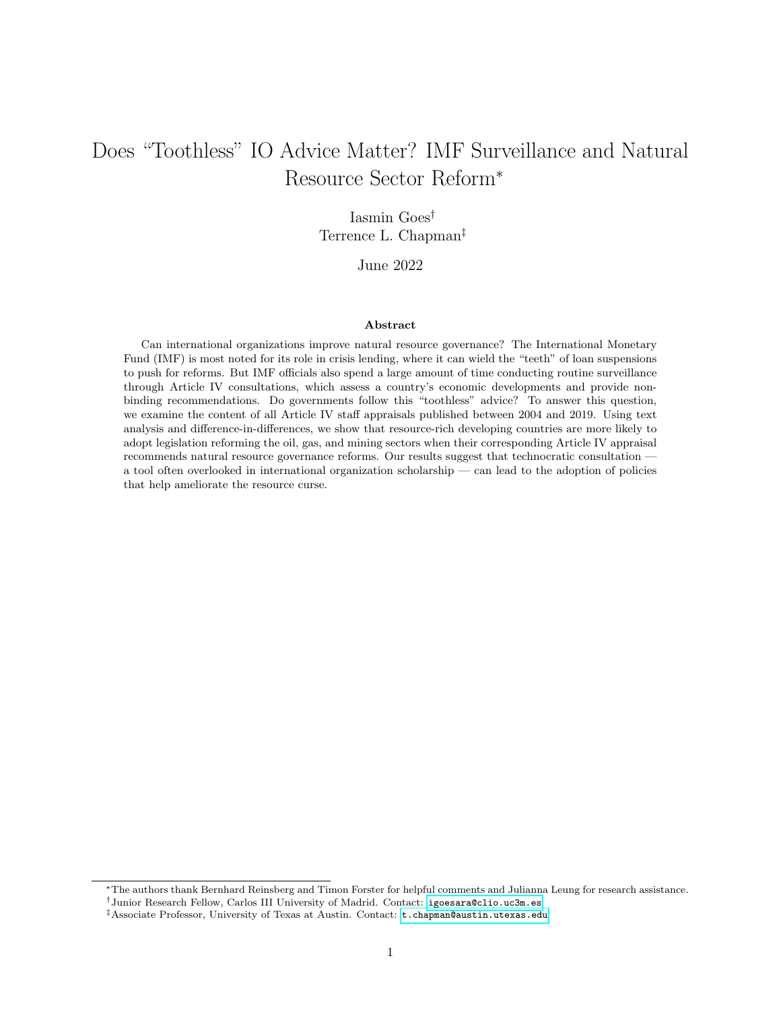- <span id="page-33-1"></span>Brian Greenhill. Transmitting Rights: International Organizations and the Diffusion of Human Rights Practices. Oxford University Press, Oxford, 2015.
- <span id="page-33-3"></span>Ernst B. Haas. When Knowledge is Power: Three Models of Change in International Organizations. University of California Press, Berkeley, 2018.
- <span id="page-33-7"></span>Mirko Heinzel, Jonas Richter, Per Olof Busch, Hauke Feil, Jana Herold, and Andrea Liese. Birds of a Feather? The Determinants of Impartiality Perceptions of the IMF and the World Bank. Review of International Political Economy, pages 1–25, 2020. doi: 10.1080/09692290.2020.1749711.
- <span id="page-33-11"></span>Myron K. Horn. Giant Oil and Gas Fields of the World. 2014. URL [https://edx.netl.doe.gov/dataset/](https://edx.netl.doe.gov/dataset/aapg-datapages-giant-oil-and-gas-fields-of-the-world) [aapg-datapages-giant-oil-and-gas-fields-of-the-world](https://edx.netl.doe.gov/dataset/aapg-datapages-giant-oil-and-gas-fields-of-the-world).
- <span id="page-33-4"></span>IMF. The International Monetary Fund 1945-1965: Twenty Years of International Monetary Cooperation. Volume III: Documents. International Monetary Fund, Washington, DC, 1969.
- <span id="page-33-9"></span>IMF. Sovereign Wealth Funds – A Work Agenda. IMF Policy Paper, pages 1–38, 2008.
- <span id="page-33-5"></span>IMF. Articles of Agreement of the International Monetary Fund. International Monetary Fund, Washington D.C., 2016.
- <span id="page-33-8"></span>IMF. List of IMF Member Countries with Delays in Completion of Article IV Consultations or Mandatory Financial Stability Assessments over 18 Months. Policy Papers, 2017. doi: 10.5089/9781513524702.007.
- <span id="page-33-0"></span>IMF. A Year Like No Other: IMF Annual Report. Washington, DC, 2020.
- <span id="page-33-2"></span>Tana Johnson. Organizational Progeny: Why Governments are Losing Control over the Proliferating Structures of Global Governance. Oxford University Press, Oxford, 2014. doi: 10.1093/acprof:oso/ 9780198717799.001.0001.
- <span id="page-33-10"></span>Alexander E. Kentikelenis, Thomas H. Stubbs, and Lawrence P. King. IMF Conditionality and Development Policy Space, 1985–2014. Review of International Political Economy, 23(4):543–582, 2016. doi: 10.1080/ 09692290.2016.1174953.
- <span id="page-33-6"></span>Mohsin S. Khan and Sunil Sharma. IMF Conditionality and Country Ownership of Adjustment Programs. World Bank Research Observer, 18(2):227–248, 2003. doi: 10.1093/wbro/lkg007.
- <span id="page-33-12"></span>Valentin Lang. The Economics of the Democratic Deficit: The Effect of IMF Programs on Inequality. Review of International Organizations, 2020. doi: 10.1007/s11558-020-09405-x.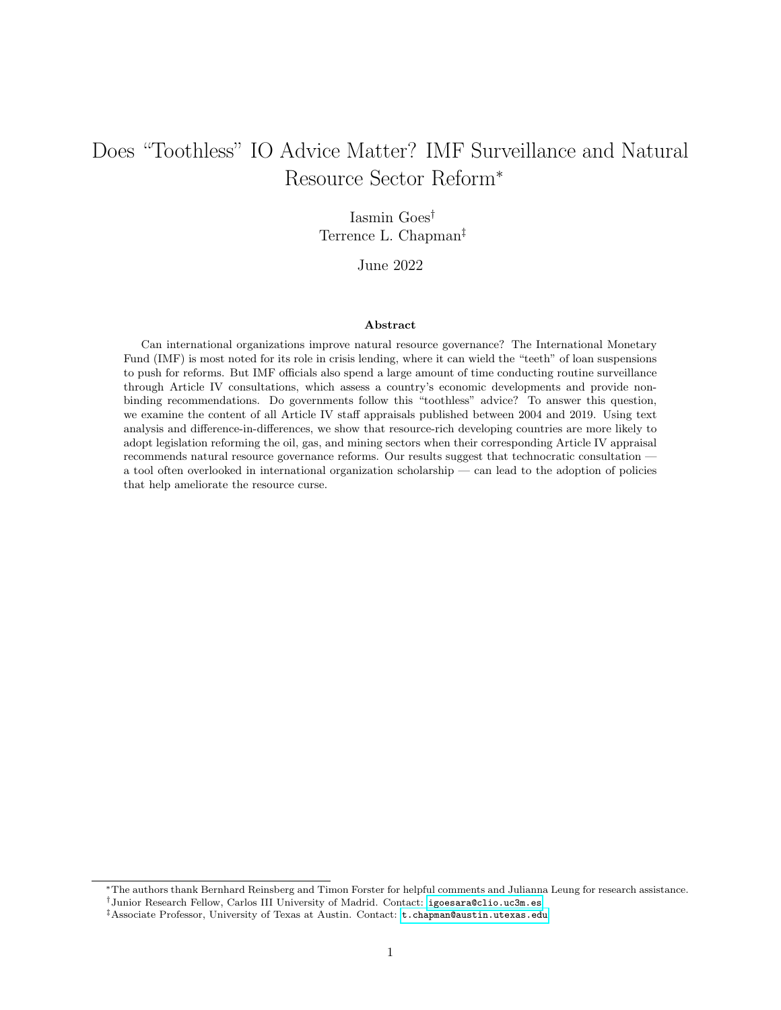- <span id="page-34-11"></span>Licheng Liu, Ye Wang, and Yiqing Xu. A Practical Guide to Counterfactual Estimators for Causal Inference with Time-Series Cross-Sectional Data. SSRN Electronic Journal, 2020. ISSN 1556-5068. doi: 10.2139/ ssrn.3555463.
- <span id="page-34-6"></span>Domenico Lombardi and Ngaire Woods. The Politics of Influence: An Analysis of IMF Surveillance. Review of International Political Economy, 15(5):711–739, 2008. doi: 10.1080/09692290802418724.
- <span id="page-34-12"></span>Monty G. Marshall and Ted Robert Gurr. Polity5: Political Regime Characteristics and Transitions, 1800– 2018. 2020. URL <http://www.systemicpeace.org/inscrdata.html>.
- <span id="page-34-7"></span>Takaaki Masaki and Bradley C. Parks. When Do Performance Assessments Influence Policy Behavior? Micro-Evidence From the 2014 Reform Efforts Survey. Review of International Organizations, 15(2): 371–408, 2020. doi: 10.1007/s11558-018-9342-3.
- <span id="page-34-1"></span>Elena V. McLean and Randall W. Stone. The Kyoto Protocol: Two-Level Bargaining and European Integration. International Studies Quarterly, 56(1):99–113, 2012. doi: 10.1111/j.1468-2478.2011.00706.x.
- <span id="page-34-4"></span>David Mihalyi and Akos Mate. Text-Mining IMF Country Reports – An Original Dataset. SSRN Electronic Journal, 2018. doi: 10.2139/ssrn.3268934.
- <span id="page-34-8"></span>Layna Mosley. Room to Move: International Financial Markets and National Welfare States. International Organization, 54(4):737–773, 2000. doi: 10.1162/002081800551352.
- <span id="page-34-9"></span>Natural Resource Governance Institute. Resource Governance Index. 2017. URL [http://www.](http://www.resourcegovernanceindex.org/) [resourcegovernanceindex.org/](http://www.resourcegovernanceindex.org/).
- <span id="page-34-10"></span>Stephen C. Nelson. The Currency of Confidence: How Economic Beliefs Shape the IMF's Relationship with Its Borrowers. Cornell University Press, Ithaca and London, 2017.
- <span id="page-34-5"></span>Thomas Oatley and Jason Yackee. American Interests and IMF Lending. International Politics, 41(3): 415–429, 2004. ISSN 13845748. doi: 10.1057/palgrave.ip.8800085.
- <span id="page-34-0"></span>Jonathan David Ostry and Jeromin Zettelmeyer. Strengthening IMF Crisis Prevention. IMF Working Paper, 5(206), 2005. doi: 10.5089/9781451862256.001.
- <span id="page-34-2"></span>Susan Park. Theorizing Norm Diffusion Within International Organizations. International Politics, 43(3): 342–361, 2006. doi: 10.1057/palgrave.ip.8800149.
- <span id="page-34-3"></span>Susan Park and Antje Vetterlein. Owning Development: Creating Policy Norms in the IMF and the World Bank. Cambrdge University Press, Cambridge, 2010.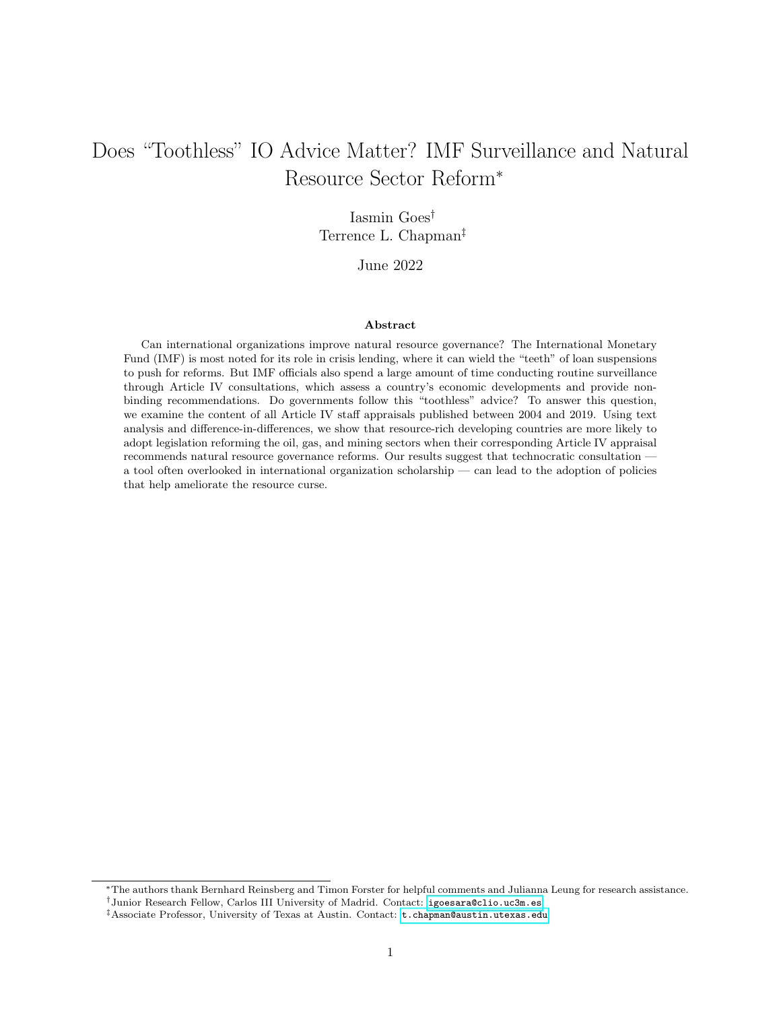- <span id="page-35-3"></span>Jon C. Pevehouse. Democracy from the Outside-In? International Organizations and Democratization. International Organization, 56(3):515–549, 2002. doi: 10.1162/002081802760199872.
- <span id="page-35-7"></span>Bernhard Reinsberg, Thomas Stubbs, and Alexander Kentikelenis. Compliance, Defiance, and the Dependency Trap: International Monetary Fund Program Interruptions and Their Impact on Capital Markets. Regulation and Governance, (early view), 2021. doi: 10.1111/rego.12422.
- <span id="page-35-11"></span>Stephanie J. Rickard and Teri L. Caraway. International Negotiations in the Shadow of National Elections. International Organization, 68(3):701–720, 2014. doi: 10.1017/S0020818314000058.
- <span id="page-35-9"></span>Stephanie J. Rickard and Teri L. Caraway. International Demands for Austerity: Examining the Impact of the IMF on the Public Sector. Review of International Organizations, 14(1):1–23, 2019. doi: 10.1007/ s11558-017-9295-y.
- <span id="page-35-6"></span>Dani Rodrik. Why Is There Multilateral Lending? NBER Working Paper, 5160:167-205, 1995. doi: 10.3386/w5160.
- <span id="page-35-2"></span>Michael L. Ross. The Political Economy of the Resource Curse. World Politics, 51(2):297–322, 1999.
- <span id="page-35-0"></span>Michael L. Ross. What Have We Learned about the Resource Curse? Annual Review of Political Science, 18(1):239–259, 2015. doi: 10.1146/annurev-polisci-052213-040359.
- <span id="page-35-10"></span>Jonathan Roth, Pedro H. C. Sant'Anna, Alyssa Bilinski, and John Poe. What's Trending in Differencein-Differences? A Synthesis of the Recent Econometrics Literature. pages 1–54, 2022. URL [http:](http://arxiv.org/abs/2201.01194) [//arxiv.org/abs/2201.01194](http://arxiv.org/abs/2201.01194).
- <span id="page-35-5"></span>Armin Schäfer. A New Form of Governance? Comparing the Open Method of Co-ordination to Multilateral Surveillance by the IMF and the OECD. Journal of European Public Policy, 13(1):70–88, 2006. doi: 10.1080/13501760500380742.
- <span id="page-35-8"></span>Leonard Seabrooke. Legitimacy Gaps in the World Economy: Explaining the Sources of the IMF's Legitimacy Crisis. International Politics, 44(2):250–268, 2007. doi: 10.1057/palgrave.ip.8800187.
- <span id="page-35-1"></span>Gregory Shaffer. Can WTO Technical Assistance and Capacity-Building Serve Developing Countries? In Ernst-Ulrich Petersmann and James Harrison, editors, Reforming the World Trading System: Legitimacy, Efficiency, and Democratic Governance, pages 245–274. Oxford University Press, Oxford, 2005.
- <span id="page-35-4"></span>Beth A. Simmons. Mobilizing for Human Rights: International Law in Domestic Politics. Cambridge University Press, New York, 2009.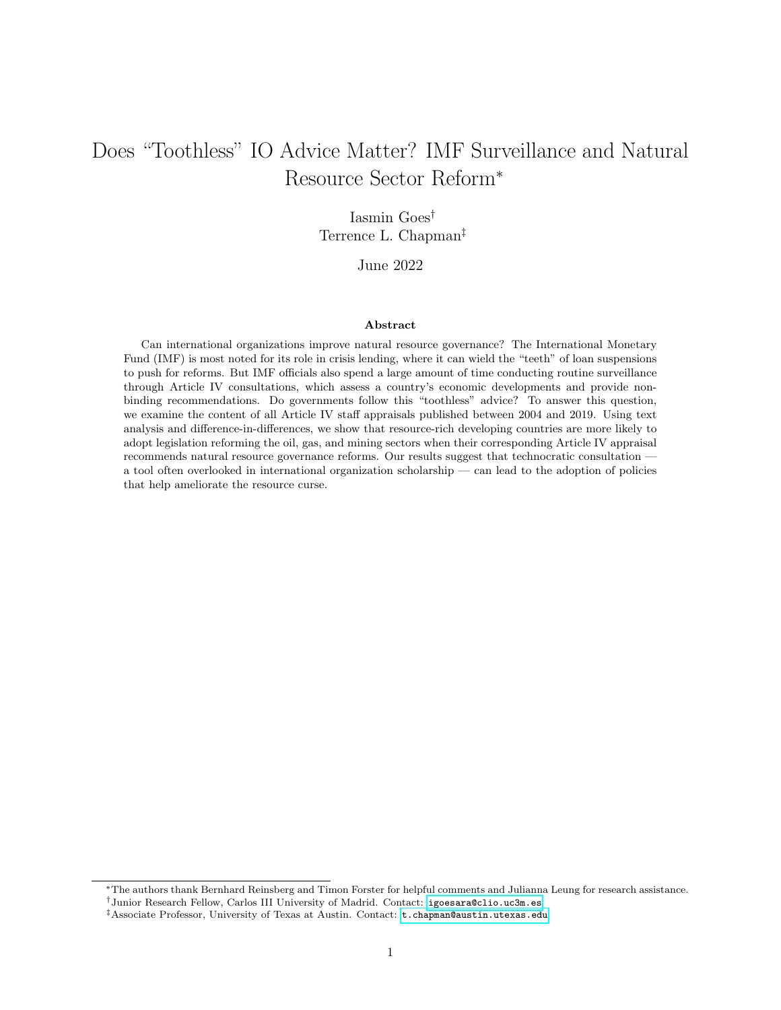- <span id="page-36-5"></span>Beth A. Simmons, Frank Dobbin, and Geoffrey Garrett. Introduction: The International Diffusion of Liberalism. International Organization, 60(4):781–810, 2006. doi: 10.1017/S0020818306060267.
- <span id="page-36-2"></span>Benjamin K. Sovacool, Götz Walter, Thijs Van de Graaf, and Nathan Andrews. Energy Governance, Transnational Rules, and the Resource Curse: Exploring the Effectiveness of the Extractive Industries Transparency Initiative (EITI). World Development, 83:179–192, 2016. doi: 10.1016/j.worlddev.2016.01.021.
- <span id="page-36-11"></span>Allison J. Sovey and Donald P. Green. Instrumental Variables Estimation in Political Science: A Readers' Guide. American Journal of Political Science, 55(1):188-200, 2011. ISSN 00925853. doi: 10.1111/j. 1540-5907.2010.00477.x.
- <span id="page-36-8"></span>Randall W. Stone. Lending Credibility: The International Monetary Fund and the Post-Communist Transition. Princeton University Press, Princeton, 2002.
- <span id="page-36-6"></span>Randall W. Stone. The Political Economy of IMF Lending in Africa. American Political Science Review, 98 (4):577–591, 2004. doi: 10.1017/S000305540404136X.
- <span id="page-36-7"></span>Randall W. Stone. The Scope of IMF Conditionality. International Organization, 62(4):589–620, 2008. doi: 10.1017/S0020818308080211.
- <span id="page-36-9"></span>Randall W. Stone. Controlling Institutions: International Organizations and the Global Economy. Cambridge University Press, Cambridge, 2011.
- <span id="page-36-10"></span>Thomas Stubbs, Lawrence King, Bernhard Reinsberg, Alexander Kentikelenis, and Lawrence King. How to Evaluate the Effects of IMF Conditionality: An Extension of Quantitative Approaches and an Empirical Application to Public Education Spending. Review of International Organizations, 15(1):29–73, 2020. doi: 10.1007/s11558-018-9332-5.
- <span id="page-36-4"></span>Rochelle Terman and Erik Voeten. The Relational Politics of Shame: Evidence From the Universal Periodic Review. Review of International Organizations, 13(1):1–23, 2018. doi: 10.1007/s11558-016-9264-x.
- <span id="page-36-0"></span>Anthony J. Venables. Using Natural Resources for Development: Why Has It Proven So Difficult? Journal of Economic Perspectives, 30(1):161–184, 2016. doi: 10.1257/jep.30.1.161.
- <span id="page-36-1"></span>James Raymond Vreeland. The IMF and Economic Development. Cambridge University Press, New York, 2003.
- <span id="page-36-3"></span>Erik Wibbels. Dependency Revisited: International Markets, Business Cycles, and Social Spending in the Developing World. *International Organization*, 60(2):433-468, 2006. doi: 10.1017/S0020818306060139.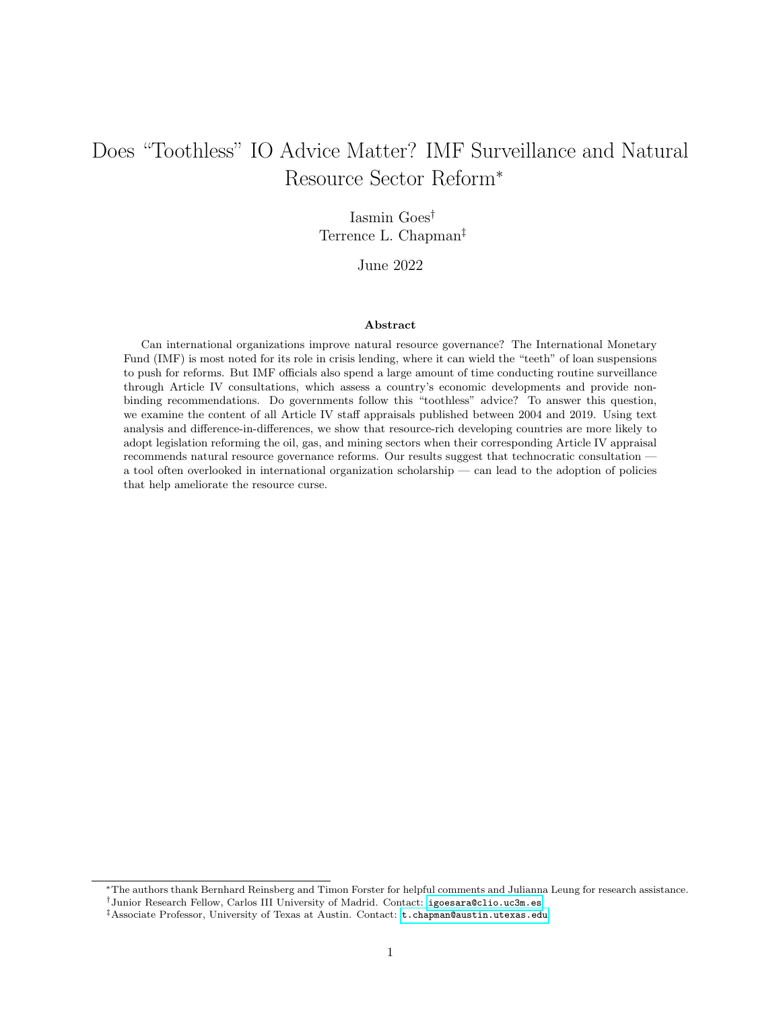<span id="page-37-0"></span>David Wiens. Natural Resources and Institutional Development. Journal of Theoretical Politics, 26(2): 197–221, 2014. doi: 10.1177/0951629813493835.

## Appendix

## A Countries Included in the Analysis

Afghanistan, Albania, Algeria, Angola, Argentina, Azerbaijan, Bangladesh, Bolivia, Botswana, Brazil, Burkina Faso, Cameroon, Central African Republic, Chad, Chile, China, Colombia, Congo, Côte d'Ivoire, Democratic Republic of the Congo, Ecuador, Egypt, Equatorial Guinea, Eritrea, Ethiopia, Gabon, Ghana, Guatemala, Guinea, Guyana, India, Indonesia, Iran, Iraq, Kazakhstan, Kyrgyz Republic, Laos, Liberia, Libya, Malaysia, Mali, Mauritania, Mexico, Mongolia, Morocco, Mozambique, Myanmar, Namibia, Nauru, Niger, Nigeria, Pakistan, Papua New Guinea, Peru, Philippines, Romania, Russia, São Tomé e Príncipe, Senegal, Sierra Leone, South Africa, South Sudan, Sudan, Suriname, Syria, Tanzania, Thailand, Timor Leste, Togo, Trinidad and Tobago, Tunisia, Turkmenistan, Uganda, Ukraine, Uzbekistan, Venezuela, Vietnam, Yemen, Zambia, Zimbabwe.

## B Availability of Data by Country

Table [B.1](#page-37-1) indicates the country-years that are truly missing: they did not participate in Article IV consultations. Table [B.2](#page-38-0) indicates the country-years that participated, but opposed publication, whereas Table [B.3](#page-39-0) lists the country-years that participated and consented to the publication of results.

<span id="page-37-1"></span>

| Country                  | Year Scheduled | Year Conducted           | No. Delayed |
|--------------------------|----------------|--------------------------|-------------|
| Venezuela                | 2005           |                          | 15          |
| Argentina                | 2007           | 2016                     | 9           |
| Eritrea                  | 2010           | 2019                     | 9           |
| Syria                    | 2011           |                          | 9           |
| Libya                    | 2014           |                          | 6           |
| Ecuador                  | 2009           | 2014                     | 5           |
| Yemen                    | 2015           | $\overline{\phantom{a}}$ | 5           |
| Central African Republic | 2013           | 2016                     | 3           |

Table B.1: Article IV Consultations, Delayed (as of January 2020)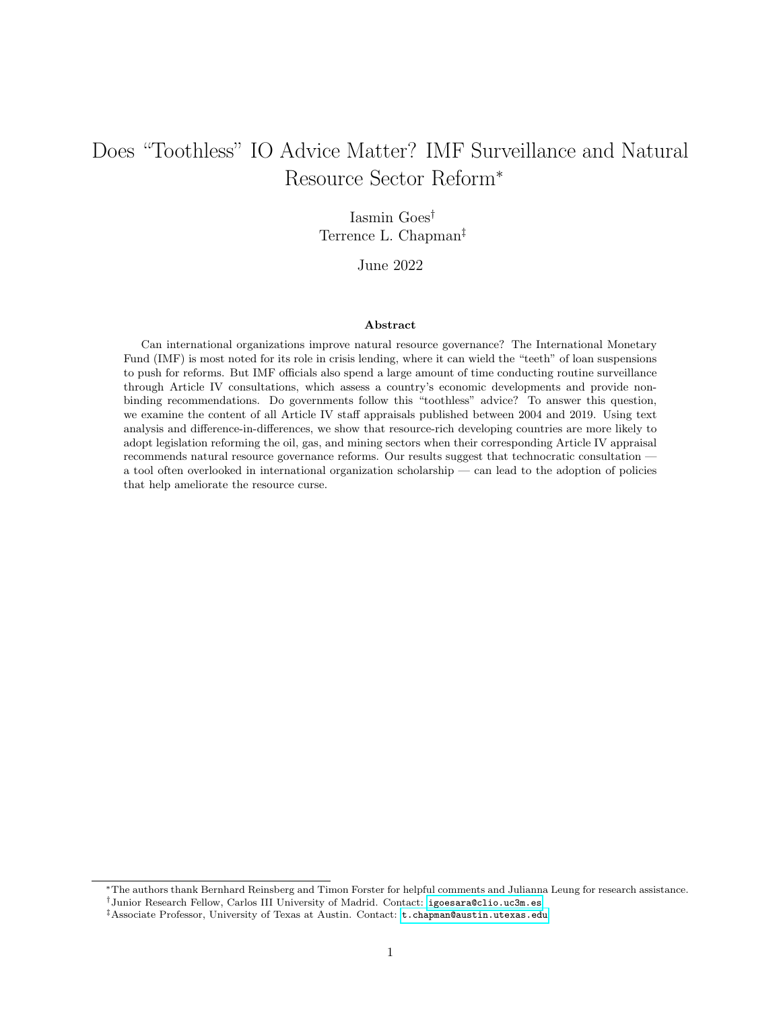| Democratic Republic of the Congo | 2016 | 2019                     | 3 |
|----------------------------------|------|--------------------------|---|
| Republic of the Congo            | 2016 | 2019                     | 3 |
| Egypt                            | 2011 | 2014                     | 3 |
| Equatorial Guinea                | 2017 | $\overline{\phantom{a}}$ | 3 |
| Gabon                            | 2018 | 2019                     |   |

<span id="page-38-0"></span>

| Country                               | No. Consultations |
|---------------------------------------|-------------------|
| $\label{lem:main} {\rm Turkmenistan}$ | $\boldsymbol{9}$  |
| <b>Brazil</b>                         | $\,6$             |
| Myanmar                               | $\,6$             |
| Guyana                                | $\bf 5$           |
| Thailand                              | $\overline{4}$    |
| Uzbekistan                            | $\overline{4}$    |
| Ecuador                               | $\boldsymbol{3}$  |
| Eritrea                               | 3                 |
| Malaysia                              | 3                 |
| Azerbaijan                            | $\overline{2}$    |
| Guatemala                             | $\overline{2}$    |
| Angola                                | $\mathbf{1}$      |
| Argentina                             | $\mathbf{1}$      |
| Egypt                                 | $\mathbf{1}$      |
| Gabon                                 | $\mathbf{1}$      |
| Kyrgyzstan                            | $\mathbf{1}$      |
| Libya                                 | $\mathbf{1}$      |
| Mauritania                            | $\,1\,$           |
| Suriname                              | $\mathbf{1}$      |
| Tanzania                              | $\mathbf{1}$      |
| Timor-Leste                           | $\mathbf{1}$      |
| Venezuela                             | $\mathbf{1}$      |
| Yemen                                 | $\,1$             |
| Zimbabwe                              | $\mathbf{1}$      |

Table B.2: Article IV Consultations, Not Published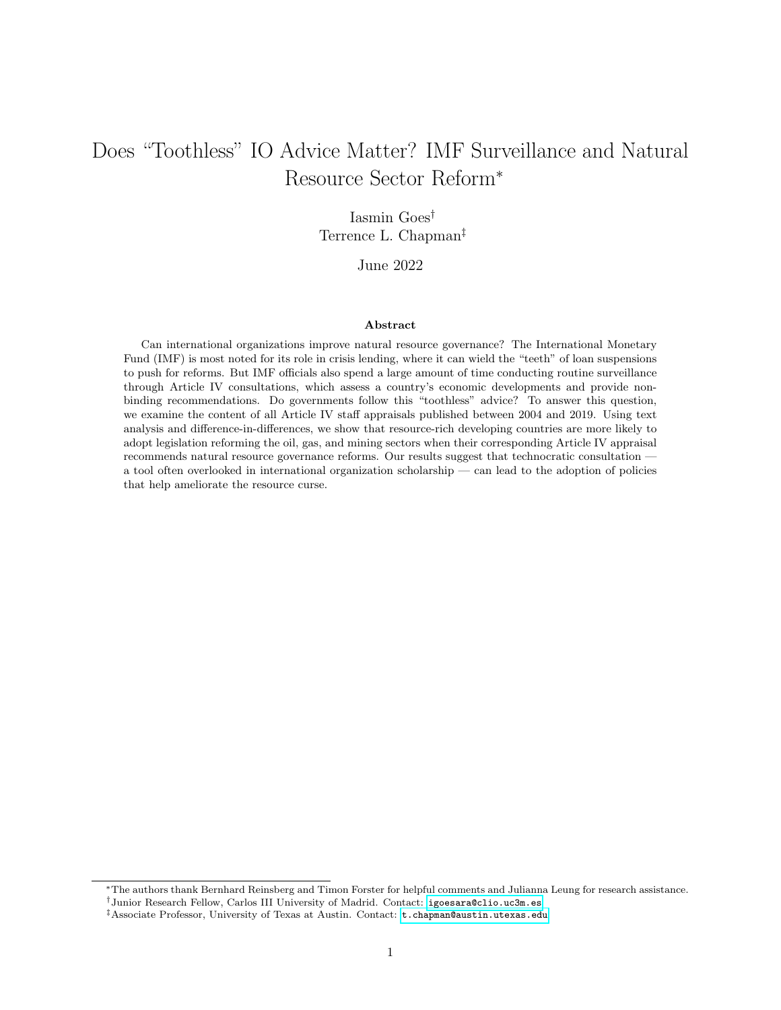<span id="page-39-0"></span>

| Country             | No. Consultations |
|---------------------|-------------------|
| Russia              | 16                |
| Indonesia           | 15                |
| Kazakhstan          | 15                |
| Mexico              | 15                |
| Papua New Guinea    | 15                |
| South Africa        | 15                |
| Algeria             | 14                |
| Morocco             | 14                |
| Philippines         | 14                |
| Botswana            | 13                |
| Chile               | 13                |
| China               | 13                |
| Colombia            | 13                |
| Ethiopia            | 13                |
| India               | 13                |
| Nigeria             | 13                |
| $\rm Laos$          | 12                |
| Namibia             | 12                |
| Peru                | 12                |
| Trinidad and Tobago | 12                |
| Vietnam             | 12                |
| <b>Bolivia</b>      | 11                |
| Suriname            | 11                |
| Albania             | 10                |
| Bangladesh          | 10                |
| Cameroon            | 10                |
| Iran                | 10                |
| Malaysia            | 10                |

Table B.3: Article IV Consultations, Published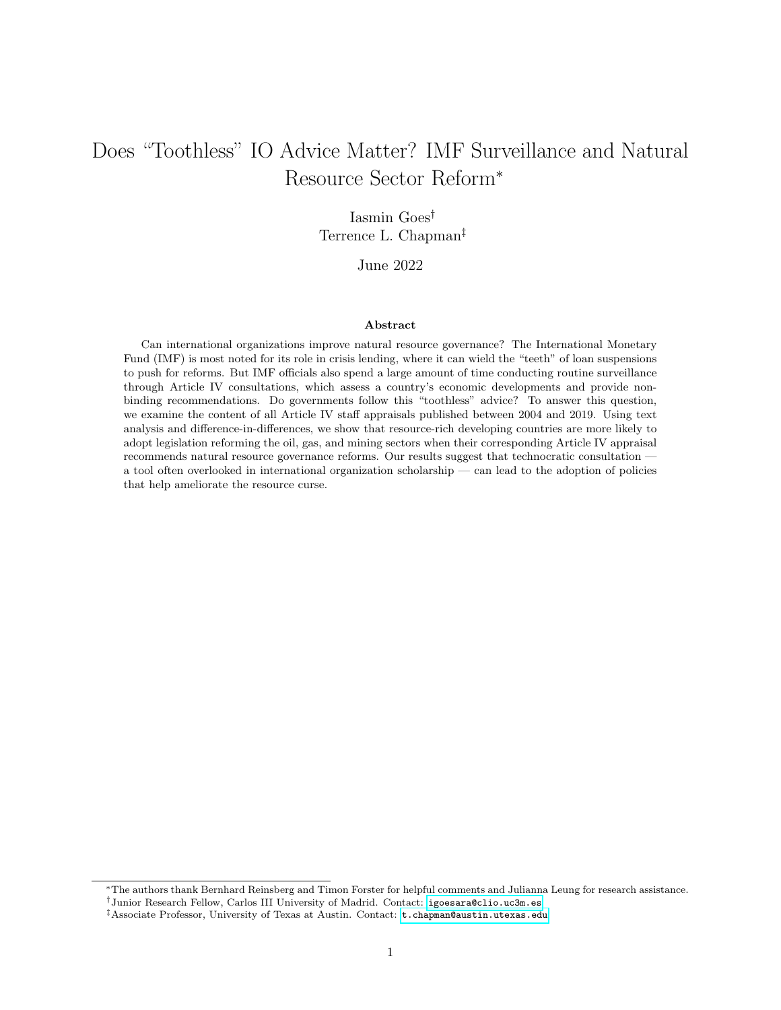| Mongolia                         | 10             |
|----------------------------------|----------------|
| Timor-Leste                      | 10             |
| Zimbabwe                         | 10             |
| Azerbaijan                       | 9              |
| Congo                            | 9              |
| Ghana                            | 9              |
| Pakistan                         | 9              |
| Sudan                            | 9              |
| Thailand                         | 9              |
| Tunisia                          | 9              |
| Chad                             | 8              |
| Equatorial Guinea                | 8              |
| Liberia                          | 8              |
| Mauritania                       | 8              |
| Mozambique                       | 8              |
| Myanmar                          | 8              |
| Senegal                          | 8              |
| Zambia                           | 8              |
| Afghanistan                      | $\overline{7}$ |
| Angola                           | $\overline{7}$ |
| Brazil                           | $\overline{7}$ |
| Democratic Republic of the Congo | $\overline{7}$ |
| Egypt                            | 7              |
| Guyana                           |                |
| Iraq                             | $\overline{7}$ |
| Kyrgyzstan                       | $\overline{7}$ |
| Niger                            | $\overline{7}$ |
| Sierra Leone                     | $\overline{7}$ |
| Togo                             | $\overline{7}$ |
| Uganda                           | $\overline{7}$ |
| Ukraine                          | $\overline{7}$ |
| Burkina Faso                     | 6              |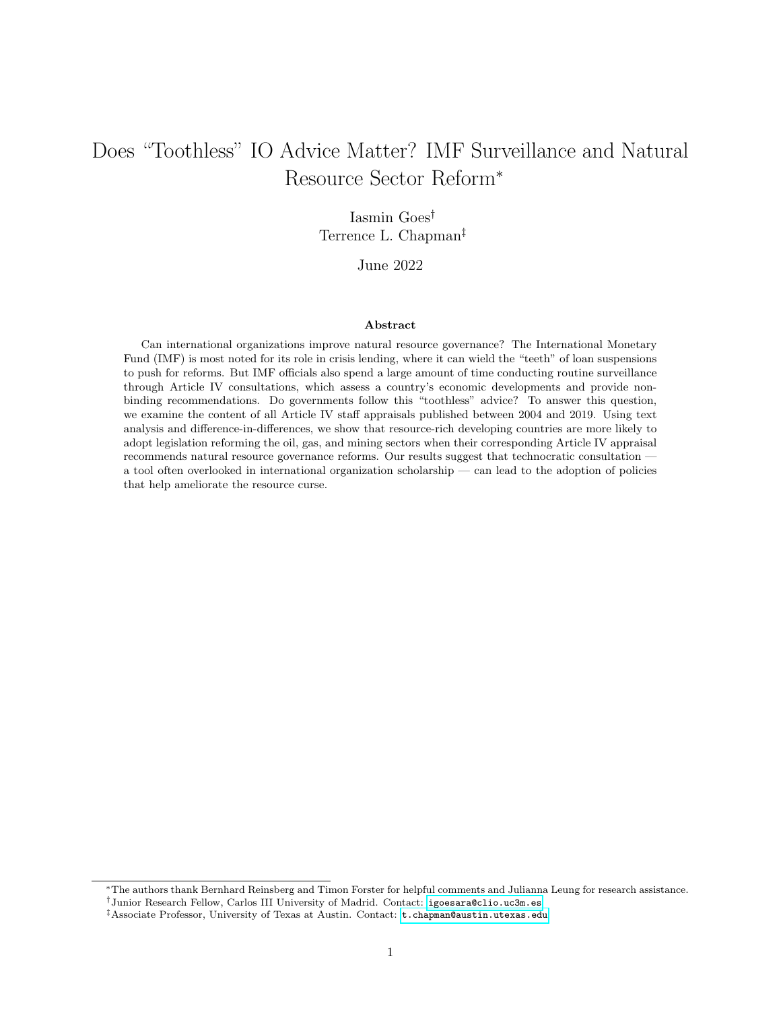| Central African Republic | 6              |
|--------------------------|----------------|
| Côte d'Ivoire            | 6              |
| Gabon                    | 6              |
| Guatemala                | 6              |
| Libya                    | 6              |
| Mali                     | 6              |
| São Tomé e Príncipe      | 6              |
| Tanzania                 | 6              |
| Guinea                   | 5              |
| Syria                    | $\overline{5}$ |
| Uzbekistan               | 5              |
| Yemen                    | $\overline{5}$ |
| Ecuador                  | $\overline{4}$ |
| Argentina                | 3              |
| South Sudan              | 3              |
| Nauru                    | $\overline{2}$ |
| Eritrea                  | $\Omega$       |
| Turkmenistan             | $\theta$       |
| Venezuela                | $\overline{0}$ |

# C Difference-in-Differences

## C.1 Results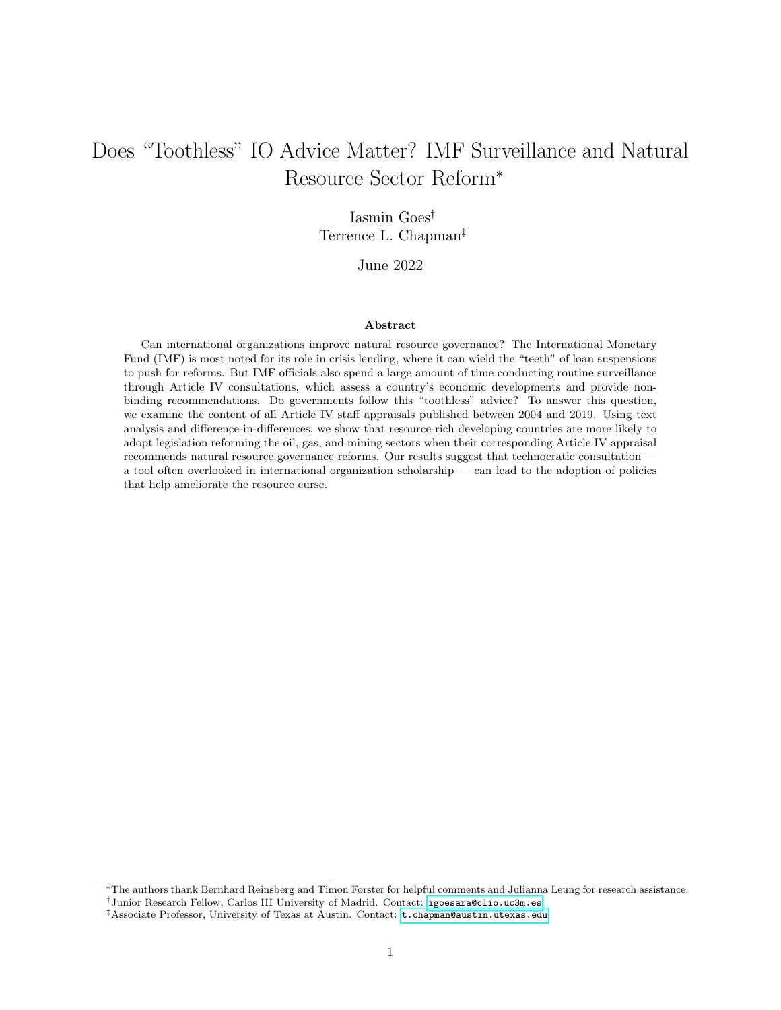|                                     | Dependent variable:<br>Policy Passage<br>Treatment 1<br>Treatment 2 |            |
|-------------------------------------|---------------------------------------------------------------------|------------|
|                                     |                                                                     |            |
|                                     |                                                                     |            |
|                                     | (1)                                                                 | (2)        |
| ATT, Treated Obs. Equally Weighted  | 0.029                                                               | $0.067***$ |
|                                     | (0.032)                                                             | (0.028)    |
| ATT, Treated Units Equally Weighted | 0.030                                                               | $0.078***$ |
|                                     | (0.032)                                                             | (0.029)    |
| <b>IMF</b> Program                  | $-0.007$                                                            | 0.009      |
|                                     | (0.042)                                                             | (0.020)    |
| Field Discovery                     | 0.019                                                               | $-0.001$   |
|                                     | (0.050)                                                             | (0.029)    |
| Resource Rents (% GDP)              | $0.005***$                                                          | $0.004***$ |
|                                     | (0.002)                                                             | (0.002)    |
| GDP per Capita (Log)                | 0.084                                                               | 0.046      |
|                                     | (0.086)                                                             | (0.035)    |
| Technocratic Finance Minister       | $-0.002$                                                            | $-0.011$   |
|                                     | (0.020)                                                             | (0.010)    |
| Number of Units                     | 46                                                                  | 68         |
| Number of Time Periods              | 16                                                                  | 16         |

Table C.1: Average Treatment Effects

Note: <sup>∗</sup> p<0.1; ∗∗p<0.05; ∗∗∗p<0.01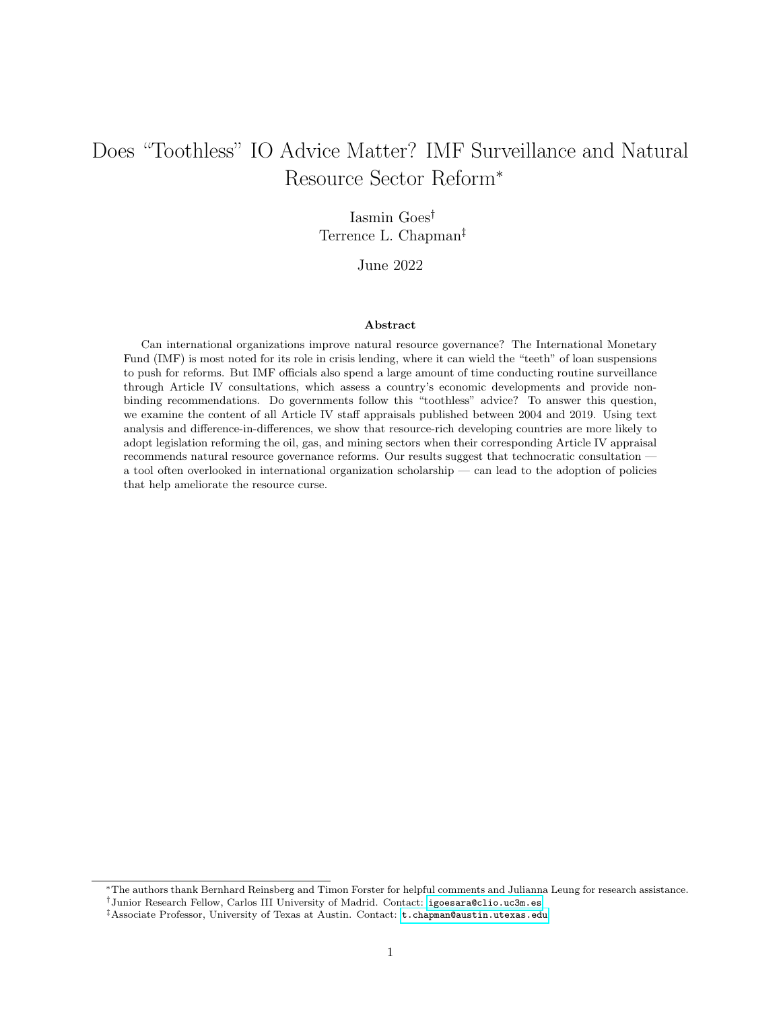## C.2 Tests











 $\blacksquare$  ATT  $\cdot$  Min. Range  $\cdot$  Equiv. Range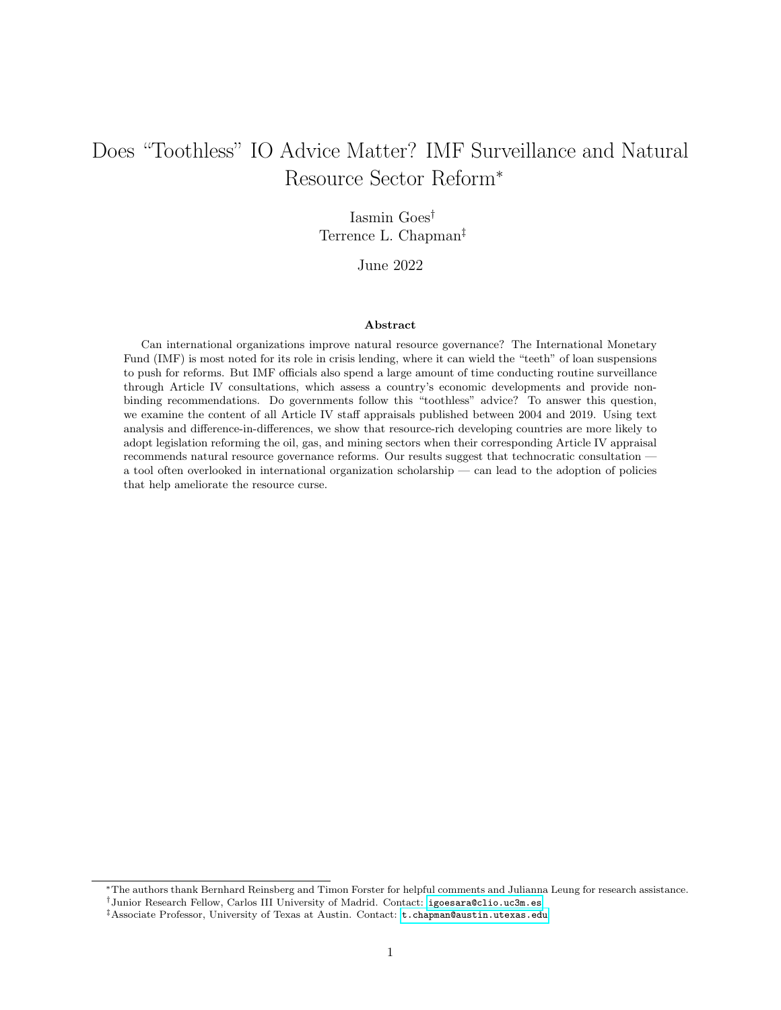



Treatment 1 − Published Article IV Consultation

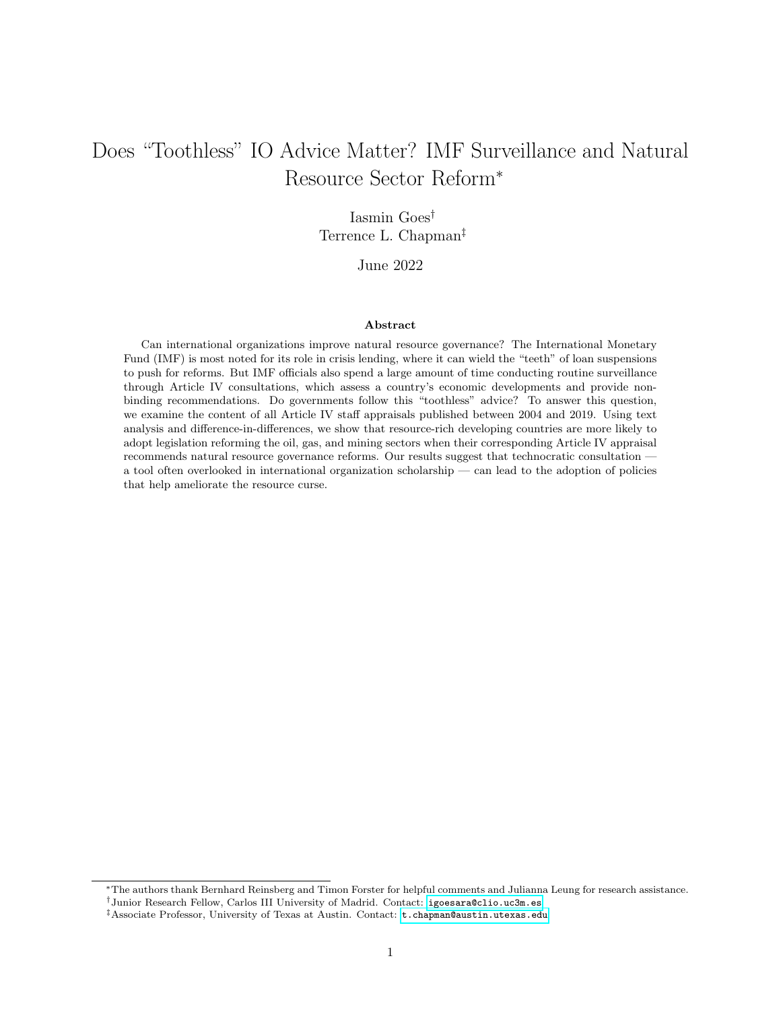## D Natural Resource Dictionary

To generate the independent variables Natural Resource Term Frequency and Natural Resource TF–IDF, we use a dictionary consisting of the following terms: natural resource, natural resources, extractive, oil, petroleum, crude, gas, gasoline, diesel, electricity, LNG, natural gas, fuel, fuels, energy, refinery, hydrocarbon, mineral, mining, mine, mines, copper, gold, diamond, iron, steel, phosphate, EITI.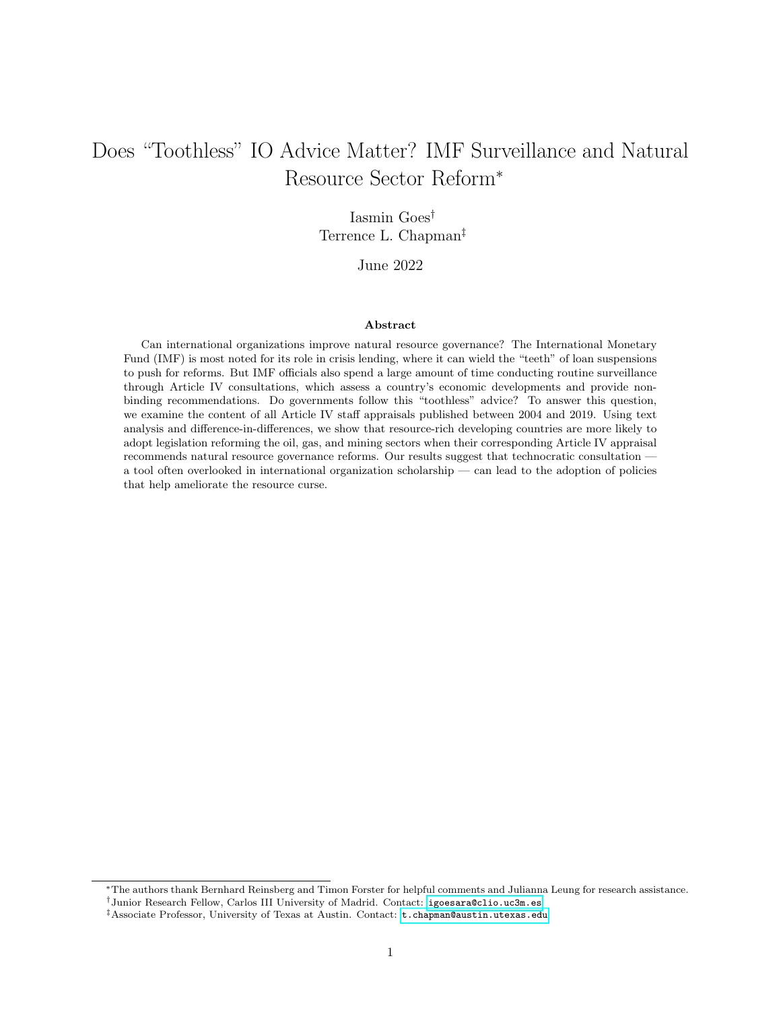## E Robustness

## E.1 Using Weighted Natural Resource Term Frequency

Table E.1: The Effect of Natural Resource Terms on Policy Passage, Using Natural Resource TF–IDF

|                                     |                       | Dependent variable:    |
|-------------------------------------|-----------------------|------------------------|
|                                     | Policy Passage        |                        |
|                                     | OLS                   | Logit                  |
|                                     | (1)                   | (2)                    |
| Natural Resource TF-IDF             | $0.011***$<br>(0.006) | $0.111***$<br>(0.056)  |
| Previous Policy                     | 0.036<br>(0.076)      | 0.501<br>(0.612)       |
| Resource Rents (% GDP)              | $-0.004*$<br>(0.002)  | $-0.065***$<br>(0.026) |
| GDP per Capita (Log)                | 0.123<br>(0.080)      | $2.202*$<br>(1.182)    |
| Field Discovery                     | 0.055<br>(0.053)      | 0.655<br>(0.402)       |
| <b>IMF</b> Program                  | 0.036<br>(0.027)      | $0.571*$<br>(0.315)    |
| Technocratic Finance Minister       | $-0.014$<br>(0.027)   | $-0.442$<br>(0.318)    |
| Oil Price                           | $-0.001$<br>(0.002)   | $-0.024$<br>(0.022)    |
| GDP Growth $(\%)$                   | 0.001<br>(0.002)      | 0.003<br>(0.028)       |
| Polity 2                            | 0.004<br>(0.005)      | 0.036<br>(0.070)       |
| Protest                             | 0.003<br>(0.003)      | 0.011<br>(0.019)       |
| Constant                            | $-0.682$<br>(0.466)   | $-12.657^*$<br>(7.216) |
| Observations<br>$R^2$               | 535<br>0.213          | 535                    |
| Log Likelihood<br>Akaike Inf. Crit. |                       | $-88.863$<br>361.727   |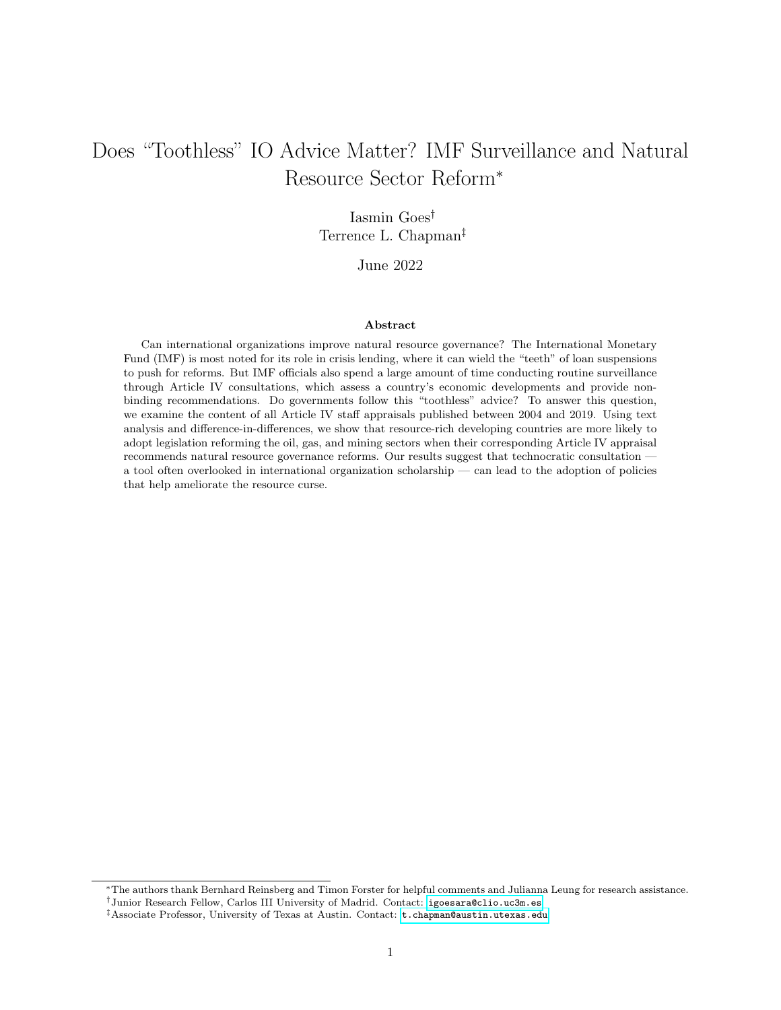### E.2 Instrumental Variables Estimation

|                                          | Dependent variable:  |                     |
|------------------------------------------|----------------------|---------------------|
|                                          | Policy Passage       |                     |
|                                          | (1)                  | (2)                 |
| Natural Resource Terms                   | 0.025<br>(0.021)     |                     |
| Natural Resource TF-IDF                  |                      | 0.015<br>(0.029)    |
| Previous Policy                          | 0.033<br>(0.077)     | 0.039<br>(0.088)    |
| Resource Rents (% GDP)                   | $-0.005*$<br>(0.002) | $-0.004$<br>(0.003) |
| GDP per Capita (Log)                     | 0.102<br>(0.080)     | 0.123<br>(0.081)    |
| Field Discovery                          | 0.053<br>(0.049)     | 0.056<br>(0.053)    |
| <b>IMF</b> Program                       | 0.046<br>(0.029)     | 0.038<br>(0.028)    |
| Technocratic Finance Minister            | $-0.009$<br>(0.028)  | $-0.013$<br>(0.027) |
| Oil Price                                | $-0.002$<br>(0.002)  | $-0.001$<br>(0.002) |
| GDP Growth $(\%)$                        | $-0.0001$<br>(0.002) | 0.001<br>(0.002)    |
| Polity 2                                 | 0.001<br>(0.006)     | 0.003<br>(0.006)    |
| Protest                                  | 0.003<br>(0.003)     | 0.003<br>(0.003)    |
| $_{\rm Constant}$                        | $-0.448$<br>(0.486)  | $-0.660$<br>(0.478) |
| Observations<br>$\mathbf{R}^2$           | 535<br>0.213         | 535<br>0.213        |
| F-Statistic for Instrument<br>Wu-Hausman | $21.809***$<br>0.341 | $7.599***$<br>0.007 |

Table E.2: The Effect of Natural Resource Terms on Policy Passage: Instrumental Variables Estimation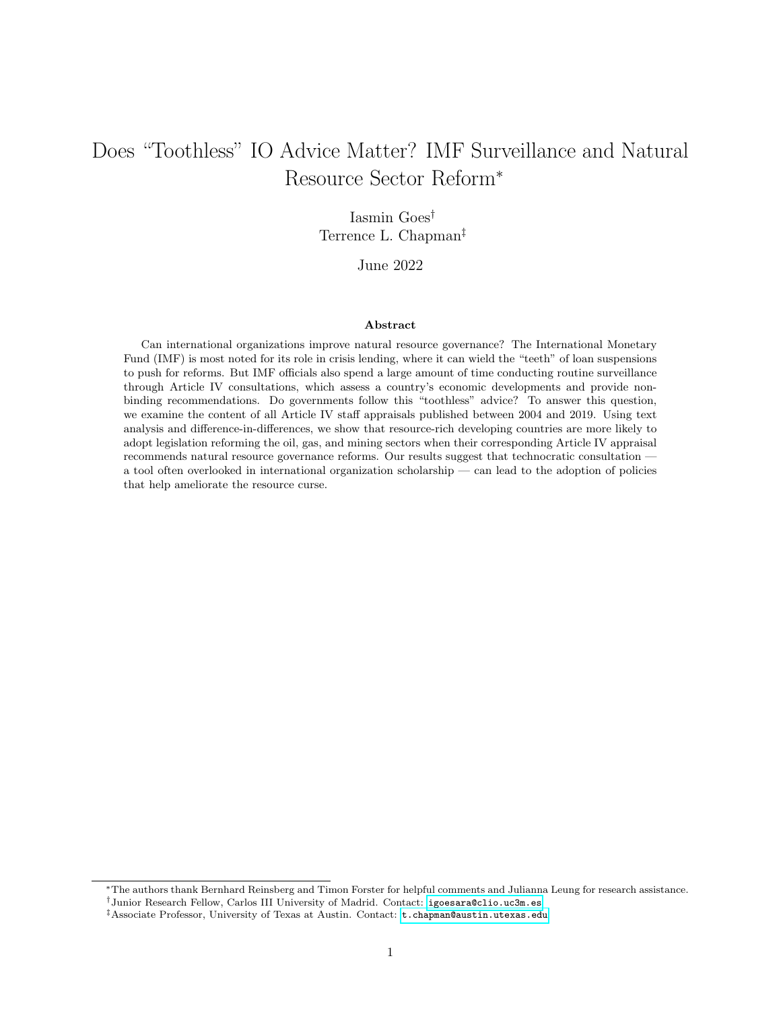|                                     | Dependent variable:    |                         |  |
|-------------------------------------|------------------------|-------------------------|--|
|                                     | Natural Resource Terms | Natural Resource TF-IDF |  |
|                                     | (1)                    | (2)                     |  |
| Instrument: Natural Resource Terms  | $0.331***$<br>(0.082)  |                         |  |
| Instrument: Natural Resource TF-IDF |                        | $0.380***$              |  |
|                                     |                        | (0.130)                 |  |
| Previous Policy                     | 0.354<br>(0.569)       | $-0.579$<br>(0.453)     |  |
| Resource Rents (% GDP)              | 0.012<br>(0.031)       | $0.042*$<br>(0.025)     |  |
| GDP per Capita (Log)                | $-0.190$<br>(0.918)    | $-0.560$<br>(0.665)     |  |
| Field Discovery                     | $-0.100$<br>(0.558)    | $-0.174$<br>(0.298)     |  |
| <b>IMF</b> Program                  | $-0.437$<br>(0.364)    | $-0.340$<br>(0.235)     |  |
| Technocratic Finance Minister       | $-0.171$<br>(0.282)    | $-0.066$<br>(0.224)     |  |
| Oil Price                           | $-0.001$<br>(0.021)    | 0.018<br>(0.017)        |  |
| GDP Growth $(\%)$                   | 0.018<br>(0.032)       | $-0.002$<br>(0.027)     |  |
| Polity 2                            | $0.145***$<br>(0.069)  | $0.111***$<br>(0.055)   |  |
| Protest                             | 0.018<br>(0.031)       | 0.011<br>(0.021)        |  |
| Constant                            | 1.104<br>(5.898)       | 1.132<br>(4.603)        |  |
| Observations<br>$R^2$               | 535<br>0.628           | 535<br>0.498            |  |

Table E.3: The Effect of Natural Resource Terms on Policy Passage: First Stages of Instrumental Variables Estimation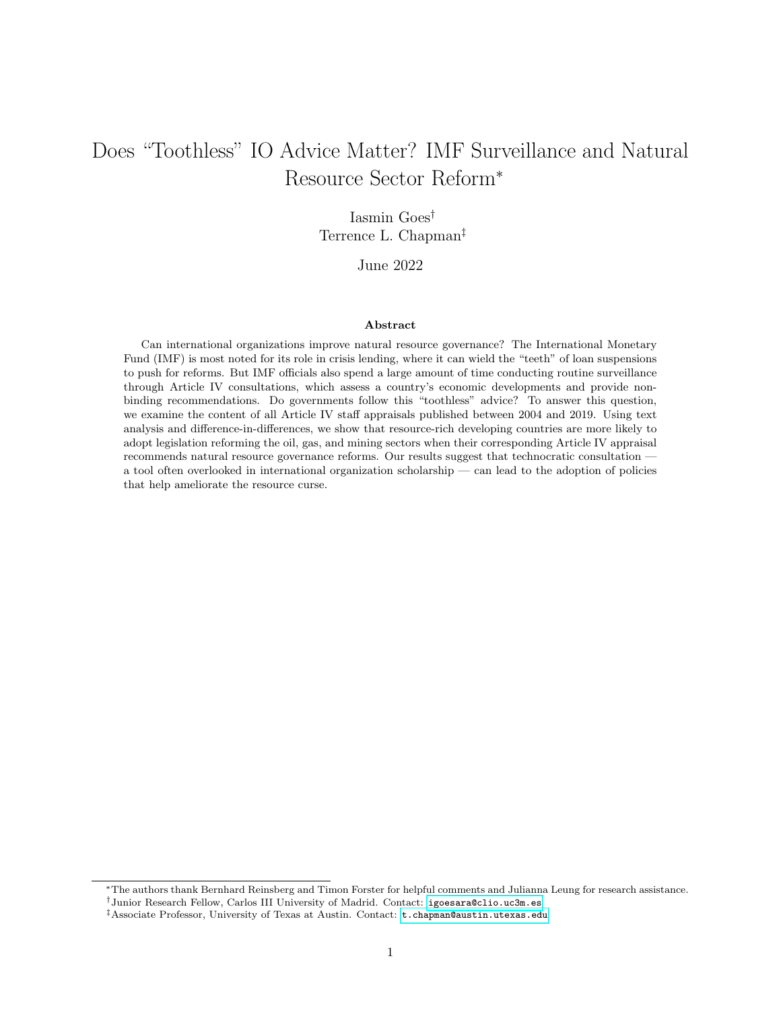#### E.3 Survival Analysis

|                               | Dependent variable:                     |
|-------------------------------|-----------------------------------------|
|                               | Time to Policy Passage                  |
| Natural Resource Terms        | $0.214***$                              |
|                               | (0.077)                                 |
| Resource Rents (% GDP)        | 0.036                                   |
|                               | (0.023)                                 |
| GDP per Capita (Log)          | 0.414                                   |
|                               | (0.328)                                 |
| Field Discovery               | 1.371                                   |
|                               | (0.853)                                 |
| <b>IMF</b> Program            | $1.049*$                                |
|                               | (0.605)                                 |
| Technocratic Finance Minister | 0.303                                   |
|                               | (0.560)                                 |
| GDP Growth $(\%)$             | $0.157***$                              |
|                               | (0.073)                                 |
| Polity 2                      | 0.078                                   |
|                               | (0.066)                                 |
| Protest                       | $-0.135$                                |
|                               | (0.114)                                 |
| Observations                  | 584                                     |
| $R^2$                         | 0.046                                   |
| Log Likelihood                | $-44.873$                               |
| Wald Test                     | $25.200***$ (df = 9)                    |
| LR Test                       | $27.442***$ (df = 9)                    |
| Score (Logrank) Test          | $33.991***$ (df = 9)                    |
| Note:                         | $*_{p<0.1;}$ $*_{p<0.05;}$ $*_{p<0.01}$ |

Table E.4: The Effect of Natural Resource Terms on Policy Passage: Cox Proportional Hazards Model

#### E.4 Sensitivity Analysis

The variable Natural Resource Term Frequency might not have a direct effect on our outcome of interest; rather, governments might be more likely to talk about the natural resource sector and more likely to pass natural resource policy in years of oil field discovery, or when the incumbent Finance Minister is someone who received a graduate degree from a US economics department. Since we cannot quantify a country's ex ante willingness to reform, we cannot exclude the possibility that other factors predict both the term frequency and the choice to pass natural resource policy. One way to investigate the potential effect of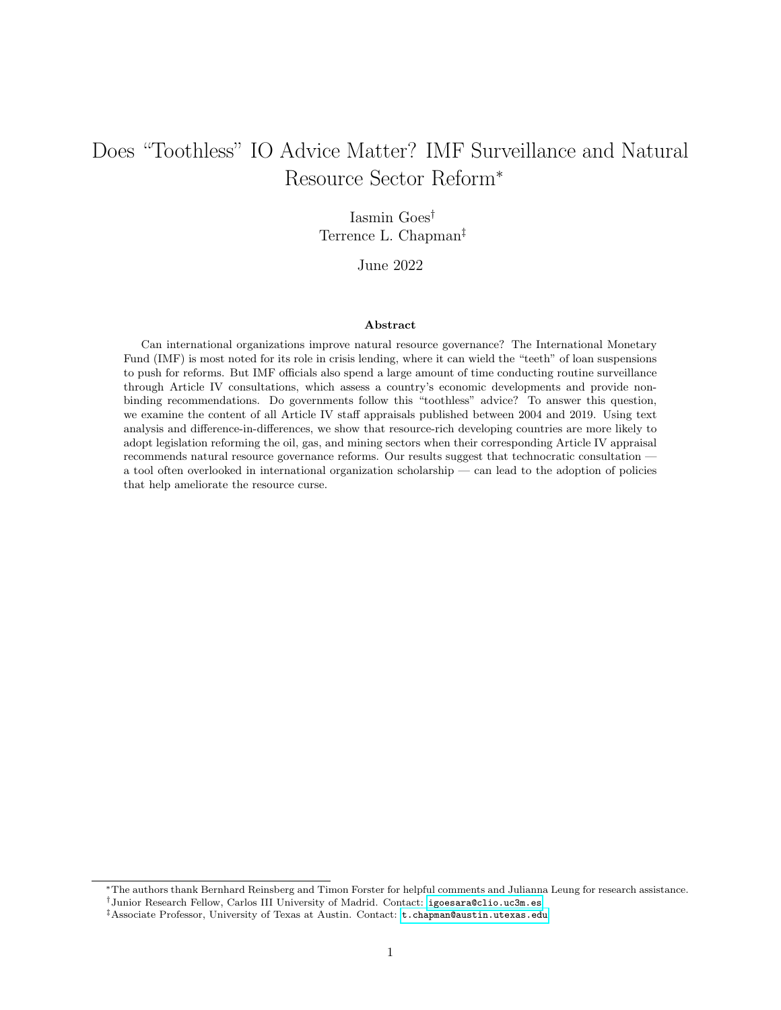omitted variable bias is to run a sensitivity analysis, as we do here.

We use the R package sensemakr, developed by [Cinelli and Hazlett](#page-31-12) [\(2020\)](#page-31-12), to investigate how our estimate of the treatment variable Natural Resource Term Frequency is sensitive to unobserved confounders. Table [E.5](#page-50-0) reports the estimated coefficient (0.014) for Natural Resource Term Frequency as well as its standard error (0.004) and t-value (3.302). The table then presents three sensitivity statistics.

The first sensitivity statistic is the partial  $R^2$  of the treatment with the outcome (2.4%). In an extreme scenario, an unobserved confounder that explains 100% of the residual variance in the outcome would need to explain at least 2.4% of the residual covariance of the treatment to fully account for the observed estimated effect.

The second sensitivity statistic is the robustness value  $(RV_{q=1})$  required to reduce the estimate to zero, which corresponds to a bias of 100% of the original estimate. In order to explain away all the observed effect of the treatment Natural Resource Topic on the outcome Policy Passage, we would need unobserved confounders that explain at least 14.5% of the residual variance of both treatment and outcome.

The third sensitivity statistic is the robustness value for testing the null hypothesis that the coefficient of Natural Resource Topic is zero  $(RV_{q=1,\alpha=0.05})$ . If the unobserved confounder explains more than 6.1% of the residual variance of both the treatment and the outcome, it is strong enough to bring the estimate of Natural Resource Topic to a range where it is no longer statistically different from zero (at the significance level of  $\alpha = 0.05$ ).

These values indicate what we would need to now in order to safely rule out confounders that could be problematic. We now contrast these values to the effect of the observed benchmark covariates Resource Rents and Technocratic Finance Minister. In other words, we investigate the maximum strength of an unobserved confounder that is once, twice, or three times as strong as Resource Rents or Technocratic Finance Minister in explaining outcome variation  $(R_{Y\sim Z|X,D}^2)$  and treatment variation  $(R_{D\sim Z|X}^2)$ . All these values are below the RV, suggesting that even a very strong confounder would not be able to overturn our findings.

<span id="page-50-0"></span>Table E.5: Minimal Reporting on Sensitivity to Unobserved Confounders, Benchmarks: Resource Rents and Field Discovery

| Outcome: <i>Policy Passage</i>                                                                                                |       |       |         |                                       |            |                        |
|-------------------------------------------------------------------------------------------------------------------------------|-------|-------|---------|---------------------------------------|------------|------------------------|
| Treatment                                                                                                                     | Est.  | S.E.  | t-value | $\overline{R}_{Y\sim D \mathbf{X}}^2$ | $RV_{q=1}$ | $RV_{q=1,\alpha=0.05}$ |
| Natural Resource Term Frequency                                                                                               | 0.014 | 0.004 | 3.302   | $2.4\%$                               | $14.5\%$   | $6.1\%$                |
| df = 436; Bound (1x Resource Rents): $R_{Y\sim Z \mathbf{X},D}^2 = 0.5\%, R_{D\sim Z \mathbf{X}}^2 = 0.6\%$                   |       |       |         |                                       |            |                        |
| df = 436; Bound (2x Resource Rents): $R_{Y \sim Z \mathbf{X},D}^2 = 1\%$ , $R_{D \sim Z \mathbf{X}}^2 = 1.2\%$                |       |       |         |                                       |            |                        |
| df = 436; Bound (3x Resource Rents): $R_{Y \sim Z \mathbf{X},D}^2 = 1.5\%, R_{D \sim Z \mathbf{X}}^2 = 1.8\%$                 |       |       |         |                                       |            |                        |
| df = 443; Bound (1x Technocratic Finance Minister): $R_{Y\sim Z \mathbf{X},D}^2 = 0\%$ , $R_{D\sim Z \mathbf{X}}^2 = 0.1\%$   |       |       |         |                                       |            |                        |
| df = 443; Bound (2x Technocratic Finance Minister): $R_{Y\sim Z \mathbf{X},D}^2 = 0.1\%$ , $R_{D\sim Z \mathbf{X}}^2 = 0.2\%$ |       |       |         |                                       |            |                        |
| df = 443; Bound (3x Technocratic Finance Minister): $R_{Y\sim Z \mathbf{X},D}^2 = 0.1\%$ , $R_{D\sim Z \mathbf{X}}^2 = 0.3\%$ |       |       |         |                                       |            |                        |
|                                                                                                                               |       |       |         |                                       |            |                        |

Figure [E.1,](#page-51-0) also generated using R [Cinelli and Hazlett'](#page-31-12)s package, helps us grasp the meaning of these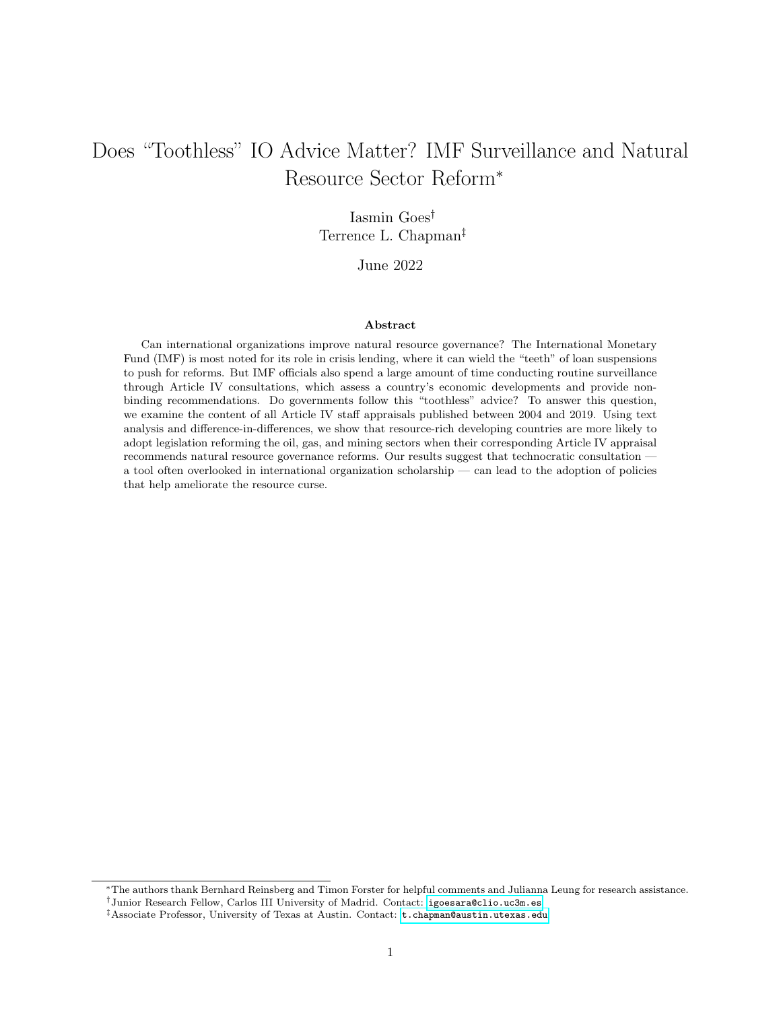<span id="page-51-0"></span>Figure E.1: Sensitivity Contour Plots in the Partial  $R^2$  Scale, Benchmark: Resource Rents



This figure shows the sensitivity contour plot of the point estimate for Natural Resource Term Frequency, including unobserved confounders with the hypothetical strength of three times the value of Resource Rents. Note that the hypothetical estimate (in red) is very close to the unadjusted estimate (in black).

results. The x-axis shows the hypothetical residual share of variation of the treatment explained by unobserved confounding  $(R_{D\sim Z|\mathbf{X}}^2)$ , whereas the y-axis does the same for the residual share of variation of the outcome explained by unobserved confounding  $(R_{Y\sim Z|X,D}^2)$ . The contours show what would be the estimates for *Natural Resource Term Frequency* if we were to include unobserved confounders that have once, twice, or three times the strength Resource Rents. The dashed red line indicates combinations of values that would shrink the estimated effect of *Natural Resource Term Frequency* to zero. Figure [E.1](#page-51-0) shows that the unadjusted effect of topic proportions is robust to the inclusion of unobserved confounders that are once, twice, or three times as strong Resource Rents, giving us more confidence that our findings are not a function of omitted variables.

In Table Figure [E.2,](#page-52-0) we repeat this analysis using *Technocratic Finance Minister* (rather than Resource Rents) as a benchmark covariate, finding again that our results are robust to the inclusion of unobserved variables with effects that are one, two, or three times as strong as the effect of Technocratic Minister.